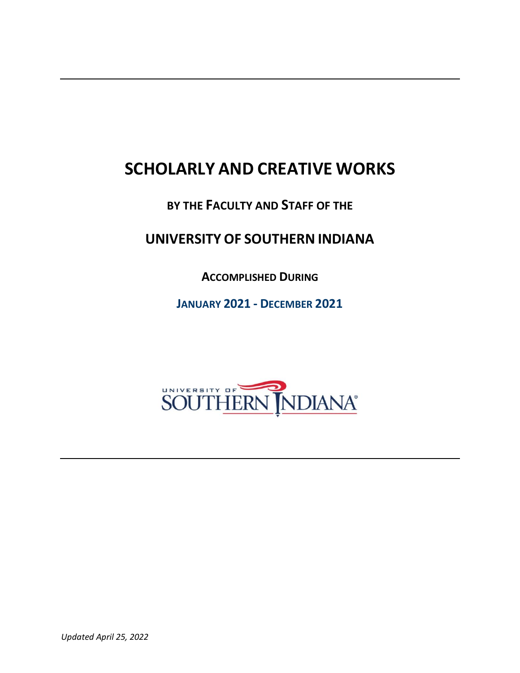# **SCHOLARLY AND CREATIVE WORKS**

# **BY THE FACULTY AND STAFF OF THE**

# **UNIVERSITY OF SOUTHERN INDIANA**

**ACCOMPLISHED DURING**

**JANUARY 2021 - DECEMBER 2021**

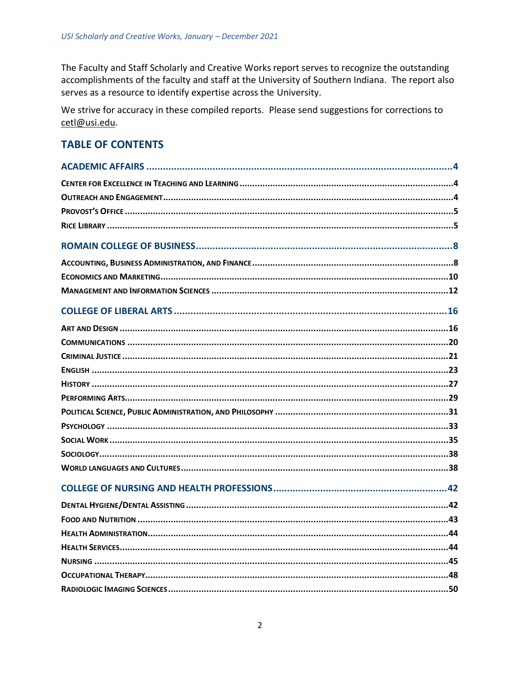The Faculty and Staff Scholarly and Creative Works report serves to recognize the outstanding accomplishments of the faculty and staff at the University of Southern Indiana. The report also serves as a resource to identify expertise across the University.

We strive for accuracy in these compiled reports. Please send suggestions for corrections to cetl@usi.edu.

# **TABLE OF CONTENTS**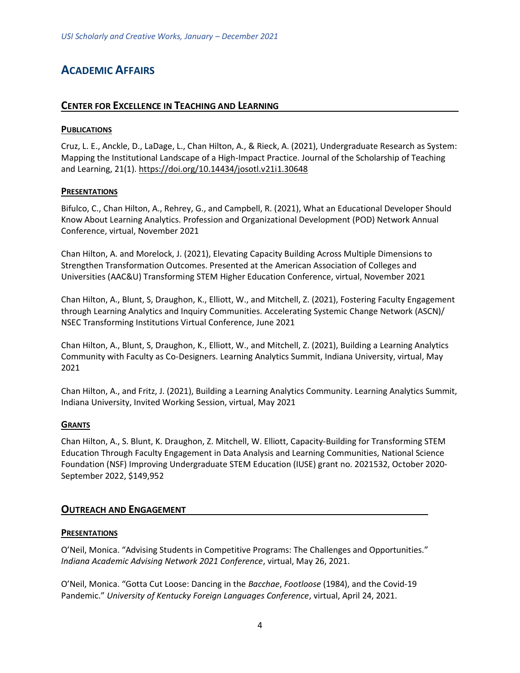# <span id="page-3-1"></span><span id="page-3-0"></span>**ACADEMIC AFFAIRS**

# **CENTER FOR EXCELLENCE IN TEACHING AND LEARNING**

#### **PUBLICATIONS**

Cruz, L. E., Anckle, D., LaDage, L., Chan Hilton, A., & Rieck, A. (2021), Undergraduate Research as System: Mapping the Institutional Landscape of a High-Impact Practice. Journal of the Scholarship of Teaching and Learning, 21(1)[. https://doi.org/10.14434/josotl.v21i1.30648](https://doi.org/10.14434/josotl.v21i1.30648)

#### **PRESENTATIONS**

Bifulco, C., Chan Hilton, A., Rehrey, G., and Campbell, R. (2021), What an Educational Developer Should Know About Learning Analytics. Profession and Organizational Development (POD) Network Annual Conference, virtual, November 2021

Chan Hilton, A. and Morelock, J. (2021), Elevating Capacity Building Across Multiple Dimensions to Strengthen Transformation Outcomes. Presented at the American Association of Colleges and Universities (AAC&U) Transforming STEM Higher Education Conference, virtual, November 2021

Chan Hilton, A., Blunt, S, Draughon, K., Elliott, W., and Mitchell, Z. (2021), Fostering Faculty Engagement through Learning Analytics and Inquiry Communities. Accelerating Systemic Change Network (ASCN)/ NSEC Transforming Institutions Virtual Conference, June 2021

Chan Hilton, A., Blunt, S, Draughon, K., Elliott, W., and Mitchell, Z. (2021), Building a Learning Analytics Community with Faculty as Co-Designers. Learning Analytics Summit, Indiana University, virtual, May 2021

Chan Hilton, A., and Fritz, J. (2021), Building a Learning Analytics Community. Learning Analytics Summit, Indiana University, Invited Working Session, virtual, May 2021

#### **GRANTS**

Chan Hilton, A., S. Blunt, K. Draughon, Z. Mitchell, W. Elliott, Capacity-Building for Transforming STEM Education Through Faculty Engagement in Data Analysis and Learning Communities, National Science Foundation (NSF) Improving Undergraduate STEM Education (IUSE) grant no. 2021532, October 2020- September 2022, \$149,952

#### <span id="page-3-2"></span>**OUTREACH AND ENGAGEMENT**

#### **PRESENTATIONS**

O'Neil, Monica. "Advising Students in Competitive Programs: The Challenges and Opportunities." *Indiana Academic Advising Network 2021 Conference*, virtual, May 26, 2021.

O'Neil, Monica. "Gotta Cut Loose: Dancing in the *Bacchae*, *Footloose* (1984), and the Covid-19 Pandemic." *University of Kentucky Foreign Languages Conference*, virtual, April 24, 2021.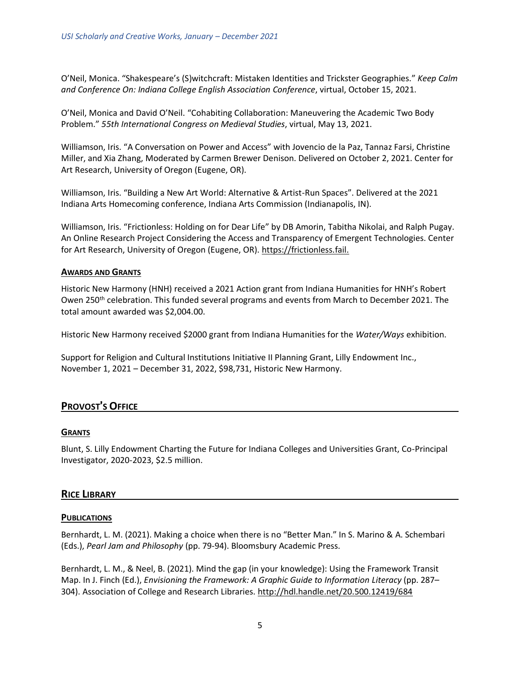O'Neil, Monica. "Shakespeare's (S)witchcraft: Mistaken Identities and Trickster Geographies." *Keep Calm and Conference On: Indiana College English Association Conference*, virtual, October 15, 2021.

O'Neil, Monica and David O'Neil. "Cohabiting Collaboration: Maneuvering the Academic Two Body Problem." *55th International Congress on Medieval Studies*, virtual, May 13, 2021.

Williamson, Iris. "A Conversation on Power and Access" with Jovencio de la Paz, Tannaz Farsi, Christine Miller, and Xia Zhang, Moderated by Carmen Brewer Denison. Delivered on October 2, 2021. Center for Art Research, University of Oregon (Eugene, OR).

Williamson, Iris. "Building a New Art World: Alternative & Artist-Run Spaces". Delivered at the 2021 Indiana Arts Homecoming conference, Indiana Arts Commission (Indianapolis, IN).

Williamson, Iris. "Frictionless: Holding on for Dear Life" by DB Amorin, Tabitha Nikolai, and Ralph Pugay. An Online Research Project Considering the Access and Transparency of Emergent Technologies. Center for Art Research, University of Oregon (Eugene, OR). [https://frictionless.fail.](https://frictionless.fail/)

#### **AWARDS AND GRANTS**

Historic New Harmony (HNH) received a 2021 Action grant from Indiana Humanities for HNH's Robert Owen 250<sup>th</sup> celebration. This funded several programs and events from March to December 2021. The total amount awarded was \$2,004.00.

Historic New Harmony received \$2000 grant from Indiana Humanities for the *Water/Ways* exhibition.

<span id="page-4-0"></span>Support for Religion and Cultural Institutions Initiative II Planning Grant, Lilly Endowment Inc., November 1, 2021 – December 31, 2022, \$98,731, Historic New Harmony.

# **PROVOST**'**S OFFICE**

#### **GRANTS**

<span id="page-4-1"></span>Blunt, S. Lilly Endowment Charting the Future for Indiana Colleges and Universities Grant, Co-Principal Investigator, 2020-2023, \$2.5 million.

# **RICE LIBRARY**

#### **PUBLICATIONS**

Bernhardt, L. M. (2021). Making a choice when there is no "Better Man." In S. Marino & A. Schembari (Eds.), *Pearl Jam and Philosophy* (pp. 79-94). Bloomsbury Academic Press.

Bernhardt, L. M., & Neel, B. (2021). Mind the gap (in your knowledge): Using the Framework Transit Map. In J. Finch (Ed.), *Envisioning the Framework: A Graphic Guide to Information Literacy* (pp. 287– 304). Association of College and Research Libraries. <http://hdl.handle.net/20.500.12419/684>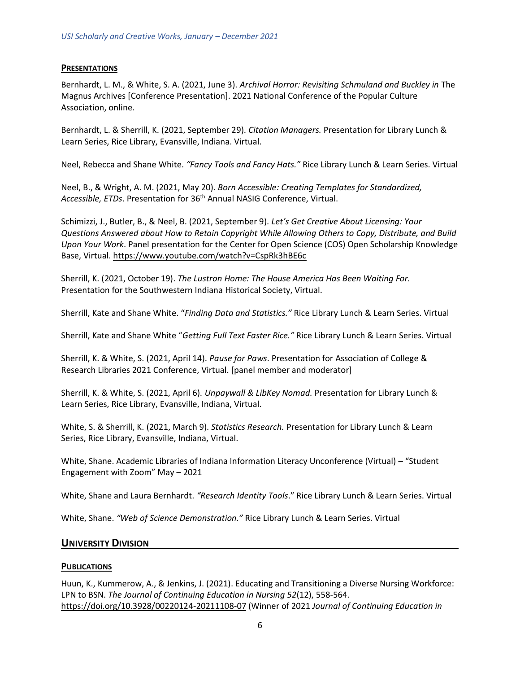#### **PRESENTATIONS**

Bernhardt, L. M., & White, S. A. (2021, June 3). *Archival Horror: Revisiting Schmuland and Buckley in* The Magnus Archives [Conference Presentation]. 2021 National Conference of the Popular Culture Association, online.

Bernhardt, L. & Sherrill, K. (2021, September 29). *Citation Managers.* Presentation for Library Lunch & Learn Series, Rice Library, Evansville, Indiana. Virtual.

Neel, Rebecca and Shane White. *"Fancy Tools and Fancy Hats."* Rice Library Lunch & Learn Series. Virtual

Neel, B., & Wright, A. M. (2021, May 20). *Born Accessible: Creating Templates for Standardized, Accessible, ETDs*. Presentation for 36th Annual NASIG Conference, Virtual.

Schimizzi, J., Butler, B., & Neel, B. (2021, September 9). *Let's Get Creative About Licensing: Your Questions Answered about How to Retain Copyright While Allowing Others to Copy, Distribute, and Build Upon Your Work*. Panel presentation for the Center for Open Science (COS) Open Scholarship Knowledge Base, Virtual. [https://www.youtube.com/watch?v=CspRk3hBE6c](https://nam11.safelinks.protection.outlook.com/?url=https%3A%2F%2Fwww.youtube.com%2Fwatch%3Fv%3DCspRk3hBE6c&data=04%7C01%7Cmarna.hostetler%40usi.edu%7C1e87e8915a21419accfa08da0076902f%7Cae1d882c786b492c90953d81d0a2f615%7C0%7C0%7C637822806510679678%7CUnknown%7CTWFpbGZsb3d8eyJWIjoiMC4wLjAwMDAiLCJQIjoiV2luMzIiLCJBTiI6Ik1haWwiLCJXVCI6Mn0%3D%7C3000&sdata=8LB3vHcG2N1jiN2%2BZYPI%2BMx0mjLfVn%2BlVbv7k4QSQ9Q%3D&reserved=0)

Sherrill, K. (2021, October 19). *The Lustron Home: The House America Has Been Waiting For.* Presentation for the Southwestern Indiana Historical Society, Virtual.

Sherrill, Kate and Shane White. "*Finding Data and Statistics."* Rice Library Lunch & Learn Series. Virtual

Sherrill, Kate and Shane White "*Getting Full Text Faster Rice."* Rice Library Lunch & Learn Series. Virtual

Sherrill, K. & White, S. (2021, April 14). *Pause for Paws*. Presentation for Association of College & Research Libraries 2021 Conference, Virtual. [panel member and moderator]

Sherrill, K. & White, S. (2021, April 6). *Unpaywall & LibKey Nomad.* Presentation for Library Lunch & Learn Series, Rice Library, Evansville, Indiana, Virtual.

White, S. & Sherrill, K. (2021, March 9). *Statistics Research.* Presentation for Library Lunch & Learn Series, Rice Library, Evansville, Indiana, Virtual.

White, Shane. Academic Libraries of Indiana Information Literacy Unconference (Virtual) – "Student Engagement with Zoom" May – 2021

White, Shane and Laura Bernhardt. *"Research Identity Tools*." Rice Library Lunch & Learn Series. Virtual

White, Shane. *"Web of Science Demonstration."* Rice Library Lunch & Learn Series. Virtual

#### **UNIVERSITY DIVISION**

#### **PUBLICATIONS**

Huun, K., Kummerow, A., & Jenkins, J. (2021). Educating and Transitioning a Diverse Nursing Workforce: LPN to BSN. *The Journal of Continuing Education in Nursing 52*(12), 558-564. [https://doi.org/10.3928/00220124-20211108-07](https://nam11.safelinks.protection.outlook.com/?url=https%3A%2F%2Fdoi.org%2F10.3928%2F00220124-20211108-07&data=04%7C01%7Cpbailey%40usi.edu%7C48a62eae90da43a22ded08da1349e02b%7Cae1d882c786b492c90953d81d0a2f615%7C0%7C0%7C637843505259515262%7CUnknown%7CTWFpbGZsb3d8eyJWIjoiMC4wLjAwMDAiLCJQIjoiV2luMzIiLCJBTiI6Ik1haWwiLCJXVCI6Mn0%3D%7C3000&sdata=J0cdZmI6RN%2B9xbFRne%2FRlr2ORXhwtmDy4kL7pGG87Gg%3D&reserved=0) (Winner of 2021 *Journal of Continuing Education in*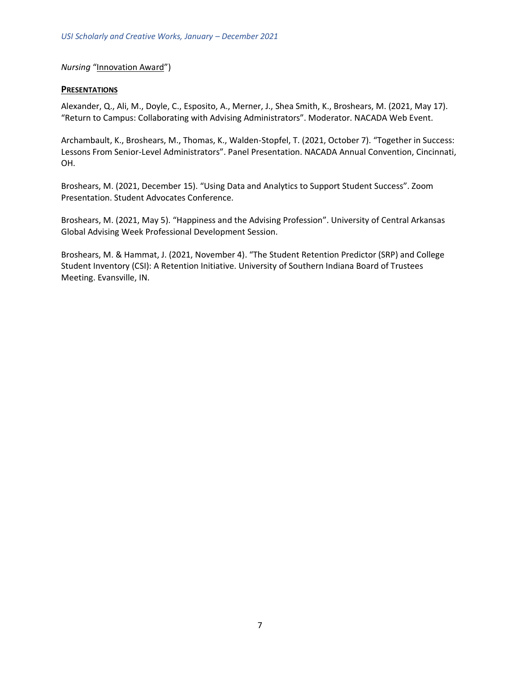#### *Nursing* "[Innovation Award](https://nam11.safelinks.protection.outlook.com/?url=https%3A%2F%2Fjournals.healio.com%2Fjournal%2Fjcen%2Finnovation-award&data=04%7C01%7Cpbailey%40usi.edu%7C48a62eae90da43a22ded08da1349e02b%7Cae1d882c786b492c90953d81d0a2f615%7C0%7C0%7C637843505259515262%7CUnknown%7CTWFpbGZsb3d8eyJWIjoiMC4wLjAwMDAiLCJQIjoiV2luMzIiLCJBTiI6Ik1haWwiLCJXVCI6Mn0%3D%7C3000&sdata=DWrIvlWaLLHmsM3ugQAIAqg3%2B397l8YazxZbTUpqb%2BE%3D&reserved=0)")

#### **PRESENTATIONS**

Alexander, Q., Ali, M., Doyle, C., Esposito, A., Merner, J., Shea Smith, K., Broshears, M. (2021, May 17). "Return to Campus: Collaborating with Advising Administrators". Moderator. NACADA Web Event.

Archambault, K., Broshears, M., Thomas, K., Walden-Stopfel, T. (2021, October 7). "Together in Success: Lessons From Senior-Level Administrators". Panel Presentation. NACADA Annual Convention, Cincinnati, OH.

Broshears, M. (2021, December 15). "Using Data and Analytics to Support Student Success". Zoom Presentation. Student Advocates Conference.

Broshears, M. (2021, May 5). "Happiness and the Advising Profession". University of Central Arkansas Global Advising Week Professional Development Session.

Broshears, M. & Hammat, J. (2021, November 4). "The Student Retention Predictor (SRP) and College Student Inventory (CSI): A Retention Initiative. University of Southern Indiana Board of Trustees Meeting. Evansville, IN.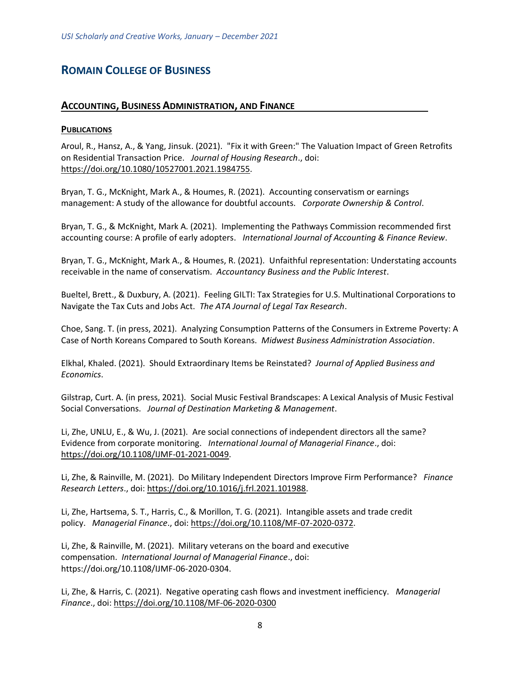# <span id="page-7-1"></span><span id="page-7-0"></span>**ROMAIN COLLEGE OF BUSINESS**

#### **ACCOUNTING, BUSINESS ADMINISTRATION, AND FINANCE**

#### **PUBLICATIONS**

Aroul, R., Hansz, A., & Yang, Jinsuk. (2021). "Fix it with Green:" The Valuation Impact of Green Retrofits on Residential Transaction Price. *Journal of Housing Research*., doi: [https://doi.org/10.1080/10527001.2021.1984755.](https://doi.org/10.1080/10527001.2021.1984755)

Bryan, T. G., McKnight, Mark A., & Houmes, R. (2021). Accounting conservatism or earnings management: A study of the allowance for doubtful accounts. *Corporate Ownership & Control*.

Bryan, T. G., & McKnight, Mark A. (2021). Implementing the Pathways Commission recommended first accounting course: A profile of early adopters. *International Journal of Accounting & Finance Review*.

Bryan, T. G., McKnight, Mark A., & Houmes, R. (2021). Unfaithful representation: Understating accounts receivable in the name of conservatism. *Accountancy Business and the Public Interest*.

Bueltel, Brett., & Duxbury, A. (2021). Feeling GILTI: Tax Strategies for U.S. Multinational Corporations to Navigate the Tax Cuts and Jobs Act. *The ATA Journal of Legal Tax Research*.

Choe, Sang. T. (in press, 2021). Analyzing Consumption Patterns of the Consumers in Extreme Poverty: A Case of North Koreans Compared to South Koreans. *Midwest Business Administration Association*.

Elkhal, Khaled. (2021). Should Extraordinary Items be Reinstated? *Journal of Applied Business and Economics*.

Gilstrap, Curt. A. (in press, 2021). Social Music Festival Brandscapes: A Lexical Analysis of Music Festival Social Conversations. *Journal of Destination Marketing & Management*.

Li, Zhe, UNLU, E., & Wu, J. (2021). Are social connections of independent directors all the same? Evidence from corporate monitoring. *International Journal of Managerial Finance*., doi: [https://doi.org/10.1108/IJMF-01-2021-0049.](https://doi.org/10.1108/IJMF-01-2021-0049)

Li, Zhe, & Rainville, M. (2021). Do Military Independent Directors Improve Firm Performance? *Finance Research Letters*., doi: [https://doi.org/10.1016/j.frl.2021.101988.](https://doi.org/10.1016/j.frl.2021.101988)

Li, Zhe, Hartsema, S. T., Harris, C., & Morillon, T. G. (2021). Intangible assets and trade credit policy. *Managerial Finance*., doi[: https://doi.org/10.1108/MF-07-2020-0372.](https://doi.org/10.1108/MF-07-2020-0372)

Li, Zhe, & Rainville, M. (2021). Military veterans on the board and executive compensation. *International Journal of Managerial Finance*., doi: https://doi.org/10.1108/IJMF-06-2020-0304.

Li, Zhe, & Harris, C. (2021). Negative operating cash flows and investment inefficiency. *Managerial Finance*., doi:<https://doi.org/10.1108/MF-06-2020-0300>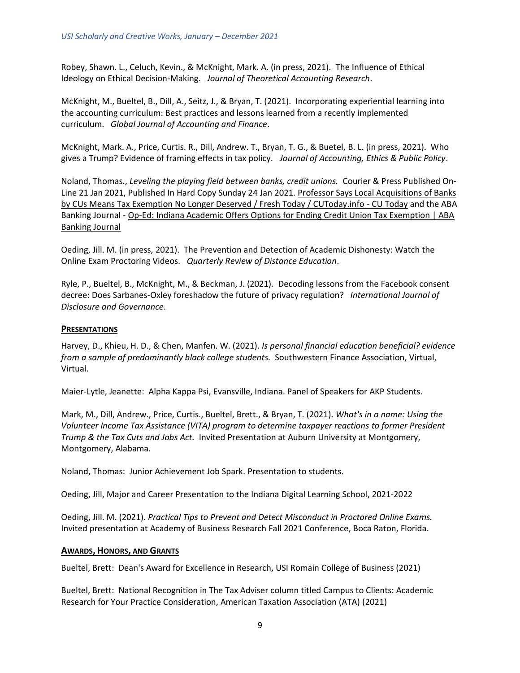Robey, Shawn. L., Celuch, Kevin., & McKnight, Mark. A. (in press, 2021). The Influence of Ethical Ideology on Ethical Decision-Making. *Journal of Theoretical Accounting Research*.

McKnight, M., Bueltel, B., Dill, A., Seitz, J., & Bryan, T. (2021). Incorporating experiential learning into the accounting curriculum: Best practices and lessons learned from a recently implemented curriculum. *Global Journal of Accounting and Finance*.

McKnight, Mark. A., Price, Curtis. R., Dill, Andrew. T., Bryan, T. G., & Buetel, B. L. (in press, 2021). Who gives a Trump? Evidence of framing effects in tax policy. *Journal of Accounting, Ethics & Public Policy*.

Noland, Thomas., *Leveling the playing field between banks, credit unions.* Courier & Press Published On-Line 21 Jan 2021, Published In Hard Copy Sunday 24 Jan 2021[. Professor Says Local Acquisitions of Banks](https://www.cutoday.info/site/layout/set/print/Fresh-Today/Professor-Says-Local-Acquisitions-of-Banks-by-CUs-Means-Tax-Exemption-No-Longer-Deserved)  by [CUs Means Tax Exemption No Longer Deserved / Fresh Today / CUToday.info -](https://www.cutoday.info/site/layout/set/print/Fresh-Today/Professor-Says-Local-Acquisitions-of-Banks-by-CUs-Means-Tax-Exemption-No-Longer-Deserved) CU Today and the ABA Banking Journal - [Op-Ed: Indiana Academic Offers Options for Ending Credit Union Tax Exemption | ABA](https://bankingjournal.aba.com/2021/01/op-ed-indiana-academic-offers-options-for-ending-credit-union-tax-exemption/)  [Banking Journal](https://bankingjournal.aba.com/2021/01/op-ed-indiana-academic-offers-options-for-ending-credit-union-tax-exemption/)

Oeding, Jill. M. (in press, 2021). The Prevention and Detection of Academic Dishonesty: Watch the Online Exam Proctoring Videos. *Quarterly Review of Distance Education*.

Ryle, P., Bueltel, B., McKnight, M., & Beckman, J. (2021). Decoding lessons from the Facebook consent decree: Does Sarbanes-Oxley foreshadow the future of privacy regulation? *International Journal of Disclosure and Governance*.

#### **PRESENTATIONS**

Harvey, D., Khieu, H. D., & Chen, Manfen. W. (2021). *Is personal financial education beneficial? evidence from a sample of predominantly black college students.* Southwestern Finance Association, Virtual, Virtual.

Maier-Lytle, Jeanette: Alpha Kappa Psi, Evansville, Indiana. Panel of Speakers for AKP Students.

Mark, M., Dill, Andrew., Price, Curtis., Bueltel, Brett., & Bryan, T. (2021). *What's in a name: Using the Volunteer Income Tax Assistance (VITA) program to determine taxpayer reactions to former President Trump & the Tax Cuts and Jobs Act.* Invited Presentation at Auburn University at Montgomery, Montgomery, Alabama.

Noland, Thomas: Junior Achievement Job Spark. Presentation to students.

Oeding, Jill, Major and Career Presentation to the Indiana Digital Learning School, 2021-2022

Oeding, Jill. M. (2021). *Practical Tips to Prevent and Detect Misconduct in Proctored Online Exams.* Invited presentation at Academy of Business Research Fall 2021 Conference, Boca Raton, Florida.

#### **AWARDS, HONORS, AND GRANTS**

Bueltel, Brett: Dean's Award for Excellence in Research, USI Romain College of Business (2021)

Bueltel, Brett: National Recognition in The Tax Adviser column titled Campus to Clients: Academic Research for Your Practice Consideration, American Taxation Association (ATA) (2021)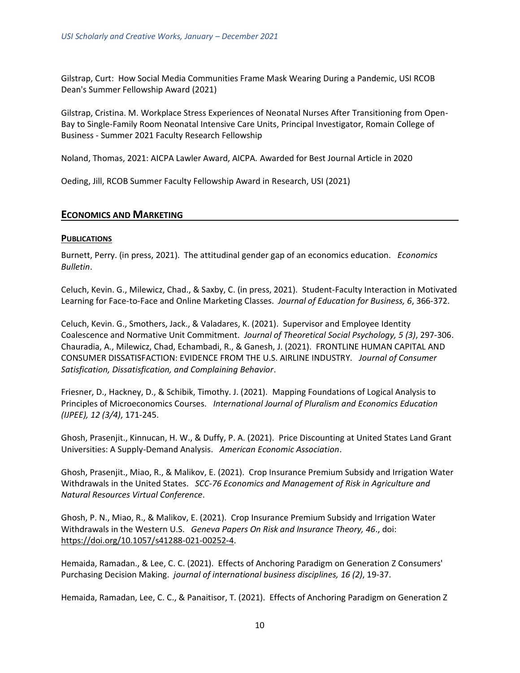Gilstrap, Curt: How Social Media Communities Frame Mask Wearing During a Pandemic, USI RCOB Dean's Summer Fellowship Award (2021)

Gilstrap, Cristina. M. Workplace Stress Experiences of Neonatal Nurses After Transitioning from Open-Bay to Single-Family Room Neonatal Intensive Care Units, Principal Investigator, Romain College of Business - Summer 2021 Faculty Research Fellowship

Noland, Thomas, 2021: AICPA Lawler Award, AICPA. Awarded for Best Journal Article in 2020

<span id="page-9-0"></span>Oeding, Jill, RCOB Summer Faculty Fellowship Award in Research, USI (2021)

#### **ECONOMICS AND MARKETING**

#### **PUBLICATIONS**

Burnett, Perry. (in press, 2021). The attitudinal gender gap of an economics education. *Economics Bulletin*.

Celuch, Kevin. G., Milewicz, Chad., & Saxby, C. (in press, 2021). Student-Faculty Interaction in Motivated Learning for Face-to-Face and Online Marketing Classes. *Journal of Education for Business, 6*, 366-372.

Celuch, Kevin. G., Smothers, Jack., & Valadares, K. (2021). Supervisor and Employee Identity Coalescence and Normative Unit Commitment. *Journal of Theoretical Social Psychology, 5 (3)*, 297-306. Chauradia, A., Milewicz, Chad, Echambadi, R., & Ganesh, J. (2021). FRONTLINE HUMAN CAPITAL AND CONSUMER DISSATISFACTION: EVIDENCE FROM THE U.S. AIRLINE INDUSTRY. *Journal of Consumer Satisfication, Dissatisfication, and Complaining Behavior*.

Friesner, D., Hackney, D., & Schibik, Timothy. J. (2021). Mapping Foundations of Logical Analysis to Principles of Microeconomics Courses. *International Journal of Pluralism and Economics Education (IJPEE), 12 (3/4)*, 171-245.

Ghosh, Prasenjit., Kinnucan, H. W., & Duffy, P. A. (2021). Price Discounting at United States Land Grant Universities: A Supply-Demand Analysis. *American Economic Association*.

Ghosh, Prasenjit., Miao, R., & Malikov, E. (2021). Crop Insurance Premium Subsidy and Irrigation Water Withdrawals in the United States. *SCC-76 Economics and Management of Risk in Agriculture and Natural Resources Virtual Conference*.

Ghosh, P. N., Miao, R., & Malikov, E. (2021). Crop Insurance Premium Subsidy and Irrigation Water Withdrawals in the Western U.S. *Geneva Papers On Risk and Insurance Theory, 46*., doi: [https://doi.org/10.1057/s41288-021-00252-4.](https://doi.org/10.1057/s41288-021-00252-4)

Hemaida, Ramadan., & Lee, C. C. (2021). Effects of Anchoring Paradigm on Generation Z Consumers' Purchasing Decision Making. *journal of international business disciplines, 16 (2)*, 19-37.

Hemaida, Ramadan, Lee, C. C., & Panaitisor, T. (2021). Effects of Anchoring Paradigm on Generation Z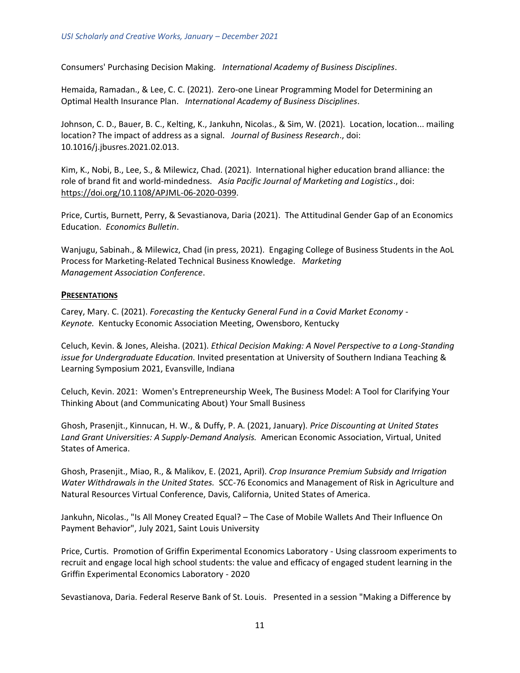Consumers' Purchasing Decision Making. *International Academy of Business Disciplines*.

Hemaida, Ramadan., & Lee, C. C. (2021). Zero-one Linear Programming Model for Determining an Optimal Health Insurance Plan. *International Academy of Business Disciplines*.

Johnson, C. D., Bauer, B. C., Kelting, K., Jankuhn, Nicolas., & Sim, W. (2021). Location, location... mailing location? The impact of address as a signal. *Journal of Business Research*., doi: 10.1016/j.jbusres.2021.02.013.

Kim, K., Nobi, B., Lee, S., & Milewicz, Chad. (2021). International higher education brand alliance: the role of brand fit and world-mindedness. *Asia Pacific Journal of Marketing and Logistics*., doi: [https://doi.org/10.1108/APJML-06-2020-0399.](https://doi.org/10.1108/APJML-06-2020-0399)

Price, Curtis, Burnett, Perry, & Sevastianova, Daria (2021). The Attitudinal Gender Gap of an Economics Education. *Economics Bulletin*.

Wanjugu, Sabinah., & Milewicz, Chad (in press, 2021). Engaging College of Business Students in the AoL Process for Marketing-Related Technical Business Knowledge. *Marketing Management Association Conference*.

#### **PRESENTATIONS**

Carey, Mary. C. (2021). *Forecasting the Kentucky General Fund in a Covid Market Economy - Keynote.* Kentucky Economic Association Meeting, Owensboro, Kentucky

Celuch, Kevin. & Jones, Aleisha. (2021). *Ethical Decision Making: A Novel Perspective to a Long-Standing issue for Undergraduate Education.* Invited presentation at University of Southern Indiana Teaching & Learning Symposium 2021, Evansville, Indiana

Celuch, Kevin. 2021: Women's Entrepreneurship Week, The Business Model: A Tool for Clarifying Your Thinking About (and Communicating About) Your Small Business

Ghosh, Prasenjit., Kinnucan, H. W., & Duffy, P. A. (2021, January). *Price Discounting at United States Land Grant Universities: A Supply-Demand Analysis.* American Economic Association, Virtual, United States of America.

Ghosh, Prasenjit., Miao, R., & Malikov, E. (2021, April). *Crop Insurance Premium Subsidy and Irrigation Water Withdrawals in the United States.* SCC-76 Economics and Management of Risk in Agriculture and Natural Resources Virtual Conference, Davis, California, United States of America.

Jankuhn, Nicolas., "Is All Money Created Equal? – The Case of Mobile Wallets And Their Influence On Payment Behavior", July 2021, Saint Louis University

Price, Curtis. Promotion of Griffin Experimental Economics Laboratory - Using classroom experiments to recruit and engage local high school students: the value and efficacy of engaged student learning in the Griffin Experimental Economics Laboratory - 2020

Sevastianova, Daria. Federal Reserve Bank of St. Louis. Presented in a session "Making a Difference by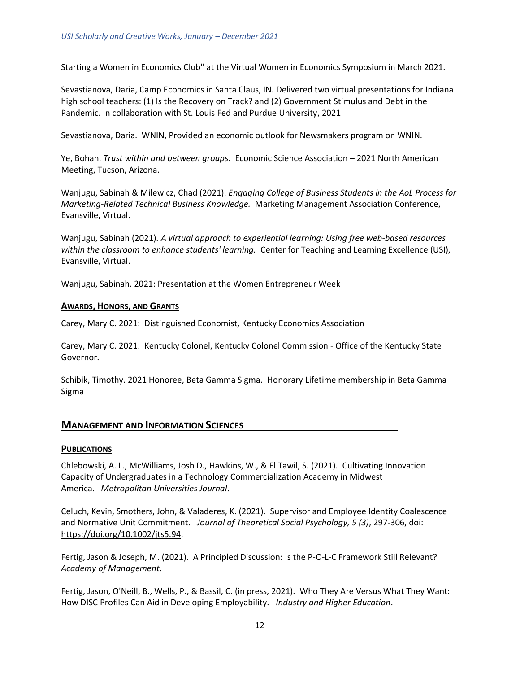Starting a Women in Economics Club" at the Virtual Women in Economics Symposium in March 2021.

Sevastianova, Daria, Camp Economics in Santa Claus, IN. Delivered two virtual presentations for Indiana high school teachers: (1) Is the Recovery on Track? and (2) Government Stimulus and Debt in the Pandemic. In collaboration with St. Louis Fed and Purdue University, 2021

Sevastianova, Daria. WNIN, Provided an economic outlook for Newsmakers program on WNIN.

Ye, Bohan. *Trust within and between groups.* Economic Science Association – 2021 North American Meeting, Tucson, Arizona.

Wanjugu, Sabinah & Milewicz, Chad (2021). *Engaging College of Business Students in the AoL Process for Marketing-Related Technical Business Knowledge.* Marketing Management Association Conference, Evansville, Virtual.

Wanjugu, Sabinah (2021). *A virtual approach to experiential learning: Using free web-based resources within the classroom to enhance students' learning.* Center for Teaching and Learning Excellence (USI), Evansville, Virtual.

Wanjugu, Sabinah. 2021: Presentation at the Women Entrepreneur Week

#### **AWARDS, HONORS, AND GRANTS**

Carey, Mary C. 2021: Distinguished Economist, Kentucky Economics Association

Carey, Mary C. 2021: Kentucky Colonel, Kentucky Colonel Commission - Office of the Kentucky State Governor.

<span id="page-11-0"></span>Schibik, Timothy. 2021 Honoree, Beta Gamma Sigma. Honorary Lifetime membership in Beta Gamma Sigma

#### **MANAGEMENT AND INFORMATION SCIENCES**

#### **PUBLICATIONS**

Chlebowski, A. L., McWilliams, Josh D., Hawkins, W., & El Tawil, S. (2021). Cultivating Innovation Capacity of Undergraduates in a Technology Commercialization Academy in Midwest America. *Metropolitan Universities Journal*.

Celuch, Kevin, Smothers, John, & Valaderes, K. (2021). Supervisor and Employee Identity Coalescence and Normative Unit Commitment. *Journal of Theoretical Social Psychology, 5 (3)*, 297-306, doi: [https://doi.org/10.1002/jts5.94.](https://doi.org/10.1002/jts5.94)

Fertig, Jason & Joseph, M. (2021). A Principled Discussion: Is the P-O-L-C Framework Still Relevant? *Academy of Management*.

Fertig, Jason, O'Neill, B., Wells, P., & Bassil, C. (in press, 2021). Who They Are Versus What They Want: How DISC Profiles Can Aid in Developing Employability. *Industry and Higher Education*.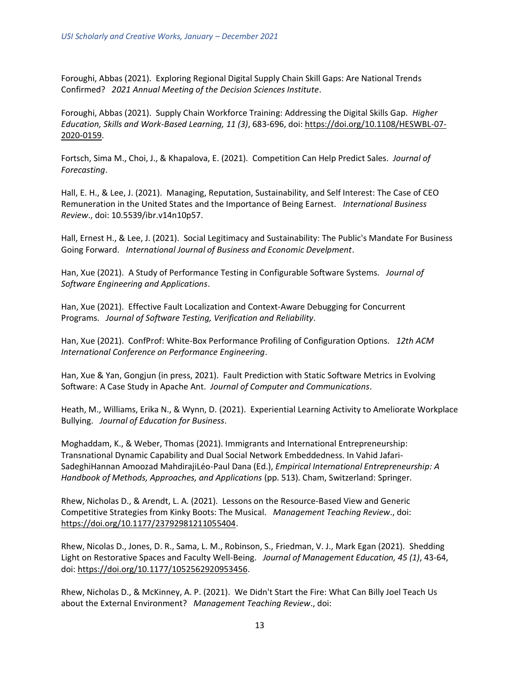Foroughi, Abbas (2021). Exploring Regional Digital Supply Chain Skill Gaps: Are National Trends Confirmed? *2021 Annual Meeting of the Decision Sciences Institute*.

Foroughi, Abbas (2021). Supply Chain Workforce Training: Addressing the Digital Skills Gap. *Higher Education, Skills and Work-Based Learning, 11 (3)*, 683-696, doi: [https://doi.org/10.1108/HESWBL-07-](https://doi.org/10.1108/HESWBL-07-2020-0159) [2020-0159.](https://doi.org/10.1108/HESWBL-07-2020-0159)

Fortsch, Sima M., Choi, J., & Khapalova, E. (2021). Competition Can Help Predict Sales. *Journal of Forecasting*.

Hall, E. H., & Lee, J. (2021). Managing, Reputation, Sustainability, and Self Interest: The Case of CEO Remuneration in the United States and the Importance of Being Earnest. *International Business Review*., doi: 10.5539/ibr.v14n10p57.

Hall, Ernest H., & Lee, J. (2021). Social Legitimacy and Sustainability: The Public's Mandate For Business Going Forward. *International Journal of Business and Economic Develpment*.

Han, Xue (2021). A Study of Performance Testing in Configurable Software Systems. *Journal of Software Engineering and Applications*.

Han, Xue (2021). Effective Fault Localization and Context-Aware Debugging for Concurrent Programs. *Journal of Software Testing, Verification and Reliability*.

Han, Xue (2021). ConfProf: White-Box Performance Profiling of Configuration Options. *12th ACM International Conference on Performance Engineering*.

Han, Xue & Yan, Gongjun (in press, 2021). Fault Prediction with Static Software Metrics in Evolving Software: A Case Study in Apache Ant. *Journal of Computer and Communications*.

Heath, M., Williams, Erika N., & Wynn, D. (2021). Experiential Learning Activity to Ameliorate Workplace Bullying. *Journal of Education for Business*.

Moghaddam, K., & Weber, Thomas (2021). Immigrants and International Entrepreneurship: Transnational Dynamic Capability and Dual Social Network Embeddedness. In Vahid Jafari-SadeghiHannan Amoozad MahdirajiLéo-Paul Dana (Ed.), *Empirical International Entrepreneurship: A Handbook of Methods, Approaches, and Applications* (pp. 513). Cham, Switzerland: Springer.

Rhew, Nicholas D., & Arendt, L. A. (2021). Lessons on the Resource-Based View and Generic Competitive Strategies from Kinky Boots: The Musical. *Management Teaching Review*., doi: [https://doi.org/10.1177/23792981211055404.](https://doi.org/10.1177/23792981211055404)

Rhew, Nicolas D., Jones, D. R., Sama, L. M., Robinson, S., Friedman, V. J., Mark Egan (2021). Shedding Light on Restorative Spaces and Faculty Well-Being. *Journal of Management Education, 45 (1)*, 43-64, doi: [https://doi.org/10.1177/1052562920953456.](https://doi.org/10.1177/1052562920953456)

Rhew, Nicholas D., & McKinney, A. P. (2021). We Didn't Start the Fire: What Can Billy Joel Teach Us about the External Environment? *Management Teaching Review*., doi: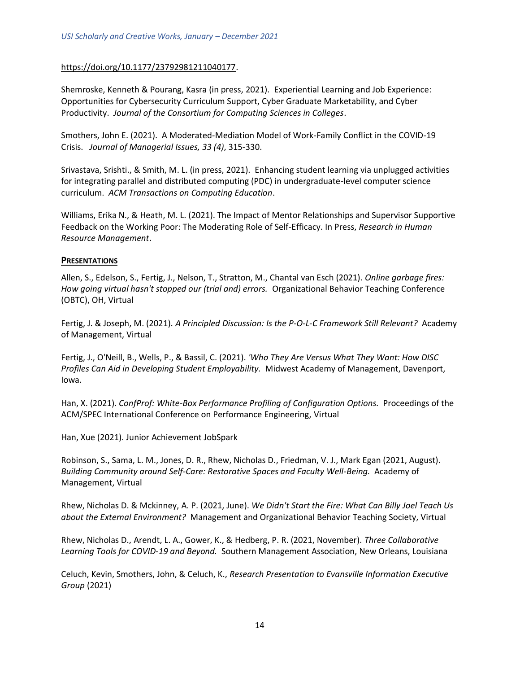#### [https://doi.org/10.1177/23792981211040177.](https://doi.org/10.1177/23792981211040177)

Shemroske, Kenneth & Pourang, Kasra (in press, 2021). Experiential Learning and Job Experience: Opportunities for Cybersecurity Curriculum Support, Cyber Graduate Marketability, and Cyber Productivity. *Journal of the Consortium for Computing Sciences in Colleges*.

Smothers, John E. (2021). A Moderated-Mediation Model of Work-Family Conflict in the COVID-19 Crisis. *Journal of Managerial Issues, 33 (4)*, 315-330.

Srivastava, Srishti., & Smith, M. L. (in press, 2021). Enhancing student learning via unplugged activities for integrating parallel and distributed computing (PDC) in undergraduate-level computer science curriculum. *ACM Transactions on Computing Education*.

Williams, Erika N., & Heath, M. L. (2021). The Impact of Mentor Relationships and Supervisor Supportive Feedback on the Working Poor: The Moderating Role of Self-Efficacy. In Press, *Research in Human Resource Management*.

#### **PRESENTATIONS**

Allen, S., Edelson, S., Fertig, J., Nelson, T., Stratton, M., Chantal van Esch (2021). *Online garbage fires: How going virtual hasn't stopped our (trial and) errors.* Organizational Behavior Teaching Conference (OBTC), OH, Virtual

Fertig, J. & Joseph, M. (2021). *A Principled Discussion: Is the P-O-L-C Framework Still Relevant?* Academy of Management, Virtual

Fertig, J., O'Neill, B., Wells, P., & Bassil, C. (2021). *'Who They Are Versus What They Want: How DISC Profiles Can Aid in Developing Student Employability.* Midwest Academy of Management, Davenport, Iowa.

Han, X. (2021). *ConfProf: White-Box Performance Profiling of Configuration Options.* Proceedings of the ACM/SPEC International Conference on Performance Engineering, Virtual

Han, Xue (2021). Junior Achievement JobSpark

Robinson, S., Sama, L. M., Jones, D. R., Rhew, Nicholas D., Friedman, V. J., Mark Egan (2021, August). *Building Community around Self-Care: Restorative Spaces and Faculty Well-Being.* Academy of Management, Virtual

Rhew, Nicholas D. & Mckinney, A. P. (2021, June). *We Didn't Start the Fire: What Can Billy Joel Teach Us about the External Environment?* Management and Organizational Behavior Teaching Society, Virtual

Rhew, Nicholas D., Arendt, L. A., Gower, K., & Hedberg, P. R. (2021, November). *Three Collaborative Learning Tools for COVID-19 and Beyond.* Southern Management Association, New Orleans, Louisiana

Celuch, Kevin, Smothers, John, & Celuch, K., *Research Presentation to Evansville Information Executive Group* (2021)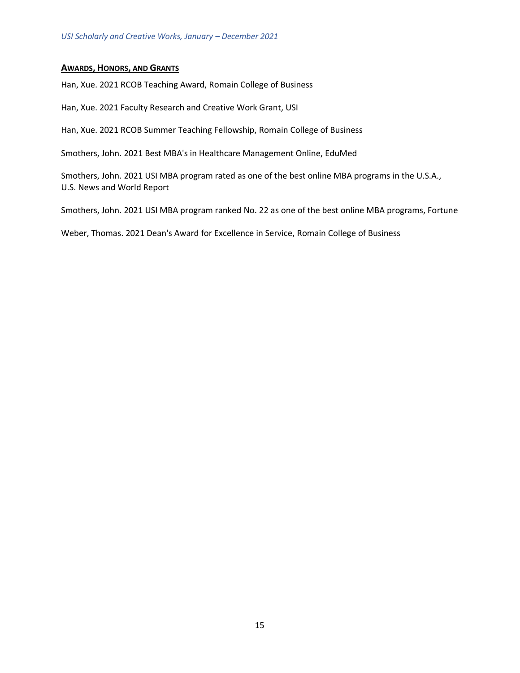#### **AWARDS, HONORS, AND GRANTS**

Han, Xue. 2021 RCOB Teaching Award, Romain College of Business

Han, Xue. 2021 Faculty Research and Creative Work Grant, USI

Han, Xue. 2021 RCOB Summer Teaching Fellowship, Romain College of Business

Smothers, John. 2021 Best MBA's in Healthcare Management Online, EduMed

Smothers, John. 2021 USI MBA program rated as one of the best online MBA programs in the U.S.A., U.S. News and World Report

Smothers, John. 2021 USI MBA program ranked No. 22 as one of the best online MBA programs, Fortune

Weber, Thomas. 2021 Dean's Award for Excellence in Service, Romain College of Business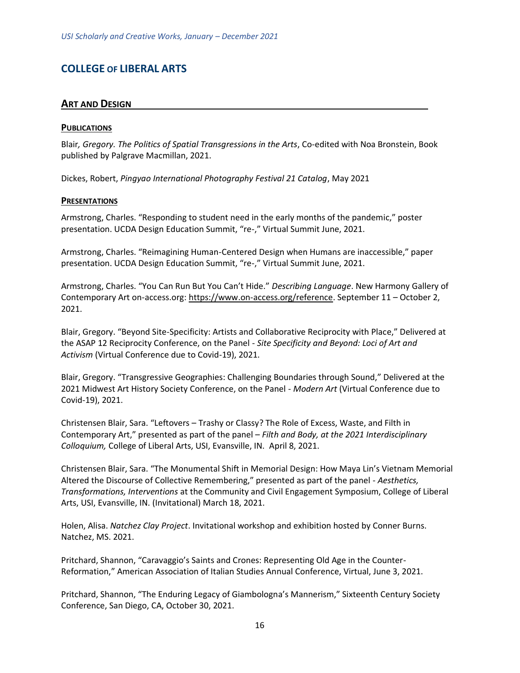# <span id="page-15-1"></span><span id="page-15-0"></span>**COLLEGE OF LIBERAL ARTS**

# **ART AND DESIGN**

#### **PUBLICATIONS**

Blair*, Gregory. The Politics of Spatial Transgressions in the Arts*, Co-edited with Noa Bronstein, Book published by Palgrave Macmillan, 2021.

Dickes, Robert, *Pingyao International Photography Festival 21 Catalog*, May 2021

#### **PRESENTATIONS**

Armstrong, Charles. "Responding to student need in the early months of the pandemic," poster presentation. UCDA Design Education Summit, "re-," Virtual Summit June, 2021.

Armstrong, Charles. "Reimagining Human-Centered Design when Humans are inaccessible," paper presentation. UCDA Design Education Summit, "re-," Virtual Summit June, 2021.

Armstrong, Charles. "You Can Run But You Can't Hide." *Describing Language*. New Harmony Gallery of Contemporary Art on-access.org: [https://www.on-access.org/reference.](https://www.on-access.org/reference) September 11 – October 2, 2021.

Blair, Gregory. "Beyond Site-Specificity: Artists and Collaborative Reciprocity with Place," Delivered at the ASAP 12 Reciprocity Conference, on the Panel - *Site Specificity and Beyond: Loci of Art and Activism* (Virtual Conference due to Covid-19), 2021.

Blair, Gregory. "Transgressive Geographies: Challenging Boundaries through Sound," Delivered at the 2021 Midwest Art History Society Conference, on the Panel - *Modern Art* (Virtual Conference due to Covid-19), 2021.

Christensen Blair, Sara. "Leftovers – Trashy or Classy? The Role of Excess, Waste, and Filth in Contemporary Art," presented as part of the panel – *Filth and Body, at the 2021 Interdisciplinary Colloquium,* College of Liberal Arts, USI, Evansville, IN. April 8, 2021.

Christensen Blair, Sara. "The Monumental Shift in Memorial Design: How Maya Lin's Vietnam Memorial Altered the Discourse of Collective Remembering," presented as part of the panel - *Aesthetics, Transformations, Interventions* at the Community and Civil Engagement Symposium, College of Liberal Arts, USI, Evansville, IN. (Invitational) March 18, 2021.

Holen, Alisa. *Natchez Clay Project*. Invitational workshop and exhibition hosted by Conner Burns. Natchez, MS. 2021.

Pritchard, Shannon, "Caravaggio's Saints and Crones: Representing Old Age in the Counter-Reformation," American Association of Italian Studies Annual Conference, Virtual, June 3, 2021.

Pritchard, Shannon, "The Enduring Legacy of Giambologna's Mannerism," Sixteenth Century Society Conference, San Diego, CA, October 30, 2021.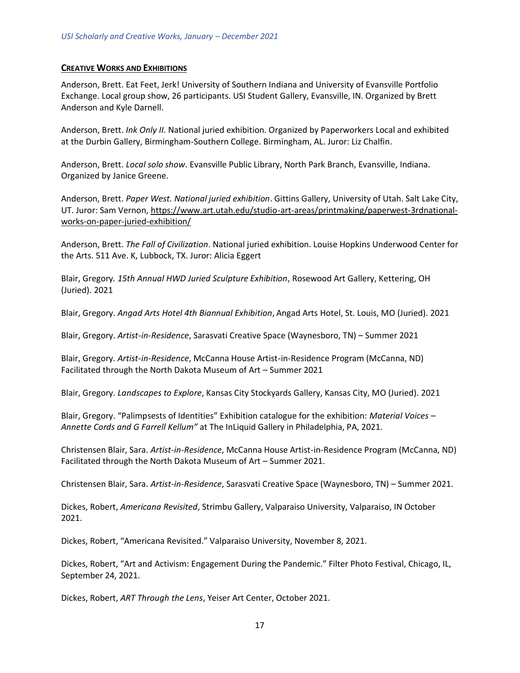#### **CREATIVE WORKS AND EXHIBITIONS**

Anderson, Brett. Eat Feet, Jerk! University of Southern Indiana and University of Evansville Portfolio Exchange. Local group show, 26 participants. USI Student Gallery, Evansville, IN. Organized by Brett Anderson and Kyle Darnell.

Anderson, Brett. *Ink Only II*. National juried exhibition. Organized by Paperworkers Local and exhibited at the Durbin Gallery, Birmingham-Southern College. Birmingham, AL. Juror: Liz Chalfin.

Anderson, Brett. *Local solo show*. Evansville Public Library, North Park Branch, Evansville, Indiana. Organized by Janice Greene.

Anderson, Brett. *Paper West. National juried exhibition*. Gittins Gallery, University of Utah. Salt Lake City, UT. Juror: Sam Vernon, [https://www.art.utah.edu/studio-art-areas/printmaking/paperwest-3rdnational](https://www.art.utah.edu/studio-art-areas/printmaking/paperwest-3rdnational-works-on-paper-juried-exhibition/)[works-on-paper-juried-exhibition/](https://www.art.utah.edu/studio-art-areas/printmaking/paperwest-3rdnational-works-on-paper-juried-exhibition/)

Anderson, Brett. *The Fall of Civilization*. National juried exhibition. Louise Hopkins Underwood Center for the Arts. 511 Ave. K, Lubbock, TX. Juror: Alicia Eggert

Blair, Gregory*. 15th Annual HWD Juried Sculpture Exhibition*, Rosewood Art Gallery, Kettering, OH (Juried). 2021

Blair, Gregory. *Angad Arts Hotel 4th Biannual Exhibition*, Angad Arts Hotel, St. Louis, MO (Juried). 2021

Blair, Gregory. *Artist-in-Residence*, Sarasvati Creative Space (Waynesboro, TN) – Summer 2021

Blair, Gregory. *Artist-in-Residence*, McCanna House Artist-in-Residence Program (McCanna, ND) Facilitated through the North Dakota Museum of Art – Summer 2021

Blair, Gregory. *Landscapes to Explore*, Kansas City Stockyards Gallery, Kansas City, MO (Juried). 2021

Blair, Gregory. "Palimpsests of Identities" Exhibition catalogue for the exhibition: *Material Voices – Annette Cords and G Farrell Kellum"* at The InLiquid Gallery in Philadelphia, PA, 2021.

Christensen Blair, Sara. *Artist-in-Residence*, McCanna House Artist-in-Residence Program (McCanna, ND) Facilitated through the North Dakota Museum of Art – Summer 2021.

Christensen Blair, Sara. *Artist-in-Residence*, Sarasvati Creative Space (Waynesboro, TN) – Summer 2021.

Dickes, Robert, *Americana Revisited*, Strimbu Gallery, Valparaiso University, Valparaiso, IN October 2021.

Dickes, Robert, "Americana Revisited." Valparaiso University, November 8, 2021.

Dickes, Robert, "Art and Activism: Engagement During the Pandemic." Filter Photo Festival, Chicago, IL, September 24, 2021.

Dickes, Robert, *ART Through the Lens*, Yeiser Art Center, October 2021.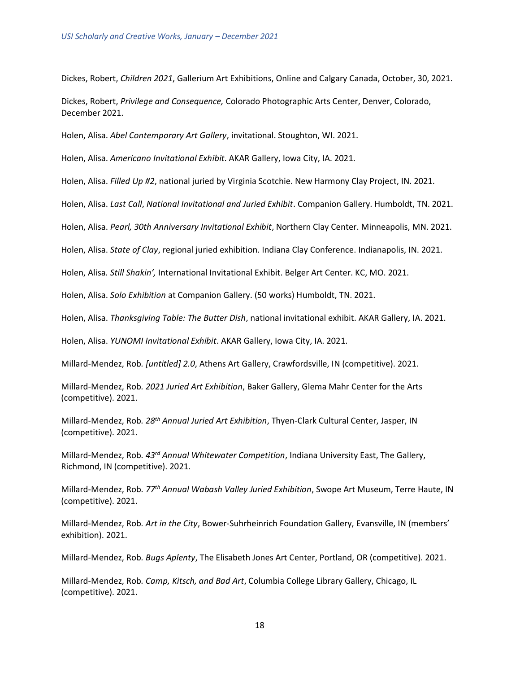Dickes, Robert, *Children 2021*, Gallerium Art Exhibitions, Online and Calgary Canada, October, 30, 2021.

Dickes, Robert, *Privilege and Consequence,* Colorado Photographic Arts Center, Denver, Colorado, December 2021.

Holen, Alisa. *Abel Contemporary Art Gallery*, invitational. Stoughton, WI. 2021.

Holen, Alisa. *Americano Invitational Exhibit*. AKAR Gallery, Iowa City, IA. 2021.

Holen, Alisa. *Filled Up #2*, national juried by Virginia Scotchie. New Harmony Clay Project, IN. 2021.

Holen, Alisa. *Last Call*, *National Invitational and Juried Exhibit*. Companion Gallery. Humboldt, TN. 2021.

Holen, Alisa. *Pearl, 30th Anniversary Invitational Exhibit*, Northern Clay Center. Minneapolis, MN. 2021.

Holen, Alisa. *State of Clay*, regional juried exhibition. Indiana Clay Conference. Indianapolis, IN. 2021.

Holen, Alisa*. Still Shakin',* International Invitational Exhibit. Belger Art Center. KC, MO. 2021.

Holen, Alisa. *Solo Exhibition* at Companion Gallery. (50 works) Humboldt, TN. 2021.

Holen, Alisa. *Thanksgiving Table: The Butter Dish*, national invitational exhibit. AKAR Gallery, IA. 2021.

Holen, Alisa. *YUNOMI Invitational Exhibit*. AKAR Gallery, Iowa City, IA. 2021.

Millard-Mendez, Rob*. [untitled] 2.0*, Athens Art Gallery, Crawfordsville, IN (competitive). 2021.

Millard-Mendez, Rob*. 2021 Juried Art Exhibition*, Baker Gallery, Glema Mahr Center for the Arts (competitive). 2021.

Millard-Mendez, Rob*. 28th Annual Juried Art Exhibition*, Thyen-Clark Cultural Center, Jasper, IN (competitive). 2021.

Millard-Mendez, Rob*. 43rd Annual Whitewater Competition*, Indiana University East, The Gallery, Richmond, IN (competitive). 2021.

Millard-Mendez, Rob*. 77th Annual Wabash Valley Juried Exhibition*, Swope Art Museum, Terre Haute, IN (competitive). 2021.

Millard-Mendez, Rob*. Art in the City*, Bower-Suhrheinrich Foundation Gallery, Evansville, IN (members' exhibition). 2021.

Millard-Mendez, Rob*. Bugs Aplenty*, The Elisabeth Jones Art Center, Portland, OR (competitive). 2021.

Millard-Mendez, Rob*. Camp, Kitsch, and Bad Art*, Columbia College Library Gallery, Chicago, IL (competitive). 2021.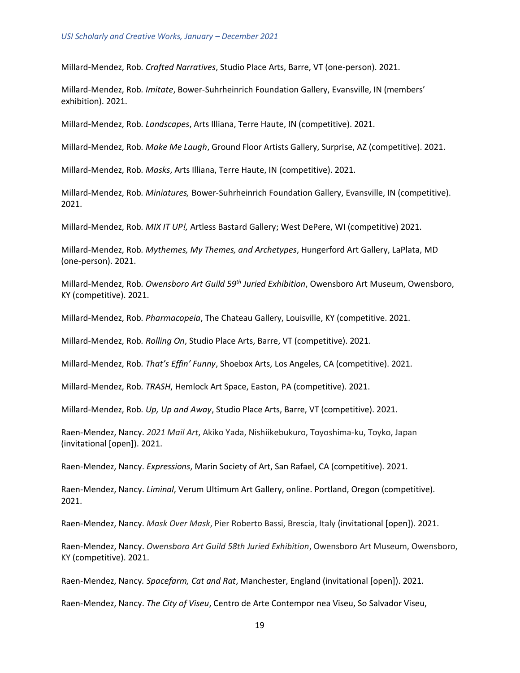Millard-Mendez, Rob*. Crafted Narratives*, Studio Place Arts, Barre, VT (one-person). 2021.

Millard-Mendez, Rob*. Imitate*, Bower-Suhrheinrich Foundation Gallery, Evansville, IN (members' exhibition). 2021.

Millard-Mendez, Rob*. Landscapes*, Arts Illiana, Terre Haute, IN (competitive). 2021.

Millard-Mendez, Rob*. Make Me Laugh*, Ground Floor Artists Gallery, Surprise, AZ (competitive). 2021.

Millard-Mendez, Rob*. Masks*, Arts Illiana, Terre Haute, IN (competitive). 2021.

Millard-Mendez, Rob*. Miniatures,* Bower-Suhrheinrich Foundation Gallery, Evansville, IN (competitive). 2021.

Millard-Mendez, Rob*. MIX IT UP!,* Artless Bastard Gallery; West DePere, WI (competitive) 2021.

Millard-Mendez, Rob*. Mythemes, My Themes, and Archetypes*, Hungerford Art Gallery, LaPlata, MD (one-person). 2021.

Millard-Mendez, Rob*. Owensboro Art Guild 59th Juried Exhibition*, Owensboro Art Museum, Owensboro, KY (competitive). 2021.

Millard-Mendez, Rob*. Pharmacopeia*, The Chateau Gallery, Louisville, KY (competitive. 2021.

Millard-Mendez, Rob*. Rolling On*, Studio Place Arts, Barre, VT (competitive). 2021.

Millard-Mendez, Rob*. That's Effin' Funny*, Shoebox Arts, Los Angeles, CA (competitive). 2021.

Millard-Mendez, Rob*. TRASH*, Hemlock Art Space, Easton, PA (competitive). 2021.

Millard-Mendez, Rob*. Up, Up and Away*, Studio Place Arts, Barre, VT (competitive). 2021.

Raen-Mendez, Nancy. *2021 Mail Art*, Akiko Yada, Nishiikebukuro, Toyoshima-ku, Toyko, Japan (invitational [open]). 2021.

Raen-Mendez, Nancy. *Expressions*, Marin Society of Art, San Rafael, CA (competitive). 2021.

Raen-Mendez, Nancy. *Liminal*, Verum Ultimum Art Gallery, online. Portland, Oregon (competitive). 2021.

Raen-Mendez, Nancy. *Mask Over Mask*, Pier Roberto Bassi, Brescia, Italy (invitational [open]). 2021.

Raen-Mendez, Nancy. *Owensboro Art Guild 58th Juried Exhibition*, Owensboro Art Museum, Owensboro, KY (competitive). 2021.

Raen-Mendez, Nancy*. Spacefarm, Cat and Rat*, Manchester, England (invitational [open]). 2021.

Raen-Mendez, Nancy. *The City of Viseu*, Centro de Arte Contempor nea Viseu, So Salvador Viseu,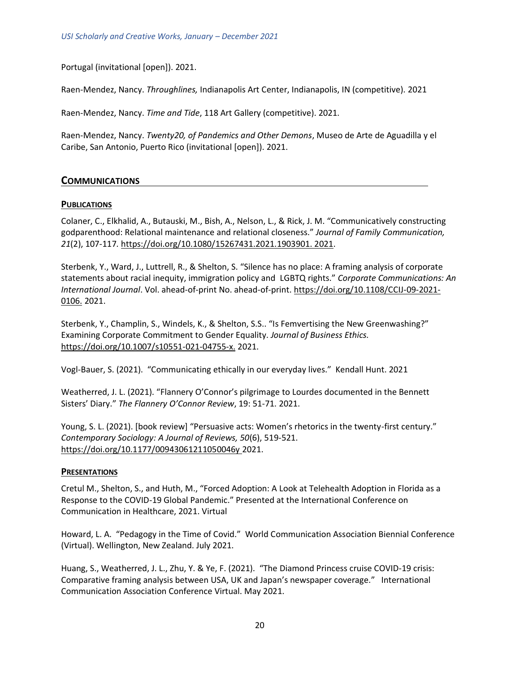Portugal (invitational [open]). 2021.

Raen-Mendez, Nancy. *Throughlines,* Indianapolis Art Center, Indianapolis, IN (competitive). 2021

Raen-Mendez, Nancy. *Time and Tide*, 118 Art Gallery (competitive). 2021.

<span id="page-19-0"></span>Raen-Mendez, Nancy. *Twenty20, of Pandemics and Other Demons*, Museo de Arte de Aguadilla y el Caribe, San Antonio, Puerto Rico (invitational [open]). 2021.

# **COMMUNICATIONS**

# **PUBLICATIONS**

Colaner, C., Elkhalid, A., Butauski, M., Bish, A., Nelson, L., & Rick, J. M. "Communicatively constructing godparenthood: Relational maintenance and relational closeness." *Journal of Family Communication, 21*(2), 107-117*.* [https://doi.org/10.1080/15267431.2021.1903901. 2021.](https://doi.org/10.1080/15267431.2021.1903901.%202021)

Sterbenk, Y., Ward, J., Luttrell, R., & Shelton, S. "Silence has no place: A framing analysis of corporate statements about racial inequity, immigration policy and LGBTQ rights." *Corporate Communications: An International Journal*. Vol. ahead-of-print No. ahead-of-print. [https://doi.org/10.1108/CCIJ-09-2021-](https://doi.org/10.1108/CCIJ-09-2021-0106) [0106.](https://doi.org/10.1108/CCIJ-09-2021-0106) 2021.

Sterbenk, Y., Champlin, S., Windels, K., & Shelton, S.S.. "Is Femvertising the New Greenwashing?" Examining Corporate Commitment to Gender Equality. *Journal of Business Ethics.*  [https://doi.org/10.1007/s10551-021-04755-x.](https://doi.org/10.1007/s10551-021-04755-x) 2021.

Vogl-Bauer, S. (2021). "Communicating ethically in our everyday lives." Kendall Hunt. 2021

Weatherred, J. L. (2021). "Flannery O'Connor's pilgrimage to Lourdes documented in the Bennett Sisters' Diary." *The Flannery O'Connor Review*, 19: 51-71. 2021.

Young, S. L. (2021). [book review] "Persuasive acts: Women's rhetorics in the twenty-first century." *Contemporary Sociology: A Journal of Reviews, 50*(6), 519-521. <https://doi.org/10.1177/00943061211050046y> 2021.

#### **PRESENTATIONS**

Cretul M., Shelton, S., and Huth, M., "Forced Adoption: A Look at Telehealth Adoption in Florida as a Response to the COVID-19 Global Pandemic." Presented at the International Conference on Communication in Healthcare, 2021. Virtual

Howard, L. A. "Pedagogy in the Time of Covid." World Communication Association Biennial Conference (Virtual). Wellington, New Zealand. July 2021.

Huang, S., Weatherred, J. L., Zhu, Y. & Ye, F. (2021). "The Diamond Princess cruise COVID-19 crisis: Comparative framing analysis between USA, UK and Japan's newspaper coverage." International Communication Association Conference Virtual. May 2021.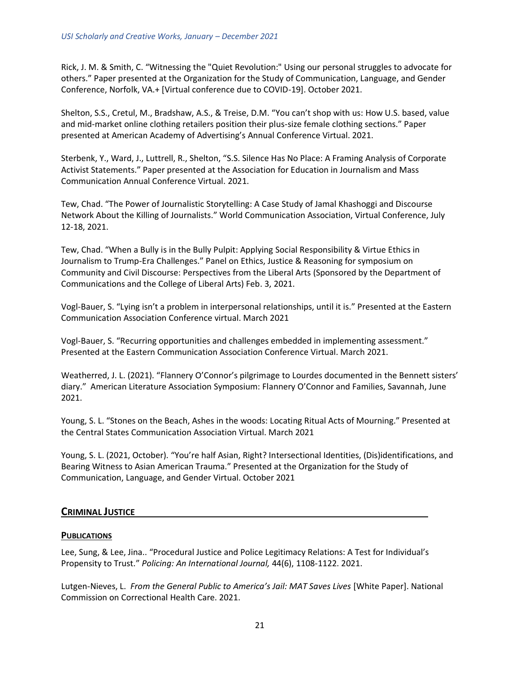Rick, J. M. & Smith, C. "Witnessing the "Quiet Revolution:" Using our personal struggles to advocate for others." Paper presented at the Organization for the Study of Communication, Language, and Gender Conference, Norfolk, VA.+ [Virtual conference due to COVID-19]. October 2021.

Shelton, S.S., Cretul, M., Bradshaw, A.S., & Treise, D.M. "You can't shop with us: How U.S. based, value and mid-market online clothing retailers position their plus-size female clothing sections." Paper presented at American Academy of Advertising's Annual Conference Virtual. 2021.

Sterbenk, Y., Ward, J., Luttrell, R., Shelton, "S.S. Silence Has No Place: A Framing Analysis of Corporate Activist Statements." Paper presented at the Association for Education in Journalism and Mass Communication Annual Conference Virtual. 2021.

Tew, Chad. "The Power of Journalistic Storytelling: A Case Study of Jamal Khashoggi and Discourse Network About the Killing of Journalists." World Communication Association, Virtual Conference, July 12-18, 2021.

Tew, Chad. "When a Bully is in the Bully Pulpit: Applying Social Responsibility & Virtue Ethics in Journalism to Trump-Era Challenges." Panel on Ethics, Justice & Reasoning for symposium on Community and Civil Discourse: Perspectives from the Liberal Arts (Sponsored by the Department of Communications and the College of Liberal Arts) Feb. 3, 2021.

Vogl-Bauer, S. "Lying isn't a problem in interpersonal relationships, until it is." Presented at the Eastern Communication Association Conference virtual. March 2021

Vogl-Bauer, S. "Recurring opportunities and challenges embedded in implementing assessment." Presented at the Eastern Communication Association Conference Virtual. March 2021.

Weatherred, J. L. (2021). "Flannery O'Connor's pilgrimage to Lourdes documented in the Bennett sisters' diary." American Literature Association Symposium: Flannery O'Connor and Families, Savannah, June 2021.

Young, S. L. "Stones on the Beach, Ashes in the woods: Locating Ritual Acts of Mourning." Presented at the Central States Communication Association Virtual. March 2021

Young, S. L. (2021, October). "You're half Asian, Right? Intersectional Identities, (Dis)identifications, and Bearing Witness to Asian American Trauma." Presented at the Organization for the Study of Communication, Language, and Gender Virtual. October 2021

# <span id="page-20-0"></span>**CRIMINAL JUSTICE**

# **PUBLICATIONS**

Lee, Sung, & Lee, Jina.. "Procedural Justice and Police Legitimacy Relations: A Test for Individual's Propensity to Trust." *Policing: An International Journal,* 44(6), 1108-1122. 2021.

Lutgen-Nieves, L. From the General Public to America's Jail: MAT Saves Lives [White Paper]. National Commission on Correctional Health Care. 2021.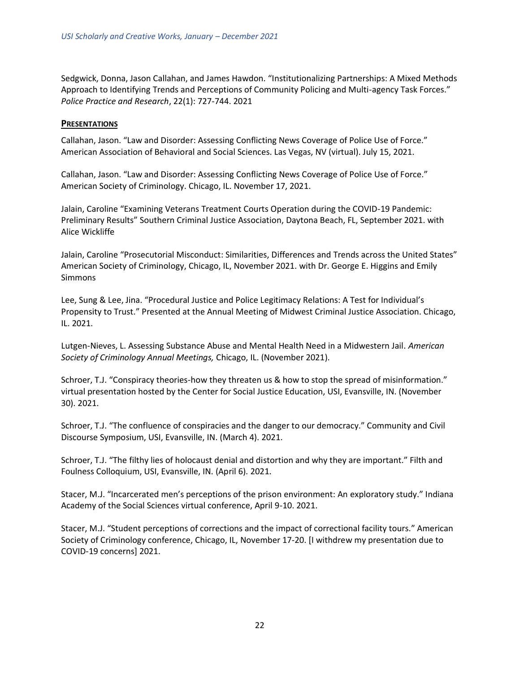Sedgwick, Donna, Jason Callahan, and James Hawdon. "Institutionalizing Partnerships: A Mixed Methods Approach to Identifying Trends and Perceptions of Community Policing and Multi-agency Task Forces." *Police Practice and Research*, 22(1): 727-744. 2021

#### **PRESENTATIONS**

Callahan, Jason. "Law and Disorder: Assessing Conflicting News Coverage of Police Use of Force." American Association of Behavioral and Social Sciences. Las Vegas, NV (virtual). July 15, 2021.

Callahan, Jason. "Law and Disorder: Assessing Conflicting News Coverage of Police Use of Force." American Society of Criminology. Chicago, IL. November 17, 2021.

Jalain, Caroline "Examining Veterans Treatment Courts Operation during the COVID-19 Pandemic: Preliminary Results" Southern Criminal Justice Association, Daytona Beach, FL, September 2021. with Alice Wickliffe

Jalain, Caroline "Prosecutorial Misconduct: Similarities, Differences and Trends across the United States" American Society of Criminology, Chicago, IL, November 2021. with Dr. George E. Higgins and Emily Simmons

Lee, Sung & Lee, Jina. "Procedural Justice and Police Legitimacy Relations: A Test for Individual's Propensity to Trust." Presented at the Annual Meeting of Midwest Criminal Justice Association. Chicago, IL. 2021.

Lutgen-Nieves, L. Assessing Substance Abuse and Mental Health Need in a Midwestern Jail. *American Society of Criminology Annual Meetings,* Chicago, IL. (November 2021).

Schroer, T.J. "Conspiracy theories-how they threaten us & how to stop the spread of misinformation." virtual presentation hosted by the Center for Social Justice Education, USI, Evansville, IN. (November 30). 2021.

Schroer, T.J. "The confluence of conspiracies and the danger to our democracy." Community and Civil Discourse Symposium, USI, Evansville, IN. (March 4). 2021.

Schroer, T.J. "The filthy lies of holocaust denial and distortion and why they are important." Filth and Foulness Colloquium, USI, Evansville, IN. (April 6). 2021.

Stacer, M.J. "Incarcerated men's perceptions of the prison environment: An exploratory study." Indiana Academy of the Social Sciences virtual conference, April 9-10. 2021.

Stacer, M.J. "Student perceptions of corrections and the impact of correctional facility tours." American Society of Criminology conference, Chicago, IL, November 17-20. [I withdrew my presentation due to COVID-19 concerns] 2021.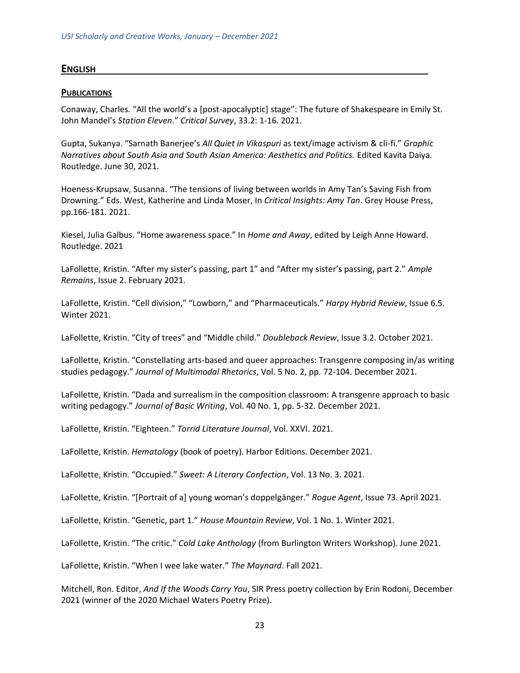### <span id="page-22-0"></span>**ENGLISH**

#### **PUBLICATIONS**

Conaway, Charles*.* "All the world's a [post-apocalyptic] stage": The future of Shakespeare in Emily St. John Mandel's *Station Eleven*." *Critical Survey*, 33.2: 1-16. 2021.

Gupta, Sukanya. "Sarnath Banerjee's *All Quiet in Vikaspuri* as text/image activism & cli-fi." *Graphic Narratives about South Asia and South Asian America: Aesthetics and Politics.* Edited Kavita Daiya*.*  Routledge. June 30, 2021.

Hoeness-Krupsaw, Susanna. "The tensions of living between worlds in Amy Tan's Saving Fish from Drowning." Eds. West, Katherine and Linda Moser, In *Critical Insights: Amy Tan*. Grey House Press, pp.166-181. 2021.

Kiesel, Julia Galbus. "Home awareness space." In *Home and Away*, edited by Leigh Anne Howard. Routledge. 2021

LaFollette, Kristin. "After my sister's passing, part 1" and "After my sister's passing, part 2." *Ample Remains*, Issue 2. February 2021.

LaFollette, Kristin. "Cell division," "Lowborn," and "Pharmaceuticals." *Harpy Hybrid Review*, Issue 6.5. Winter 2021.

LaFollette, Kristin. "City of trees" and "Middle child." *Doubleback Review*, Issue 3.2. October 2021.

LaFollette, Kristin. "Constellating arts-based and queer approaches: Transgenre composing in/as writing studies pedagogy." *Journal of Multimodal Rhetorics*, Vol. 5 No. 2, pp. 72-104. December 2021.

LaFollette, Kristin. "Dada and surrealism in the composition classroom: A transgenre approach to basic writing pedagogy." *Journal of Basic Writing*, Vol. 40 No. 1, pp. 5-32. December 2021.

LaFollette, Kristin. "Eighteen." *Torrid Literature Journal*, Vol. XXVI. 2021.

LaFollette, Kristin. *Hematology* (book of poetry). Harbor Editions. December 2021.

LaFollette, Kristin. "Occupied." *Sweet: A Literary Confection*, Vol. 13 No. 3. 2021.

LaFollette, Kristin. "[Portrait of a] young woman's doppelgänger." *Rogue Agent*, Issue 73. April 2021.

LaFollette, Kristin. "Genetic, part 1." *House Mountain Review*, Vol. 1 No. 1. Winter 2021.

LaFollette, Kristin. "The critic." *Cold Lake Anthology* (from Burlington Writers Workshop). June 2021.

LaFollette, Kristin. "When I wee lake water." *The Maynard*. Fall 2021.

Mitchell, Ron. Editor, *And If the Woods Carry You*, SIR Press poetry collection by Erin Rodoni, December 2021 (winner of the 2020 Michael Waters Poetry Prize).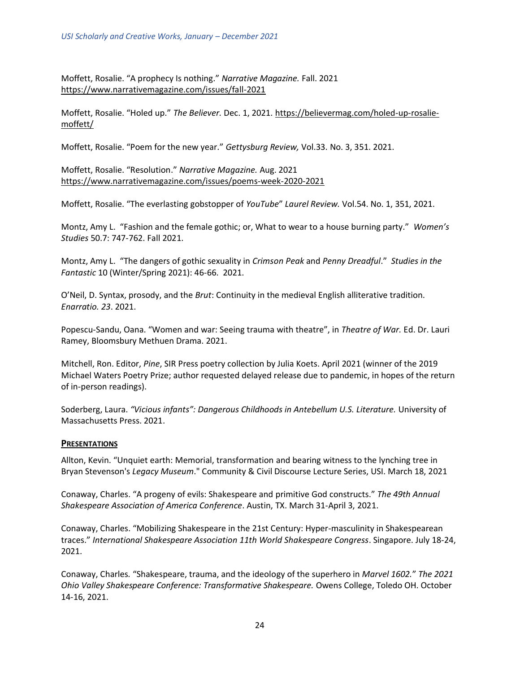Moffett, Rosalie. "A prophecy Is nothing." *Narrative Magazine.* Fall. 2021 <https://www.narrativemagazine.com/issues/fall-2021>

Moffett, Rosalie. "Holed up." *The Believer.* Dec. 1, 2021. [https://believermag.com/holed-up-rosalie](https://believermag.com/holed-up-rosalie-moffett/)[moffett/](https://believermag.com/holed-up-rosalie-moffett/)

Moffett, Rosalie. "Poem for the new year." *Gettysburg Review,* Vol.33. No. 3, 351. 2021.

Moffett, Rosalie. "Resolution." *Narrative Magazine.* Aug. 2021 <https://www.narrativemagazine.com/issues/poems-week-2020-2021>

Moffett, Rosalie. "The everlasting gobstopper of *YouTube*" *Laurel Review.* Vol.54. No. 1, 351, 2021.

Montz, Amy L. "Fashion and the female gothic; or, What to wear to a house burning party." *Women's Studies* 50.7: 747-762. Fall 2021.

Montz, Amy L. "The dangers of gothic sexuality in *Crimson Peak* and *Penny Dreadful*." *Studies in the Fantastic* 10 (Winter/Spring 2021): 46-66. 2021.

O'Neil, D. Syntax, prosody, and the *Brut*: Continuity in the medieval English alliterative tradition. *Enarratio. 23*. 2021.

Popescu-Sandu, Oana. "Women and war: Seeing trauma with theatre", in *Theatre of War.* Ed. Dr. Lauri Ramey, Bloomsbury Methuen Drama. 2021.

Mitchell, Ron. Editor, *Pine*, SIR Press poetry collection by Julia Koets. April 2021 (winner of the 2019 Michael Waters Poetry Prize; author requested delayed release due to pandemic, in hopes of the return of in-person readings).

Soderberg, Laura. *"Vicious infants": Dangerous Childhoods in Antebellum U.S. Literature.* University of Massachusetts Press. 2021.

#### **PRESENTATIONS**

Allton, Kevin. "Unquiet earth: Memorial, transformation and bearing witness to the lynching tree in Bryan Stevenson's *Legacy Museum*." Community & Civil Discourse Lecture Series, USI. March 18, 2021

Conaway, Charles. "A progeny of evils: Shakespeare and primitive God constructs." *The 49th Annual Shakespeare Association of America Conference*. Austin, TX. March 31-April 3, 2021.

Conaway, Charles. "Mobilizing Shakespeare in the 21st Century: Hyper-masculinity in Shakespearean traces." *International Shakespeare Association 11th World Shakespeare Congress*. Singapore. July 18-24, 2021.

Conaway, Charles*.* "Shakespeare, trauma, and the ideology of the superhero in *Marvel 1602.*" *The 2021 Ohio Valley Shakespeare Conference: Transformative Shakespeare.* Owens College, Toledo OH. October 14-16, 2021.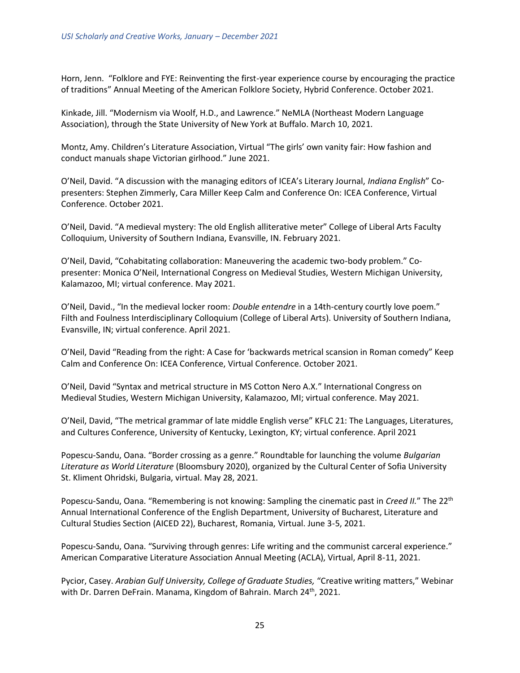Horn, Jenn. "Folklore and FYE: Reinventing the first-year experience course by encouraging the practice of traditions" Annual Meeting of the American Folklore Society, Hybrid Conference. October 2021.

Kinkade, Jill. "Modernism via Woolf, H.D., and Lawrence." NeMLA (Northeast Modern Language Association), through the State University of New York at Buffalo. March 10, 2021.

Montz, Amy. Children's Literature Association, Virtual "The girls' own vanity fair: How fashion and conduct manuals shape Victorian girlhood." June 2021.

O'Neil, David. "A discussion with the managing editors of ICEA's Literary Journal, *Indiana English*" Copresenters: Stephen Zimmerly, Cara Miller Keep Calm and Conference On: ICEA Conference, Virtual Conference. October 2021.

O'Neil, David. "A medieval mystery: The old English alliterative meter" College of Liberal Arts Faculty Colloquium, University of Southern Indiana, Evansville, IN. February 2021.

O'Neil, David, "Cohabitating collaboration: Maneuvering the academic two-body problem." Copresenter: Monica O'Neil, International Congress on Medieval Studies, Western Michigan University, Kalamazoo, MI; virtual conference. May 2021.

O'Neil, David., "In the medieval locker room: *Double entendre* in a 14th-century courtly love poem." Filth and Foulness Interdisciplinary Colloquium (College of Liberal Arts). University of Southern Indiana, Evansville, IN; virtual conference. April 2021.

O'Neil, David "Reading from the right: A Case for 'backwards metrical scansion in Roman comedy" Keep Calm and Conference On: ICEA Conference, Virtual Conference. October 2021.

O'Neil, David "Syntax and metrical structure in MS Cotton Nero A.X." International Congress on Medieval Studies, Western Michigan University, Kalamazoo, MI; virtual conference. May 2021.

O'Neil, David, "The metrical grammar of late middle English verse" KFLC 21: The Languages, Literatures, and Cultures Conference, University of Kentucky, Lexington, KY; virtual conference. April 2021

Popescu-Sandu, Oana. "Border crossing as a genre." Roundtable for launching the volume *Bulgarian Literature as World Literature* (Bloomsbury 2020), organized by the Cultural Center of Sofia University St. Kliment Ohridski, Bulgaria, virtual. May 28, 2021.

Popescu-Sandu, Oana. "Remembering is not knowing: Sampling the cinematic past in *Creed II.*" The 22th Annual International Conference of the English Department, University of Bucharest, Literature and Cultural Studies Section (AICED 22), Bucharest, Romania, Virtual. June 3-5, 2021.

Popescu-Sandu, Oana. "Surviving through genres: Life writing and the communist carceral experience." American Comparative Literature Association Annual Meeting (ACLA), Virtual, April 8-11, 2021.

Pycior, Casey. *Arabian Gulf University, College of Graduate Studies,* "Creative writing matters," Webinar with Dr. Darren DeFrain. Manama, Kingdom of Bahrain. March 24<sup>th</sup>, 2021.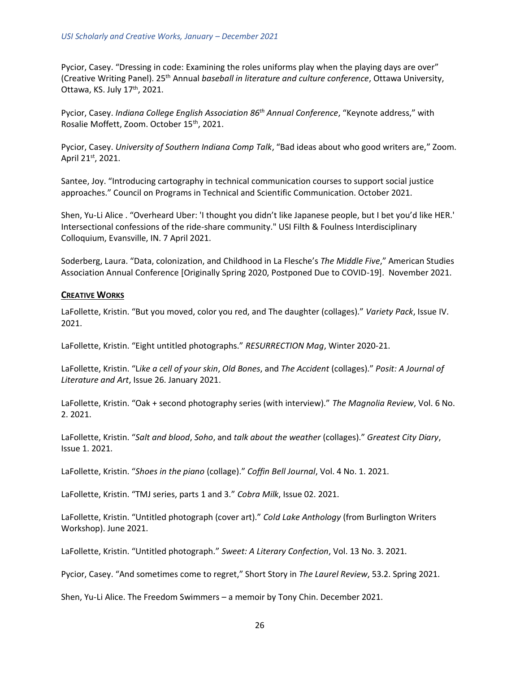Pycior, Casey. "Dressing in code: Examining the roles uniforms play when the playing days are over" (Creative Writing Panel). 25th Annual *baseball in literature and culture conference*, Ottawa University, Ottawa, KS. July 17<sup>th</sup>, 2021.

Pycior, Casey. *Indiana College English Association 86th Annual Conference*, "Keynote address," with Rosalie Moffett, Zoom. October 15<sup>th</sup>, 2021.

Pycior, Casey. *University of Southern Indiana Comp Talk*, "Bad ideas about who good writers are," Zoom. April 21st, 2021.

Santee, Joy. "Introducing cartography in technical communication courses to support social justice approaches." Council on Programs in Technical and Scientific Communication. October 2021.

Shen, Yu-Li Alice . "Overheard Uber: 'I thought you didn't like Japanese people, but I bet you'd like HER.' Intersectional confessions of the ride-share community." USI Filth & Foulness Interdisciplinary Colloquium, Evansville, IN. 7 April 2021.

Soderberg, Laura. "Data, colonization, and Childhood in La Flesche's *The Middle Five*," American Studies Association Annual Conference [Originally Spring 2020, Postponed Due to COVID-19]. November 2021.

#### **CREATIVE WORKS**

LaFollette, Kristin. "But you moved, color you red, and The daughter (collages)." *Variety Pack*, Issue IV. 2021.

LaFollette, Kristin. "Eight untitled photographs." *RESURRECTION Mag*, Winter 2020-21.

LaFollette, Kristin. "L*ike a cell of your skin*, *Old Bones*, and *The Accident* (collages)." *Posit: A Journal of Literature and Art*, Issue 26. January 2021.

LaFollette, Kristin. "Oak + second photography series (with interview)." *The Magnolia Review*, Vol. 6 No. 2. 2021.

LaFollette, Kristin. "*Salt and blood*, *Soho*, and *talk about the weather* (collages)." *Greatest City Diary*, Issue 1. 2021.

LaFollette, Kristin. "*Shoes in the piano* (collage)." *Coffin Bell Journal*, Vol. 4 No. 1. 2021.

LaFollette, Kristin. "TMJ series, parts 1 and 3." *Cobra Milk*, Issue 02. 2021.

LaFollette, Kristin. "Untitled photograph (cover art)." *Cold Lake Anthology* (from Burlington Writers Workshop). June 2021.

LaFollette, Kristin. "Untitled photograph." *Sweet: A Literary Confection*, Vol. 13 No. 3. 2021.

Pycior, Casey. "And sometimes come to regret," Short Story in *The Laurel Review*, 53.2. Spring 2021.

Shen, Yu-Li Alice. The Freedom Swimmers – a memoir by Tony Chin. December 2021.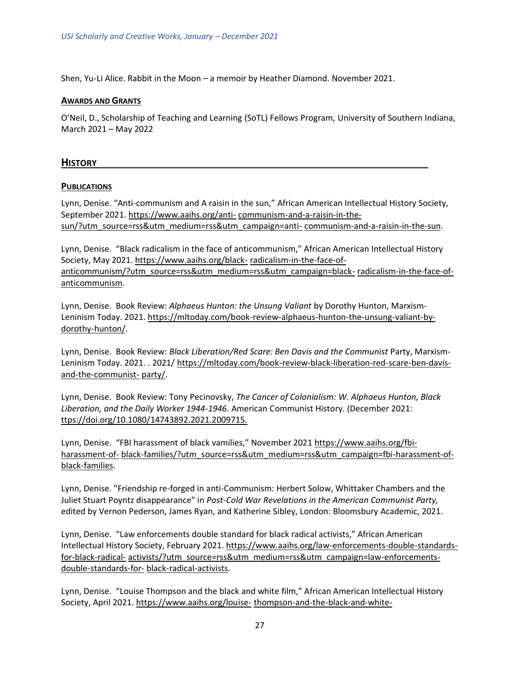Shen, Yu-Li Alice. Rabbit in the Moon – a memoir by Heather Diamond. November 2021.

#### **AWARDS AND GRANTS**

<span id="page-26-0"></span>O'Neil, D., Scholarship of Teaching and Learning (SoTL) Fellows Program, University of Southern Indiana, March 2021 – May 2022

# **HISTORY**

#### **PUBLICATIONS**

Lynn, Denise. "Anti-communism and A raisin in the sun," African American Intellectual History Society, September 2021. [https://www.aaihs.org/anti-](https://www.aaihs.org/anti-communism-and-a-raisin-in-the-sun/?utm_source=rss&utm_medium=rss&utm_campaign=anti-communism-and-a-raisin-in-the-sun) [communism-and-a-raisin-in-the](https://www.aaihs.org/anti-communism-and-a-raisin-in-the-sun/?utm_source=rss&utm_medium=rss&utm_campaign=anti-communism-and-a-raisin-in-the-sun)[sun/?utm\\_source=rss&utm\\_medium=rss&utm\\_campaign=anti-](https://www.aaihs.org/anti-communism-and-a-raisin-in-the-sun/?utm_source=rss&utm_medium=rss&utm_campaign=anti-communism-and-a-raisin-in-the-sun) [communism-and-a-raisin-in-the-sun.](https://www.aaihs.org/anti-communism-and-a-raisin-in-the-sun/?utm_source=rss&utm_medium=rss&utm_campaign=anti-communism-and-a-raisin-in-the-sun)

Lynn, Denise. "Black radicalism in the face of anticommunism," African American Intellectual History Society, May 2021. [https://www.aaihs.org/black-](https://www.aaihs.org/black-radicalism-in-the-face-of-anticommunism/?utm_source=rss&utm_medium=rss&utm_campaign=black-radicalism-in-the-face-of-anticommunism) [radicalism-in-the-face-of](https://www.aaihs.org/black-radicalism-in-the-face-of-anticommunism/?utm_source=rss&utm_medium=rss&utm_campaign=black-radicalism-in-the-face-of-anticommunism)[anticommunism/?utm\\_source=rss&utm\\_medium=rss&utm\\_campaign=black-](https://www.aaihs.org/black-radicalism-in-the-face-of-anticommunism/?utm_source=rss&utm_medium=rss&utm_campaign=black-radicalism-in-the-face-of-anticommunism) [radicalism-in-the-face-of](https://www.aaihs.org/black-radicalism-in-the-face-of-anticommunism/?utm_source=rss&utm_medium=rss&utm_campaign=black-radicalism-in-the-face-of-anticommunism)[anticommunism.](https://www.aaihs.org/black-radicalism-in-the-face-of-anticommunism/?utm_source=rss&utm_medium=rss&utm_campaign=black-radicalism-in-the-face-of-anticommunism)

Lynn, Denise. Book Review: *Alphaeus Hunton: the Unsung Valiant* by Dorothy Hunton, Marxism-Leninism Today. 2021. [https://mltoday.com/book-review-alphaeus-hunton-the-unsung-valiant-by](https://mltoday.com/book-review-alphaeus-hunton-the-unsung-valiant-by-dorothy-hunton/)[dorothy-hunton/.](https://mltoday.com/book-review-alphaeus-hunton-the-unsung-valiant-by-dorothy-hunton/)

Lynn, Denise. Book Review: *Black Liberation/Red Scare: Ben Davis and the Communist* Party, Marxism-Leninism Today. 2021. . 2021/ [https://mltoday.com/book-review-black-liberation-red-scare-ben-davis](https://mltoday.com/book-review-black-liberation-red-scare-ben-davis-and-the-communist-)[and-the-communist-](https://mltoday.com/book-review-black-liberation-red-scare-ben-davis-and-the-communist-) [party/.](https://mltoday.com/book-review-black-liberation-red-scare-ben-davis-and-the-communist-party/)

Lynn, Denise. Book Review: Tony Pecinovsky, *The Cancer of Colonialism: W. Alphaeus Hunton, Black Liberation, and the Daily Worker 1944-1946*. American Communist History. (December 2021: [ttps://doi.org/10.1080/14743892.2021.2009715.](https://doi.org/10.1080/14743892.2021.2009715)

Lynn, Denise. "FBI harassment of black vamilies," November 2021 [https://www.aaihs.org/fbi](https://www.aaihs.org/fbi-harassment-of-black-families/?utm_source=rss&utm_medium=rss&utm_campaign=fbi-harassment-of-black-families)[harassment-of-](https://www.aaihs.org/fbi-harassment-of-black-families/?utm_source=rss&utm_medium=rss&utm_campaign=fbi-harassment-of-black-families) [black-families/?utm\\_source=rss&utm\\_medium=rss&utm\\_campaign=fbi-harassment-of](https://www.aaihs.org/fbi-harassment-of-black-families/?utm_source=rss&utm_medium=rss&utm_campaign=fbi-harassment-of-black-families)[black-families.](https://www.aaihs.org/fbi-harassment-of-black-families/?utm_source=rss&utm_medium=rss&utm_campaign=fbi-harassment-of-black-families)

Lynn, Denise. "Friendship re-forged in anti-Communism: Herbert Solow, Whittaker Chambers and the Juliet Stuart Poyntz disappearance" in *Post-Cold War Revelations in the American Communist Party,*  edited by Vernon Pederson, James Ryan, and Katherine Sibley, London: Bloomsbury Academic, 2021.

Lynn, Denise. "Law enforcements double standard for black radical activists," African American Intellectual History Society, February 2021. [https://www.aaihs.org/law-enforcements-double-standards](https://www.aaihs.org/law-enforcements-double-standards-for-black-radical-activists/?utm_source=rss&utm_medium=rss&utm_campaign=law-enforcements-double-standards-for-black-radical-activists)[for-black-radical-](https://www.aaihs.org/law-enforcements-double-standards-for-black-radical-activists/?utm_source=rss&utm_medium=rss&utm_campaign=law-enforcements-double-standards-for-black-radical-activists) [activists/?utm\\_source=rss&utm\\_medium=rss&utm\\_campaign=law-enforcements](https://www.aaihs.org/law-enforcements-double-standards-for-black-radical-activists/?utm_source=rss&utm_medium=rss&utm_campaign=law-enforcements-double-standards-for-black-radical-activists)[double-standards-for-](https://www.aaihs.org/law-enforcements-double-standards-for-black-radical-activists/?utm_source=rss&utm_medium=rss&utm_campaign=law-enforcements-double-standards-for-black-radical-activists) [black-radical-activists.](https://www.aaihs.org/law-enforcements-double-standards-for-black-radical-activists/?utm_source=rss&utm_medium=rss&utm_campaign=law-enforcements-double-standards-for-black-radical-activists)

Lynn, Denise. "Louise Thompson and the black and white film," African American Intellectual History Society, April 2021. [https://www.aaihs.org/louise-](https://www.aaihs.org/louise-thompson-and-the-black-and-white-film/?utm_source=rss&utm_medium=rss&utm_campaign=louise-thompson-and-the-black-and-white-film) [thompson-and-the-black-and-white-](https://www.aaihs.org/louise-thompson-and-the-black-and-white-film/?utm_source=rss&utm_medium=rss&utm_campaign=louise-thompson-and-the-black-and-white-film)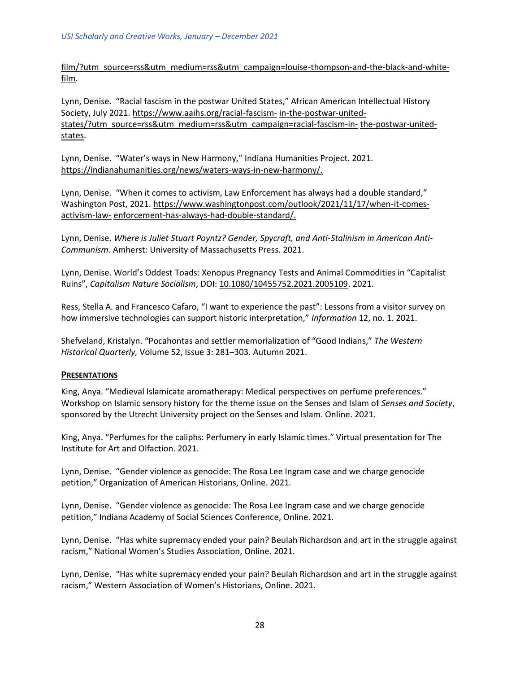[film/?utm\\_source=rss&utm\\_medium=rss&utm\\_campaign=louise-thompson-and-the-black-and-white](https://www.aaihs.org/louise-thompson-and-the-black-and-white-film/?utm_source=rss&utm_medium=rss&utm_campaign=louise-thompson-and-the-black-and-white-film)[film.](https://www.aaihs.org/louise-thompson-and-the-black-and-white-film/?utm_source=rss&utm_medium=rss&utm_campaign=louise-thompson-and-the-black-and-white-film)

Lynn, Denise. "Racial fascism in the postwar United States," African American Intellectual History Society, July 2021.<https://www.aaihs.org/racial-fascism-> [in-the-postwar-united](https://www.aaihs.org/racial-fascism-in-the-postwar-united-states/?utm_source=rss&utm_medium=rss&utm_campaign=racial-fascism-in-the-postwar-united-states)[states/?utm\\_source=rss&utm\\_medium=rss&utm\\_campaign=racial-fascism-in-](https://www.aaihs.org/racial-fascism-in-the-postwar-united-states/?utm_source=rss&utm_medium=rss&utm_campaign=racial-fascism-in-the-postwar-united-states) [the-postwar-united](https://www.aaihs.org/racial-fascism-in-the-postwar-united-states/?utm_source=rss&utm_medium=rss&utm_campaign=racial-fascism-in-the-postwar-united-states)[states.](https://www.aaihs.org/racial-fascism-in-the-postwar-united-states/?utm_source=rss&utm_medium=rss&utm_campaign=racial-fascism-in-the-postwar-united-states)

Lynn, Denise. "Water's ways in New Harmony," Indiana Humanities Project. 2021. [https://indianahumanities.org/news/waters-ways-in-new-harmony/.](https://indianahumanities.org/news/waters-ways-in-new-harmony/)

Lynn, Denise. "When it comes to activism, Law Enforcement has always had a double standard," Washington Post, 2021[. https://www.washingtonpost.com/outlook/2021/11/17/when-it-comes](https://www.washingtonpost.com/outlook/2021/11/17/when-it-comes-activism-law-)[activism-law-](https://www.washingtonpost.com/outlook/2021/11/17/when-it-comes-activism-law-) [enforcement-has-always-had-double-standard/.](https://www.washingtonpost.com/outlook/2021/11/17/when-it-comes-activism-law-enforcement-has-always-had-double-standard/)

Lynn, Denise. *Where is Juliet Stuart Poyntz? Gender, Spycraft, and Anti-Stalinism in American Anti-Communism.* Amherst: University of Massachusetts Press. 2021.

Lynn, Denise. World's Oddest Toads: Xenopus Pregnancy Tests and Animal Commodities in "Capitalist Ruins", *Capitalism Nature Socialism*, DOI: [10.1080/10455752.2021.2005109.](https://doi.org/10.1080/10455752.2021.2005109) 2021.

Ress, Stella A. and Francesco Cafaro, "I want to experience the past": Lessons from a visitor survey on how immersive technologies can support historic interpretation," *Information* 12, no. 1. 2021.

Shefveland, Kristalyn. "Pocahontas and settler memorialization of "Good Indians," *The Western Historical Quarterly,* Volume 52, Issue 3: 281–303. Autumn 2021.

#### **PRESENTATIONS**

King, Anya. "Medieval Islamicate aromatherapy: Medical perspectives on perfume preferences." Workshop on Islamic sensory history for the theme issue on the Senses and Islam of *Senses and Society*, sponsored by the Utrecht University project on the Senses and Islam. Online. 2021.

King, Anya. "Perfumes for the caliphs: Perfumery in early Islamic times." Virtual presentation for The Institute for Art and Olfaction. 2021.

Lynn, Denise. "Gender violence as genocide: The Rosa Lee Ingram case and we charge genocide petition," Organization of American Historians, Online. 2021.

Lynn, Denise. "Gender violence as genocide: The Rosa Lee Ingram case and we charge genocide petition," Indiana Academy of Social Sciences Conference, Online. 2021.

Lynn, Denise. "Has white supremacy ended your pain? Beulah Richardson and art in the struggle against racism," National Women's Studies Association, Online. 2021.

Lynn, Denise. "Has white supremacy ended your pain? Beulah Richardson and art in the struggle against racism," Western Association of Women's Historians, Online. 2021.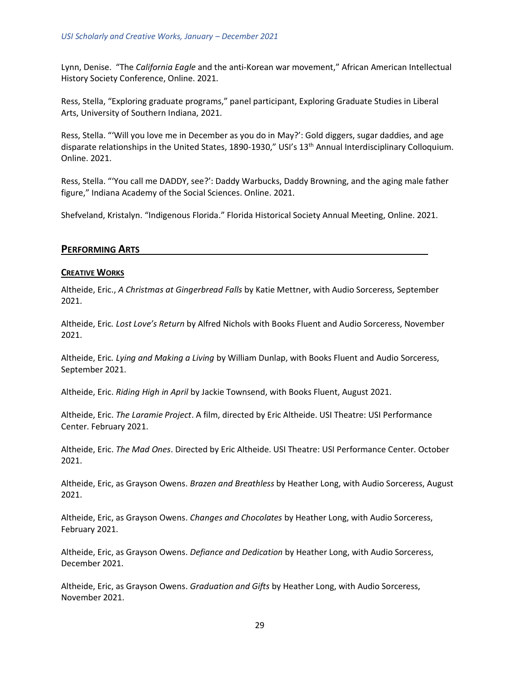Lynn, Denise. "The *California Eagle* and the anti-Korean war movement," African American Intellectual History Society Conference, Online. 2021.

Ress, Stella, "Exploring graduate programs," panel participant, Exploring Graduate Studies in Liberal Arts, University of Southern Indiana, 2021.

Ress, Stella. "'Will you love me in December as you do in May?': Gold diggers, sugar daddies, and age disparate relationships in the United States, 1890-1930," USI's 13<sup>th</sup> Annual Interdisciplinary Colloquium. Online. 2021.

Ress, Stella. "'You call me DADDY, see?': Daddy Warbucks, Daddy Browning, and the aging male father figure," Indiana Academy of the Social Sciences. Online. 2021.

<span id="page-28-0"></span>Shefveland, Kristalyn. "Indigenous Florida." Florida Historical Society Annual Meeting, Online. 2021.

# **PERFORMING ARTS**

#### **CREATIVE WORKS**

Altheide, Eric., *A Christmas at Gingerbread Falls* by Katie Mettner, with Audio Sorceress, September 2021.

Altheide, Eric*. Lost Love's Return* by Alfred Nichols with Books Fluent and Audio Sorceress, November 2021.

Altheide, Eric*. Lying and Making a Living* by William Dunlap, with Books Fluent and Audio Sorceress, September 2021.

Altheide, Eric. *Riding High in April* by Jackie Townsend, with Books Fluent, August 2021.

Altheide, Eric. *The Laramie Project*. A film, directed by Eric Altheide. USI Theatre: USI Performance Center. February 2021.

Altheide, Eric. *The Mad Ones*. Directed by Eric Altheide. USI Theatre: USI Performance Center. October 2021.

Altheide, Eric, as Grayson Owens. *Brazen and Breathless* by Heather Long, with Audio Sorceress, August 2021.

Altheide, Eric, as Grayson Owens. *Changes and Chocolates* by Heather Long, with Audio Sorceress, February 2021.

Altheide, Eric, as Grayson Owens. *Defiance and Dedication* by Heather Long, with Audio Sorceress, December 2021.

Altheide, Eric, as Grayson Owens. *Graduation and Gifts* by Heather Long, with Audio Sorceress, November 2021.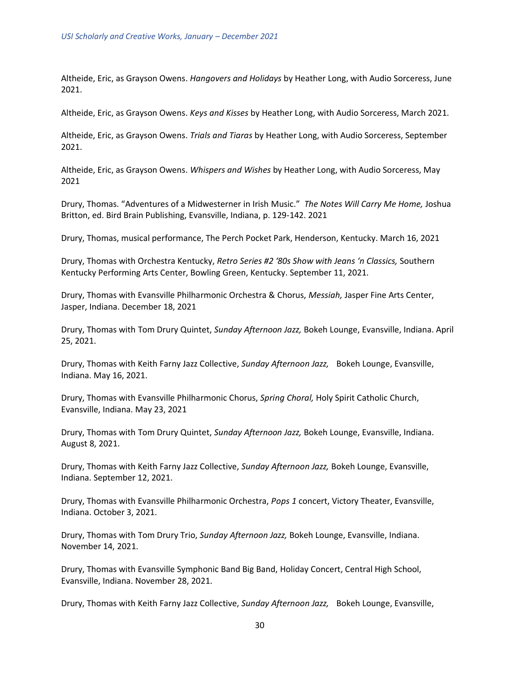Altheide, Eric, as Grayson Owens. *Hangovers and Holidays* by Heather Long, with Audio Sorceress, June 2021.

Altheide, Eric, as Grayson Owens. *Keys and Kisses* by Heather Long, with Audio Sorceress, March 2021.

Altheide, Eric, as Grayson Owens. *Trials and Tiaras* by Heather Long, with Audio Sorceress, September 2021.

Altheide, Eric, as Grayson Owens. *Whispers and Wishes* by Heather Long, with Audio Sorceress, May 2021

Drury, Thomas. "Adventures of a Midwesterner in Irish Music." *The Notes Will Carry Me Home,* Joshua Britton, ed. Bird Brain Publishing, Evansville, Indiana, p. 129-142. 2021

Drury, Thomas, musical performance, The Perch Pocket Park, Henderson, Kentucky. March 16, 2021

Drury, Thomas with Orchestra Kentucky, *Retro Series #2 '80s Show with Jeans 'n Classics,* Southern Kentucky Performing Arts Center, Bowling Green, Kentucky. September 11, 2021.

Drury, Thomas with Evansville Philharmonic Orchestra & Chorus, *Messiah,* Jasper Fine Arts Center, Jasper, Indiana. December 18, 2021

Drury, Thomas with Tom Drury Quintet, *Sunday Afternoon Jazz,* Bokeh Lounge, Evansville, Indiana. April 25, 2021.

Drury, Thomas with Keith Farny Jazz Collective, *Sunday Afternoon Jazz,* Bokeh Lounge, Evansville, Indiana. May 16, 2021.

Drury, Thomas with Evansville Philharmonic Chorus, *Spring Choral,* Holy Spirit Catholic Church, Evansville, Indiana. May 23, 2021

Drury, Thomas with Tom Drury Quintet, *Sunday Afternoon Jazz,* Bokeh Lounge, Evansville, Indiana. August 8, 2021.

Drury, Thomas with Keith Farny Jazz Collective, *Sunday Afternoon Jazz,* Bokeh Lounge, Evansville, Indiana. September 12, 2021.

Drury, Thomas with Evansville Philharmonic Orchestra, *Pops 1* concert, Victory Theater, Evansville, Indiana. October 3, 2021.

Drury, Thomas with Tom Drury Trio, *Sunday Afternoon Jazz,* Bokeh Lounge, Evansville, Indiana. November 14, 2021.

Drury, Thomas with Evansville Symphonic Band Big Band, Holiday Concert, Central High School, Evansville, Indiana. November 28, 2021.

Drury, Thomas with Keith Farny Jazz Collective, *Sunday Afternoon Jazz,* Bokeh Lounge, Evansville,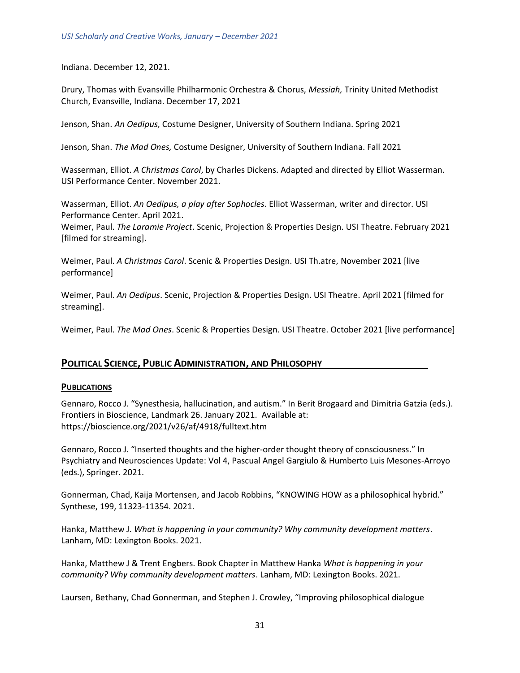Indiana. December 12, 2021.

Drury, Thomas with Evansville Philharmonic Orchestra & Chorus, *Messiah,* Trinity United Methodist Church, Evansville, Indiana. December 17, 2021

Jenson, Shan. *An Oedipus,* Costume Designer, University of Southern Indiana. Spring 2021

Jenson, Shan. *The Mad Ones,* Costume Designer, University of Southern Indiana. Fall 2021

Wasserman, Elliot. *A Christmas Carol*, by Charles Dickens. Adapted and directed by Elliot Wasserman. USI Performance Center. November 2021.

Wasserman, Elliot. *An Oedipus, a play after Sophocles*. Elliot Wasserman, writer and director. USI Performance Center. April 2021.

Weimer, Paul. *The Laramie Project*. Scenic, Projection & Properties Design. USI Theatre. February 2021 [filmed for streaming].

Weimer, Paul. *A Christmas Carol*. Scenic & Properties Design. USI Th.atre, November 2021 [live performance]

Weimer, Paul. *An Oedipus*. Scenic, Projection & Properties Design. USI Theatre. April 2021 [filmed for streaming].

<span id="page-30-0"></span>Weimer, Paul. *The Mad Ones*. Scenic & Properties Design. USI Theatre. October 2021 [live performance]

#### **POLITICAL SCIENCE, PUBLIC ADMINISTRATION, AND PHILOSOPHY**

#### **PUBLICATIONS**

Gennaro, Rocco J. "Synesthesia, hallucination, and autism." In Berit Brogaard and Dimitria Gatzia (eds.). Frontiers in Bioscience, Landmark 26. January 2021. Available at: [https://bioscience.org/2021/v26/af/4918/fulltext.htm](https://nam11.safelinks.protection.outlook.com/?url=https%3A%2F%2Fbioscience.org%2F2021%2Fv26%2Faf%2F4918%2Ffulltext.htm&data=04%7C01%7Coiarmeanu%40usi.edu%7C516430e2789f4c86552808d9fd6b7e68%7Cae1d882c786b492c90953d81d0a2f615%7C0%7C0%7C637819460406629928%7CUnknown%7CTWFpbGZsb3d8eyJWIjoiMC4wLjAwMDAiLCJQIjoiV2luMzIiLCJBTiI6Ik1haWwiLCJXVCI6Mn0%3D%7C3000&sdata=GzzyjeZmYQx7qZ92OgLwucmxTotfzOpaPWWygBdDwgs%3D&reserved=0)

Gennaro, Rocco J. "Inserted thoughts and the higher-order thought theory of consciousness." In Psychiatry and Neurosciences Update: Vol 4, Pascual Angel Gargiulo & Humberto Luis Mesones-Arroyo (eds.), Springer. 2021.

Gonnerman, Chad, Kaija Mortensen, and Jacob Robbins, "KNOWING HOW as a philosophical hybrid." Synthese, 199, 11323-11354. 2021.

Hanka, Matthew J. *What is happening in your community? Why community development matters*. Lanham, MD: Lexington Books. 2021.

Hanka, Matthew J & Trent Engbers. Book Chapter in Matthew Hanka *What is happening in your community? Why community development matters*. Lanham, MD: Lexington Books. 2021.

Laursen, Bethany, Chad Gonnerman, and Stephen J. Crowley, "Improving philosophical dialogue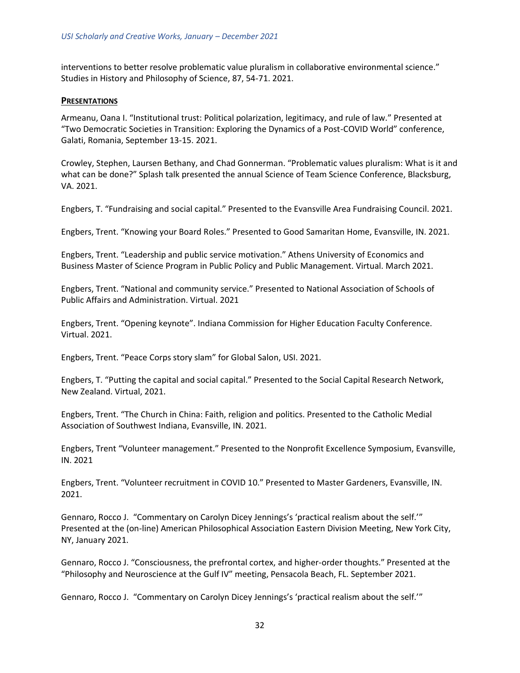interventions to better resolve problematic value pluralism in collaborative environmental science." Studies in History and Philosophy of Science, 87, 54-71. 2021.

#### **PRESENTATIONS**

Armeanu, Oana I. "Institutional trust: Political polarization, legitimacy, and rule of law." Presented at "Two Democratic Societies in Transition: Exploring the Dynamics of a Post-COVID World" conference, Galati, Romania, September 13-15. 2021.

Crowley, Stephen, Laursen Bethany, and Chad Gonnerman. "Problematic values pluralism: What is it and what can be done?" Splash talk presented the annual Science of Team Science Conference, Blacksburg, VA. 2021.

Engbers, T. "Fundraising and social capital." Presented to the Evansville Area Fundraising Council. 2021.

Engbers, Trent. "Knowing your Board Roles." Presented to Good Samaritan Home, Evansville, IN. 2021.

Engbers, Trent. "Leadership and public service motivation." Athens University of Economics and Business Master of Science Program in Public Policy and Public Management. Virtual. March 2021.

Engbers, Trent. "National and community service." Presented to National Association of Schools of Public Affairs and Administration. Virtual. 2021

Engbers, Trent. "Opening keynote". Indiana Commission for Higher Education Faculty Conference. Virtual. 2021.

Engbers, Trent. "Peace Corps story slam" for Global Salon, USI. 2021.

Engbers, T. "Putting the capital and social capital." Presented to the Social Capital Research Network, New Zealand. Virtual, 2021.

Engbers, Trent. "The Church in China: Faith, religion and politics. Presented to the Catholic Medial Association of Southwest Indiana, Evansville, IN. 2021.

Engbers, Trent "Volunteer management." Presented to the Nonprofit Excellence Symposium, Evansville, IN. 2021

Engbers, Trent. "Volunteer recruitment in COVID 10." Presented to Master Gardeners, Evansville, IN. 2021.

Gennaro, Rocco J. "Commentary on Carolyn Dicey Jennings's 'practical realism about the self.'" Presented at the (on-line) American Philosophical Association Eastern Division Meeting, New York City, NY, January 2021.

Gennaro, Rocco J. "Consciousness, the prefrontal cortex, and higher-order thoughts." Presented at the "Philosophy and Neuroscience at the Gulf IV" meeting, Pensacola Beach, FL. September 2021.

Gennaro, Rocco J. "Commentary on Carolyn Dicey Jennings's 'practical realism about the self.'"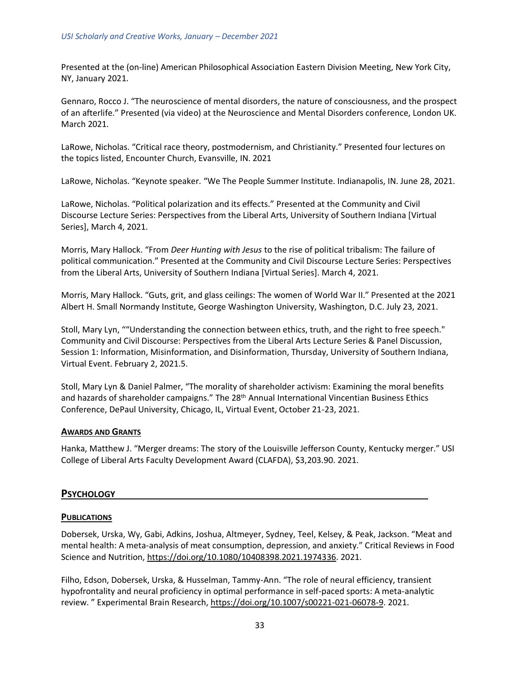Presented at the (on-line) American Philosophical Association Eastern Division Meeting, New York City, NY, January 2021.

Gennaro, Rocco J. "The neuroscience of mental disorders, the nature of consciousness, and the prospect of an afterlife." Presented (via video) at the Neuroscience and Mental Disorders conference, London UK. March 2021.

LaRowe, Nicholas. "Critical race theory, postmodernism, and Christianity." Presented four lectures on the topics listed, Encounter Church, Evansville, IN. 2021

LaRowe, Nicholas. "Keynote speaker. "We The People Summer Institute. Indianapolis, IN. June 28, 2021.

LaRowe, Nicholas. "Political polarization and its effects." Presented at the Community and Civil Discourse Lecture Series: Perspectives from the Liberal Arts, University of Southern Indiana [Virtual Series], March 4, 2021.

Morris, Mary Hallock. "From *Deer Hunting with Jesus* to the rise of political tribalism: The failure of political communication." Presented at the Community and Civil Discourse Lecture Series: Perspectives from the Liberal Arts, University of Southern Indiana [Virtual Series]. March 4, 2021.

Morris, Mary Hallock. "Guts, grit, and glass ceilings: The women of World War II." Presented at the 2021 Albert H. Small Normandy Institute, George Washington University, Washington, D.C. July 23, 2021.

Stoll, Mary Lyn, ""Understanding the connection between ethics, truth, and the right to free speech." Community and Civil Discourse: Perspectives from the Liberal Arts Lecture Series & Panel Discussion, Session 1: Information, Misinformation, and Disinformation, Thursday, University of Southern Indiana, Virtual Event. February 2, 2021.5.

Stoll, Mary Lyn & Daniel Palmer, "The morality of shareholder activism: Examining the moral benefits and hazards of shareholder campaigns." The 28<sup>th</sup> Annual International Vincentian Business Ethics Conference, DePaul University, Chicago, IL, Virtual Event, October 21-23, 2021.

#### **AWARDS AND GRANTS**

<span id="page-32-0"></span>Hanka, Matthew J. "Merger dreams: The story of the Louisville Jefferson County, Kentucky merger." USI College of Liberal Arts Faculty Development Award (CLAFDA), \$3,203.90. 2021.

#### **PSYCHOLOGY**

#### **PUBLICATIONS**

Dobersek, Urska, Wy, Gabi, Adkins, Joshua, Altmeyer, Sydney, Teel, Kelsey, & Peak, Jackson. "Meat and mental health: A meta-analysis of meat consumption, depression, and anxiety." Critical Reviews in Food Science and Nutrition, [https://doi.org/10.1080/10408398.2021.1974336.](https://doi.org/10.1080/10408398.2021.1974336) 2021.

Filho, Edson, Dobersek, Urska, & Husselman, Tammy-Ann. "The role of neural efficiency, transient hypofrontality and neural proficiency in optimal performance in self-paced sports: A meta-analytic review. " Experimental Brain Research, [https://doi.org/10.1007/s00221-021-06078-9.](https://doi.org/10.1007/s00221-021-06078-9) 2021.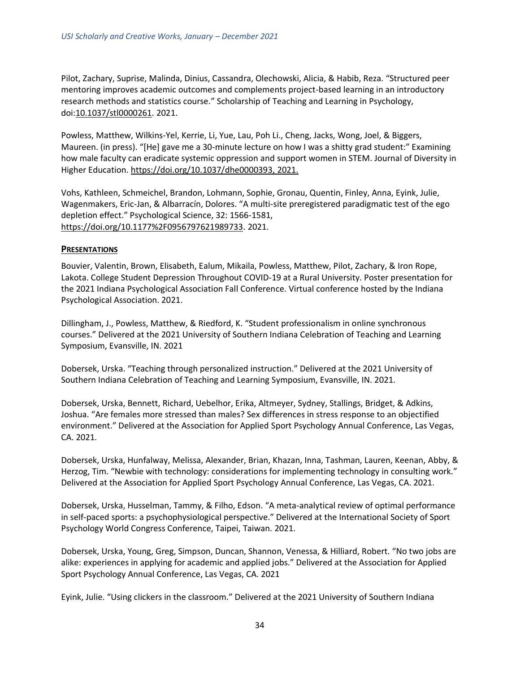Pilot, Zachary, Suprise, Malinda, Dinius, Cassandra, Olechowski, Alicia, & Habib, Reza. "Structured peer mentoring improves academic outcomes and complements project-based learning in an introductory research methods and statistics course." Scholarship of Teaching and Learning in Psychology, doi[:10.1037/stl0000261.](http://dx.doi.org/10.1037/stl0000261) 2021.

Powless, Matthew, Wilkins-Yel, Kerrie, Li, Yue, Lau, Poh Li., Cheng, Jacks, Wong, Joel, & Biggers, Maureen. (in press). "[He] gave me a 30-minute lecture on how I was a shitty grad student:" Examining how male faculty can eradicate systemic oppression and support women in STEM. Journal of Diversity in Higher Education. [https://doi.org/10.1037/dhe0000393,](https://psycnet.apa.org/doi/10.1037/dhe0000393) 2021.

Vohs, Kathleen, Schmeichel, Brandon, Lohmann, Sophie, Gronau, Quentin, Finley, Anna, Eyink, Julie, Wagenmakers, Eric-Jan, & Albarracín, Dolores. "A multi-site preregistered paradigmatic test of the ego depletion effect." Psychological Science, 32: 1566-1581, [https://doi.org/10.1177%2F0956797621989733.](https://doi.org/10.1177%2F0956797621989733) 2021.

#### **PRESENTATIONS**

Bouvier, Valentin, Brown, Elisabeth, Ealum, Mikaila, Powless, Matthew, Pilot, Zachary, & Iron Rope, Lakota. College Student Depression Throughout COVID-19 at a Rural University. Poster presentation for the 2021 Indiana Psychological Association Fall Conference. Virtual conference hosted by the Indiana Psychological Association. 2021.

Dillingham, J., Powless, Matthew, & Riedford, K. "Student professionalism in online synchronous courses." Delivered at the 2021 University of Southern Indiana Celebration of Teaching and Learning Symposium, Evansville, IN. 2021

Dobersek, Urska. "Teaching through personalized instruction." Delivered at the 2021 University of Southern Indiana Celebration of Teaching and Learning Symposium, Evansville, IN. 2021.

Dobersek, Urska, Bennett, Richard, Uebelhor, Erika, Altmeyer, Sydney, Stallings, Bridget, & Adkins, Joshua. "Are females more stressed than males? Sex differences in stress response to an objectified environment." Delivered at the Association for Applied Sport Psychology Annual Conference, Las Vegas, CA. 2021.

Dobersek, Urska, Hunfalway, Melissa, Alexander, Brian, Khazan, Inna, Tashman, Lauren, Keenan, Abby, & Herzog, Tim. "Newbie with technology: considerations for implementing technology in consulting work." Delivered at the Association for Applied Sport Psychology Annual Conference, Las Vegas, CA. 2021.

Dobersek, Urska, Husselman, Tammy, & Filho, Edson. "A meta-analytical review of optimal performance in self-paced sports: a psychophysiological perspective." Delivered at the International Society of Sport Psychology World Congress Conference, Taipei, Taiwan. 2021.

Dobersek, Urska, Young, Greg, Simpson, Duncan, Shannon, Venessa, & Hilliard, Robert. "No two jobs are alike: experiences in applying for academic and applied jobs." Delivered at the Association for Applied Sport Psychology Annual Conference, Las Vegas, CA. 2021

Eyink, Julie. "Using clickers in the classroom." Delivered at the 2021 University of Southern Indiana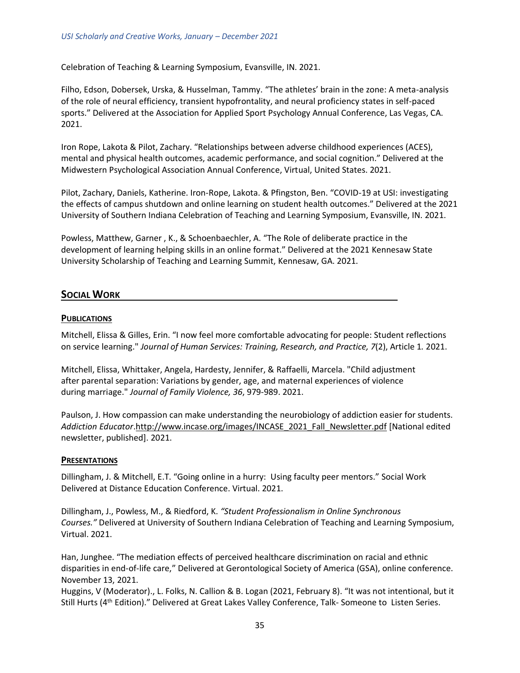Celebration of Teaching & Learning Symposium, Evansville, IN. 2021.

Filho, Edson, Dobersek, Urska, & Husselman, Tammy. "The athletes' brain in the zone: A meta-analysis of the role of neural efficiency, transient hypofrontality, and neural proficiency states in self-paced sports." Delivered at the Association for Applied Sport Psychology Annual Conference, Las Vegas, CA. 2021.

Iron Rope, Lakota & Pilot, Zachary. "Relationships between adverse childhood experiences (ACES), mental and physical health outcomes, academic performance, and social cognition." Delivered at the Midwestern Psychological Association Annual Conference, Virtual, United States. 2021.

Pilot, Zachary, Daniels, Katherine. Iron-Rope, Lakota. & Pfingston, Ben. "COVID-19 at USI: investigating the effects of campus shutdown and online learning on student health outcomes." Delivered at the 2021 University of Southern Indiana Celebration of Teaching and Learning Symposium, Evansville, IN. 2021.

Powless, Matthew, Garner , K., & Schoenbaechler, A. "The Role of deliberate practice in the development of learning helping skills in an online format." Delivered at the 2021 Kennesaw State University Scholarship of Teaching and Learning Summit, Kennesaw, GA. 2021.

# <span id="page-34-0"></span>**SOCIAL WORK**

#### **PUBLICATIONS**

Mitchell, Elissa & Gilles, Erin. "I now feel more comfortable advocating for people: Student reflections on service learning." *Journal of Human Services: Training, Research, and Practice, 7*(2), Article 1*.* 2021.

Mitchell, Elissa, Whittaker, Angela, Hardesty, Jennifer, & Raffaelli, Marcela. "Child adjustment after parental separation: Variations by gender, age, and maternal experiences of violence during marriage." *Journal of Family Violence, 36*, 979-989. 2021.

Paulson, J. How compassion can make understanding the neurobiology of addiction easier for students. *Addiction Educator*[.http://www.incase.org/images/INCASE\\_2021\\_Fall\\_Newsletter.pdf](http://www.incase.org/images/INCASE_2021_Fall_Newsletter.pdf) [National edited newsletter, published]. 2021.

#### **PRESENTATIONS**

Dillingham, J. & Mitchell, E.T. "Going online in a hurry: Using faculty peer mentors." Social Work Delivered at Distance Education Conference. Virtual. 2021.

Dillingham, J., Powless, M., & Riedford, K. *"Student Professionalism in Online Synchronous Courses."* Delivered at University of Southern Indiana Celebration of Teaching and Learning Symposium, Virtual. 2021.

Han, Junghee. "The mediation effects of perceived healthcare discrimination on racial and ethnic disparities in end-of-life care," Delivered at Gerontological Society of America (GSA), online conference. November 13, 2021.

Huggins, V (Moderator)., L. Folks, N. Callion & B. Logan (2021, February 8). "It was not intentional, but it Still Hurts (4th Edition)." Delivered at Great Lakes Valley Conference, Talk- Someone to Listen Series.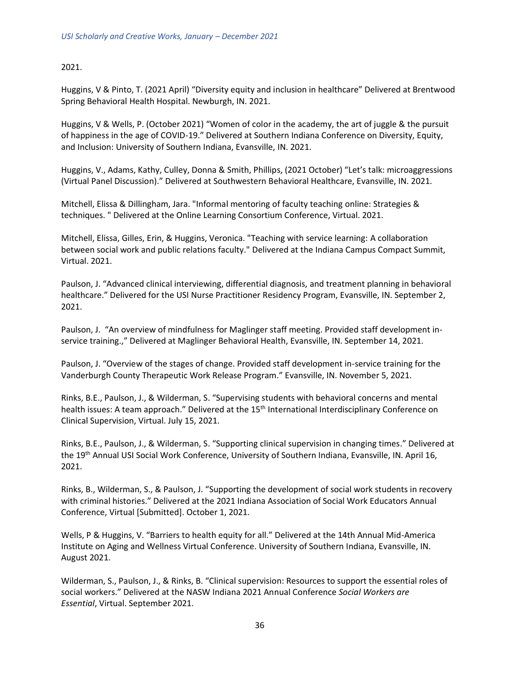### 2021.

Huggins, V & Pinto, T. (2021 April) "Diversity equity and inclusion in healthcare" Delivered at Brentwood Spring Behavioral Health Hospital. Newburgh, IN. 2021.

Huggins, V & Wells, P. (October 2021) "Women of color in the academy, the art of juggle & the pursuit of happiness in the age of COVID-19." Delivered at Southern Indiana Conference on Diversity, Equity, and Inclusion: University of Southern Indiana, Evansville, IN. 2021.

Huggins, V., Adams, Kathy, Culley, Donna & Smith, Phillips, (2021 October) "Let's talk: microaggressions (Virtual Panel Discussion)." Delivered at Southwestern Behavioral Healthcare, Evansville, IN. 2021.

Mitchell, Elissa & Dillingham, Jara. "Informal mentoring of faculty teaching online: Strategies & techniques. " Delivered at the Online Learning Consortium Conference, Virtual. 2021.

Mitchell, Elissa, Gilles, Erin, & Huggins, Veronica. "Teaching with service learning: A collaboration between social work and public relations faculty." Delivered at the Indiana Campus Compact Summit, Virtual. 2021.

Paulson, J. "Advanced clinical interviewing, differential diagnosis, and treatment planning in behavioral healthcare." Delivered for the USI Nurse Practitioner Residency Program, Evansville, IN. September 2, 2021.

Paulson, J. "An overview of mindfulness for Maglinger staff meeting. Provided staff development inservice training.," Delivered at Maglinger Behavioral Health, Evansville, IN. September 14, 2021.

Paulson, J. "Overview of the stages of change. Provided staff development in-service training for the Vanderburgh County Therapeutic Work Release Program." Evansville, IN. November 5, 2021.

Rinks, B.E., Paulson, J., & Wilderman, S. "Supervising students with behavioral concerns and mental health issues: A team approach." Delivered at the 15<sup>th</sup> International Interdisciplinary Conference on Clinical Supervision, Virtual. July 15, 2021.

Rinks, B.E., Paulson, J., & Wilderman, S. "Supporting clinical supervision in changing times." Delivered at the 19th Annual USI Social Work Conference, University of Southern Indiana, Evansville, IN. April 16, 2021.

Rinks, B., Wilderman, S., & Paulson, J. "Supporting the development of social work students in recovery with criminal histories." Delivered at the 2021 Indiana Association of Social Work Educators Annual Conference, Virtual [Submitted]. October 1, 2021.

Wells, P & Huggins, V. "Barriers to health equity for all." Delivered at the 14th Annual Mid-America Institute on Aging and Wellness Virtual Conference. University of Southern Indiana, Evansville, IN. August 2021.

Wilderman, S., Paulson, J., & Rinks, B. "Clinical supervision: Resources to support the essential roles of social workers." Delivered at the NASW Indiana 2021 Annual Conference *Social Workers are Essential*, Virtual. September 2021.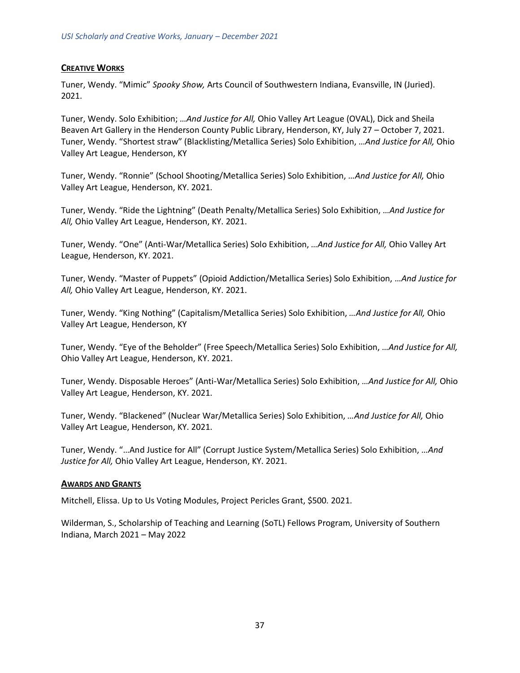## **CREATIVE WORKS**

Tuner, Wendy. "Mimic" *Spooky Show,* Arts Council of Southwestern Indiana, Evansville, IN (Juried). 2021.

Tuner, Wendy. Solo Exhibition; *…And Justice for All,* Ohio Valley Art League (OVAL), Dick and Sheila Beaven Art Gallery in the Henderson County Public Library, Henderson, KY, July 27 – October 7, 2021. Tuner, Wendy. "Shortest straw" (Blacklisting/Metallica Series) Solo Exhibition, *…And Justice for All,* Ohio Valley Art League, Henderson, KY

Tuner, Wendy. "Ronnie" (School Shooting/Metallica Series) Solo Exhibition, *…And Justice for All,* Ohio Valley Art League, Henderson, KY. 2021.

Tuner, Wendy. "Ride the Lightning" (Death Penalty/Metallica Series) Solo Exhibition, *…And Justice for All,* Ohio Valley Art League, Henderson, KY. 2021.

Tuner, Wendy. "One" (Anti-War/Metallica Series) Solo Exhibition, *…And Justice for All,* Ohio Valley Art League, Henderson, KY. 2021.

Tuner, Wendy. "Master of Puppets" (Opioid Addiction/Metallica Series) Solo Exhibition, *…And Justice for All,* Ohio Valley Art League, Henderson, KY. 2021.

Tuner, Wendy. "King Nothing" (Capitalism/Metallica Series) Solo Exhibition, *…And Justice for All,* Ohio Valley Art League, Henderson, KY

Tuner, Wendy. "Eye of the Beholder" (Free Speech/Metallica Series) Solo Exhibition, *…And Justice for All,* Ohio Valley Art League, Henderson, KY. 2021.

Tuner, Wendy. Disposable Heroes" (Anti-War/Metallica Series) Solo Exhibition, *…And Justice for All,* Ohio Valley Art League, Henderson, KY. 2021.

Tuner, Wendy. "Blackened" (Nuclear War/Metallica Series) Solo Exhibition, *…And Justice for All,* Ohio Valley Art League, Henderson, KY. 2021.

Tuner, Wendy. "…And Justice for All" (Corrupt Justice System/Metallica Series) Solo Exhibition, *…And Justice for All,* Ohio Valley Art League, Henderson, KY. 2021.

#### **AWARDS AND GRANTS**

Mitchell, Elissa. Up to Us Voting Modules, Project Pericles Grant, \$500. 2021.

Wilderman, S., Scholarship of Teaching and Learning (SoTL) Fellows Program, University of Southern Indiana, March 2021 – May 2022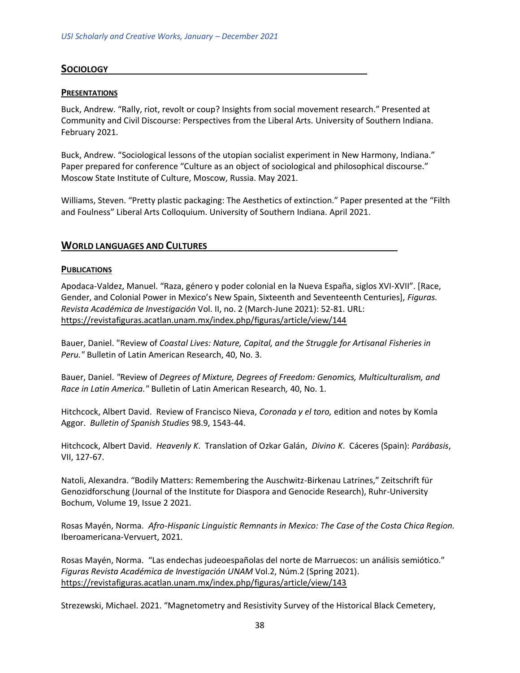# <span id="page-37-0"></span>**SOCIOLOGY**

#### **PRESENTATIONS**

Buck, Andrew. "Rally, riot, revolt or coup? Insights from social movement research." Presented at Community and Civil Discourse: Perspectives from the Liberal Arts. University of Southern Indiana. February 2021.

Buck, Andrew. "Sociological lessons of the utopian socialist experiment in New Harmony, Indiana." Paper prepared for conference "Culture as an object of sociological and philosophical discourse." Moscow State Institute of Culture, Moscow, Russia. May 2021.

<span id="page-37-1"></span>Williams, Steven. "Pretty plastic packaging: The Aesthetics of extinction." Paper presented at the "Filth and Foulness" Liberal Arts Colloquium. University of Southern Indiana. April 2021.

#### **WORLD LANGUAGES AND CULTURES**

#### **PUBLICATIONS**

Apodaca-Valdez, Manuel. "Raza, género y poder colonial en la Nueva España, siglos XVI-XVII". [Race, Gender, and Colonial Power in Mexico's New Spain, Sixteenth and Seventeenth Centuries], *Figuras. Revista Académica de Investigación* Vol. II, no. 2 (March-June 2021): 52-81. URL: <https://revistafiguras.acatlan.unam.mx/index.php/figuras/article/view/144>

Bauer, Daniel. "Review of *Coastal Lives: Nature, Capital, and the Struggle for Artisanal Fisheries in Peru."* Bulletin of Latin American Research, 40, No. 3.

Bauer, Daniel. *"*Review of *Degrees of Mixture, Degrees of Freedom: Genomics, Multiculturalism, and Race in Latin America."* Bulletin of Latin American Research*,* 40, No. 1.

Hitchcock, Albert David. Review of Francisco Nieva, *Coronada y el toro,* edition and notes by Komla Aggor. *Bulletin of Spanish Studies* 98.9, 1543-44.

Hitchcock, Albert David. *Heavenly K*. Translation of Ozkar Galán, *Divino K*. Cáceres (Spain): *Parábasis*, VII, 127-67.

Natoli, Alexandra. "Bodily Matters: Remembering the Auschwitz-Birkenau Latrines," Zeitschrift für Genozidforschung (Journal of the Institute for Diaspora and Genocide Research), Ruhr-University Bochum, Volume 19, Issue 2 2021.

Rosas Mayén, Norma. *Afro-Hispanic Linguistic Remnants in Mexico: The Case of the Costa Chica Region.*  Iberoamericana-Vervuert, 2021.

Rosas Mayén, Norma. "Las endechas judeoespañolas del norte de Marruecos: un análisis semiótico." *Figuras Revista Académica de Investigación UNAM* Vol.2, Núm.2 (Spring 2021). <https://revistafiguras.acatlan.unam.mx/index.php/figuras/article/view/143>

Strezewski, Michael. 2021. "Magnetometry and Resistivity Survey of the Historical Black Cemetery,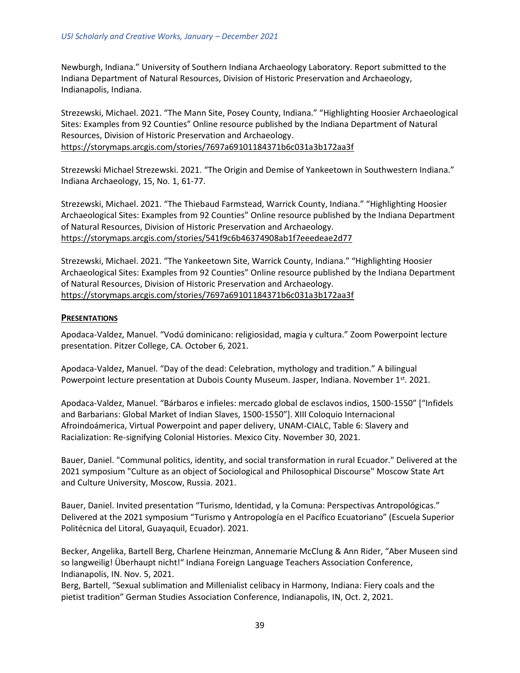Newburgh, Indiana." University of Southern Indiana Archaeology Laboratory. Report submitted to the Indiana Department of Natural Resources, Division of Historic Preservation and Archaeology, Indianapolis, Indiana.

Strezewski, Michael. 2021. "The Mann Site, Posey County, Indiana." "Highlighting Hoosier Archaeological Sites: Examples from 92 Counties" Online resource published by the Indiana Department of Natural Resources, Division of Historic Preservation and Archaeology. <https://storymaps.arcgis.com/stories/7697a69101184371b6c031a3b172aa3f>

Strezewski Michael Strezewski. 2021. "The Origin and Demise of Yankeetown in Southwestern Indiana." Indiana Archaeology, 15, No. 1, 61-77.

Strezewski, Michael. 2021. "The Thiebaud Farmstead, Warrick County, Indiana." "Highlighting Hoosier Archaeological Sites: Examples from 92 Counties" Online resource published by the Indiana Department of Natural Resources, Division of Historic Preservation and Archaeology. <https://storymaps.arcgis.com/stories/541f9c6b46374908ab1f7eeedeae2d77>

Strezewski, Michael. 2021. "The Yankeetown Site, Warrick County, Indiana." "Highlighting Hoosier Archaeological Sites: Examples from 92 Counties" Online resource published by the Indiana Department of Natural Resources, Division of Historic Preservation and Archaeology. <https://storymaps.arcgis.com/stories/7697a69101184371b6c031a3b172aa3f>

#### **PRESENTATIONS**

Apodaca-Valdez, Manuel. "Vodú dominicano: religiosidad, magia y cultura." Zoom Powerpoint lecture presentation. Pitzer College, CA. October 6, 2021.

Apodaca-Valdez, Manuel. "Day of the dead: Celebration, mythology and tradition." A bilingual Powerpoint lecture presentation at Dubois County Museum. Jasper, Indiana. November 1<sup>st</sup>. 2021.

Apodaca-Valdez, Manuel. "Bárbaros e infieles: mercado global de esclavos indios, 1500-1550" ["Infidels and Barbarians: Global Market of Indian Slaves, 1500-1550"]. XIII Coloquio Internacional Afroindoámerica, Virtual Powerpoint and paper delivery, UNAM-CIALC, Table 6: Slavery and Racialization: Re-signifying Colonial Histories. Mexico City. November 30, 2021.

Bauer, Daniel. "Communal politics, identity, and social transformation in rural Ecuador." Delivered at the 2021 symposium "Culture as an object of Sociological and Philosophical Discourse" Moscow State Art and Culture University, Moscow, Russia. 2021.

Bauer, Daniel. Invited presentation "Turismo, Identidad, y la Comuna: Perspectivas Antropológicas." Delivered at the 2021 symposium "Turismo y Antropología en el Pacífico Ecuatoriano" (Escuela Superior Politécnica del Litoral, Guayaquil, Ecuador). 2021.

Becker, Angelika, Bartell Berg, Charlene Heinzman, Annemarie McClung & Ann Rider, "Aber Museen sind so langweilig! Überhaupt nicht!" Indiana Foreign Language Teachers Association Conference, Indianapolis, IN. Nov. 5, 2021.

Berg, Bartell, "Sexual sublimation and Millenialist celibacy in Harmony, Indiana: Fiery coals and the pietist tradition" German Studies Association Conference, Indianapolis, IN, Oct. 2, 2021.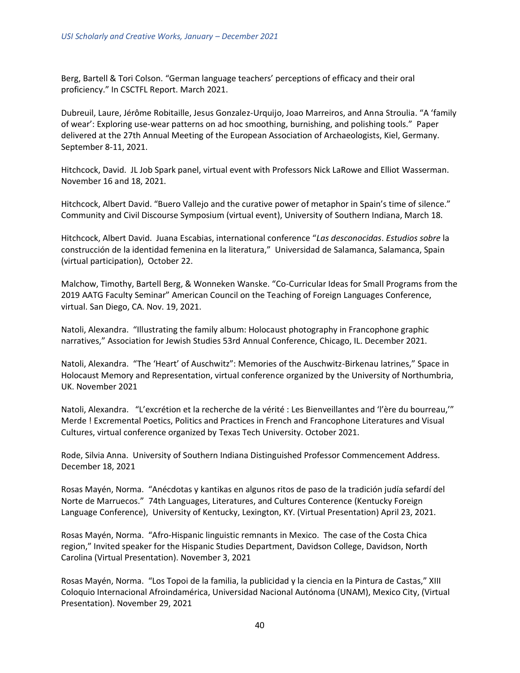Berg, Bartell & Tori Colson. "German language teachers' perceptions of efficacy and their oral proficiency." In CSCTFL Report. March 2021.

Dubreuil, Laure, Jérôme Robitaille, Jesus Gonzalez-Urquijo, Joao Marreiros, and Anna Stroulia. "A 'family of wear': Exploring use-wear patterns on ad hoc smoothing, burnishing, and polishing tools." Paper delivered at the 27th Annual Meeting of the European Association of Archaeologists, Kiel, Germany. September 8-11, 2021.

Hitchcock, David. JL Job Spark panel, virtual event with Professors Nick LaRowe and Elliot Wasserman. November 16 and 18, 2021.

Hitchcock, Albert David. "Buero Vallejo and the curative power of metaphor in Spain's time of silence." Community and Civil Discourse Symposium (virtual event), University of Southern Indiana, March 18.

Hitchcock, Albert David. Juana Escabias, international conference "*Las desconocidas*. *Estudios sobre* la construcción de la identidad femenina en la literatura," Universidad de Salamanca, Salamanca, Spain (virtual participation), October 22.

Malchow, Timothy, Bartell Berg, & Wonneken Wanske. "Co-Curricular Ideas for Small Programs from the 2019 AATG Faculty Seminar" American Council on the Teaching of Foreign Languages Conference, virtual. San Diego, CA. Nov. 19, 2021.

Natoli, Alexandra. "Illustrating the family album: Holocaust photography in Francophone graphic narratives," Association for Jewish Studies 53rd Annual Conference, Chicago, IL. December 2021.

Natoli, Alexandra. "The 'Heart' of Auschwitz": Memories of the Auschwitz-Birkenau latrines," Space in Holocaust Memory and Representation, virtual conference organized by the University of Northumbria, UK. November 2021

Natoli, Alexandra. "L'excrétion et la recherche de la vérité : Les Bienveillantes and 'l'ère du bourreau,'" Merde ! Excremental Poetics, Politics and Practices in French and Francophone Literatures and Visual Cultures, virtual conference organized by Texas Tech University. October 2021.

Rode, Silvia Anna. University of Southern Indiana Distinguished Professor Commencement Address. December 18, 2021

Rosas Mayén, Norma. "Anécdotas y kantikas en algunos ritos de paso de la tradición judía sefardí del Norte de Marruecos." 74th Languages, Literatures, and Cultures Conterence (Kentucky Foreign Language Conference), University of Kentucky, Lexington, KY. (Virtual Presentation) April 23, 2021.

Rosas Mayén, Norma. "Afro-Hispanic linguistic remnants in Mexico. The case of the Costa Chica region," Invited speaker for the Hispanic Studies Department, Davidson College, Davidson, North Carolina (Virtual Presentation). November 3, 2021

Rosas Mayén, Norma. "Los Topoi de la familia, la publicidad y la ciencia en la Pintura de Castas," XIII Coloquio Internacional Afroindamérica, Universidad Nacional Autónoma (UNAM), Mexico City, (Virtual Presentation). November 29, 2021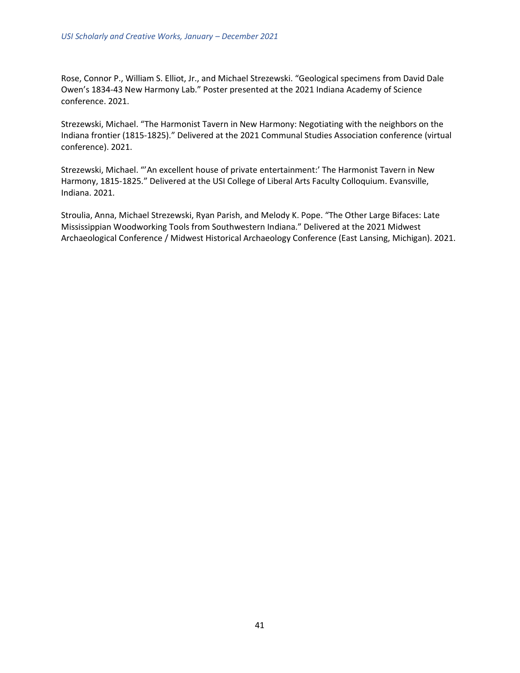Rose, Connor P., William S. Elliot, Jr., and Michael Strezewski. "Geological specimens from David Dale Owen's 1834-43 New Harmony Lab." Poster presented at the 2021 Indiana Academy of Science conference. 2021.

Strezewski, Michael. "The Harmonist Tavern in New Harmony: Negotiating with the neighbors on the Indiana frontier (1815-1825)." Delivered at the 2021 Communal Studies Association conference (virtual conference). 2021.

Strezewski, Michael. "'An excellent house of private entertainment:' The Harmonist Tavern in New Harmony, 1815-1825." Delivered at the USI College of Liberal Arts Faculty Colloquium. Evansville, Indiana. 2021.

Stroulia, Anna, Michael Strezewski, Ryan Parish, and Melody K. Pope. "The Other Large Bifaces: Late Mississippian Woodworking Tools from Southwestern Indiana." Delivered at the 2021 Midwest Archaeological Conference / Midwest Historical Archaeology Conference (East Lansing, Michigan). 2021.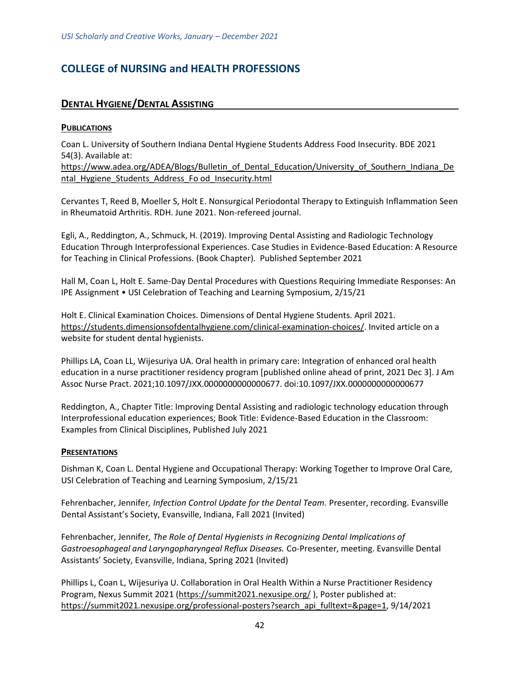# <span id="page-41-1"></span><span id="page-41-0"></span>**COLLEGE of NURSING and HEALTH PROFESSIONS**

# **DENTAL HYGIENE/DENTAL ASSISTING**

### **PUBLICATIONS**

Coan L. University of Southern Indiana Dental Hygiene Students Address Food Insecurity. BDE 2021 54(3). Available at:

[https://www.adea.org/ADEA/Blogs/Bulletin\\_of\\_Dental\\_Education/University\\_of\\_Southern\\_Indiana\\_De](https://www.adea.org/ADEA/Blogs/Bulletin_of_Dental_Education/University_of_Southern_Indiana_Dental_Hygiene_Students_Address_Fo%20od_Insecurity.html) ntal Hygiene Students Address Fo od Insecurity.html

Cervantes T, Reed B, Moeller S, Holt E. Nonsurgical Periodontal Therapy to Extinguish Inflammation Seen in Rheumatoid Arthritis. RDH. June 2021. Non-refereed journal.

Egli, A., Reddington, A., Schmuck, H. (2019). Improving Dental Assisting and Radiologic Technology Education Through Interprofessional Experiences. Case Studies in Evidence-Based Education: A Resource for Teaching in Clinical Professions. (Book Chapter). Published September 2021

Hall M, Coan L, Holt E. Same-Day Dental Procedures with Questions Requiring Immediate Responses: An IPE Assignment • USI Celebration of Teaching and Learning Symposium, 2/15/21

Holt E. Clinical Examination Choices. Dimensions of Dental Hygiene Students. April 2021. [https://students.dimensionsofdentalhygiene.com/clinical-examination-choices/.](https://students.dimensionsofdentalhygiene.com/clinical-examination-choices/) Invited article on a website for student dental hygienists.

Phillips LA, Coan LL, Wijesuriya UA. Oral health in primary care: Integration of enhanced oral health education in a nurse practitioner residency program [published online ahead of print, 2021 Dec 3]. J Am Assoc Nurse Pract. 2021;10.1097/JXX.0000000000000677. doi:10.1097/JXX.0000000000000677

Reddington, A., Chapter Title: Improving Dental Assisting and radiologic technology education through Interprofessional education experiences; Book Title: Evidence-Based Education in the Classroom: Examples from Clinical Disciplines, Published July 2021

#### **PRESENTATIONS**

Dishman K, Coan L. Dental Hygiene and Occupational Therapy: Working Together to Improve Oral Care, USI Celebration of Teaching and Learning Symposium, 2/15/21

Fehrenbacher, Jennifer, Infection Control Update for the Dental Team. Presenter, recording. Evansville Dental Assistant's Society, Evansville, Indiana, Fall 2021 (Invited)

Fehrenbacher, Jennifer*, The Role of Dental Hygienists in Recognizing Dental Implications of Gastroesophageal and Laryngopharyngeal Reflux Diseases.* Co-Presenter, meeting. Evansville Dental Assistants' Society, Evansville, Indiana, Spring 2021 (Invited)

Phillips L, Coan L, Wijesuriya U. Collaboration in Oral Health Within a Nurse Practitioner Residency Program, Nexus Summit 2021 [\(https://summit2021.nexusipe.org/](https://summit2021.nexusipe.org/) ), Poster published at: [https://summit2021.nexusipe.org/professional-posters?search\\_api\\_fulltext=&page=1,](https://summit2021.nexusipe.org/professional-posters?search_api_fulltext=&page=1) 9/14/2021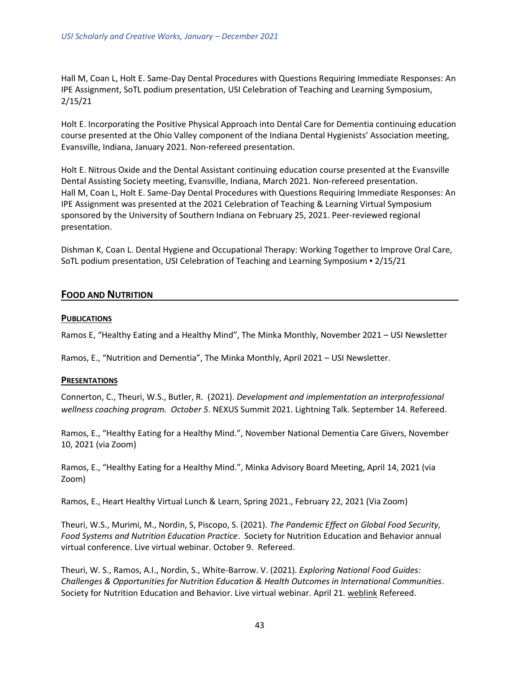Hall M, Coan L, Holt E. Same-Day Dental Procedures with Questions Requiring Immediate Responses: An IPE Assignment, SoTL podium presentation, USI Celebration of Teaching and Learning Symposium, 2/15/21

Holt E. Incorporating the Positive Physical Approach into Dental Care for Dementia continuing education course presented at the Ohio Valley component of the Indiana Dental Hygienists' Association meeting, Evansville, Indiana, January 2021. Non-refereed presentation.

Holt E. Nitrous Oxide and the Dental Assistant continuing education course presented at the Evansville Dental Assisting Society meeting, Evansville, Indiana, March 2021. Non-refereed presentation. Hall M, Coan L, Holt E. Same-Day Dental Procedures with Questions Requiring Immediate Responses: An IPE Assignment was presented at the 2021 Celebration of Teaching & Learning Virtual Symposium sponsored by the University of Southern Indiana on February 25, 2021. Peer-reviewed regional presentation.

<span id="page-42-0"></span>Dishman K, Coan L. Dental Hygiene and Occupational Therapy: Working Together to Improve Oral Care, SoTL podium presentation, USI Celebration of Teaching and Learning Symposium ▪ 2/15/21

# **FOOD AND NUTRITION**

#### **PUBLICATIONS**

Ramos E, "Healthy Eating and a Healthy Mind", The Minka Monthly, November 2021 – USI Newsletter

Ramos, E., "Nutrition and Dementia", The Minka Monthly, April 2021 – USI Newsletter.

#### **PRESENTATIONS**

Connerton, C., Theuri, W.S., Butler, R. (2021). *Development and implementation an interprofessional wellness coaching program. October 5*. NEXUS Summit 2021. Lightning Talk. September 14. Refereed.

Ramos, E., "Healthy Eating for a Healthy Mind.", November National Dementia Care Givers, November 10, 2021 (via Zoom)

Ramos, E., "Healthy Eating for a Healthy Mind.", Minka Advisory Board Meeting, April 14, 2021 (via Zoom)

Ramos, E., Heart Healthy Virtual Lunch & Learn, Spring 2021., February 22, 2021 (Via Zoom)

Theuri, W.S., Murimi, M., Nordin, S, Piscopo, S. (2021). *The Pandemic Effect on Global Food Security, Food Systems and Nutrition Education Practice*. Society for Nutrition Education and Behavior annual virtual conference. Live virtual webinar. October 9. Refereed.

Theuri, W. S., Ramos, A.I., Nordin, S., White-Barrow. V. (2021). *Exploring National Food Guides: Challenges & Opportunities for Nutrition Education & Health Outcomes in International Communities*. Society for Nutrition Education and Behavior. Live virtual webinar. April 21. [weblink](../2021/Scholarship/Food%20Guides%20Webinar%20Speaker%20Invitation%20and%20Web%20Notice.docx) Refereed.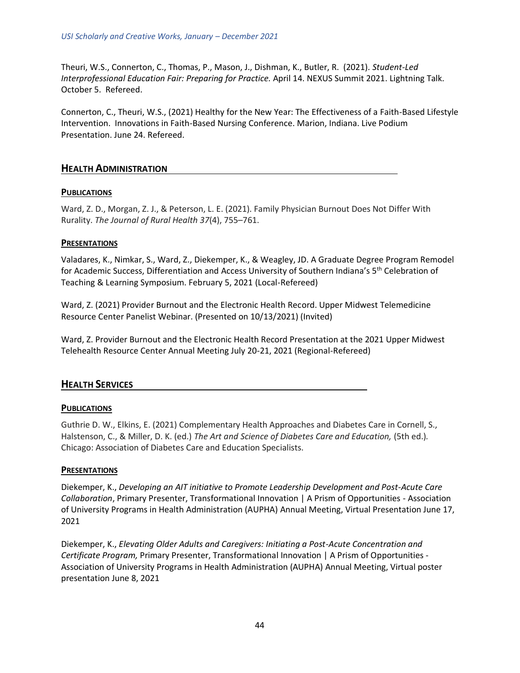Theuri, W.S., Connerton, C., Thomas, P., Mason, J., Dishman, K., Butler, R. (2021). *Student-Led Interprofessional Education Fair: Preparing for Practice.* April 14. NEXUS Summit 2021. Lightning Talk. October 5. Refereed.

Connerton, C., Theuri, W.S., (2021) Healthy for the New Year: The Effectiveness of a Faith-Based Lifestyle Intervention. Innovations in Faith-Based Nursing Conference. Marion, Indiana. Live Podium Presentation. June 24. Refereed.

# <span id="page-43-0"></span>**HEALTH ADMINISTRATION**

# **PUBLICATIONS**

Ward, Z. D., Morgan, Z. J., & Peterson, L. E. (2021). Family Physician Burnout Does Not Differ With Rurality. *The Journal of Rural Health 37*(4), 755–761.

# **PRESENTATIONS**

Valadares, K., Nimkar, S., Ward, Z., Diekemper, K., & Weagley, JD. A Graduate Degree Program Remodel for Academic Success, Differentiation and Access University of Southern Indiana's 5<sup>th</sup> Celebration of Teaching & Learning Symposium. February 5, 2021 (Local-Refereed)

Ward, Z. (2021) Provider Burnout and the Electronic Health Record. Upper Midwest Telemedicine Resource Center Panelist Webinar. (Presented on 10/13/2021) (Invited)

<span id="page-43-1"></span>Ward, Z. Provider Burnout and the Electronic Health Record Presentation at the 2021 Upper Midwest Telehealth Resource Center Annual Meeting July 20-21, 2021 (Regional-Refereed)

# **HEALTH SERVICES**

# **PUBLICATIONS**

Guthrie D. W., Elkins, E. (2021) Complementary Health Approaches and Diabetes Care in Cornell, S., Halstenson, C., & Miller, D. K. (ed.) *The Art and Science of Diabetes Care and Education,* (5th ed.)*.* Chicago: Association of Diabetes Care and Education Specialists.

#### **PRESENTATIONS**

Diekemper, K., *Developing an AIT initiative to Promote Leadership Development and Post-Acute Care Collaboration*, Primary Presenter, Transformational Innovation | A Prism of Opportunities - Association of University Programs in Health Administration (AUPHA) Annual Meeting, Virtual Presentation June 17, 2021

Diekemper, K., *Elevating Older Adults and Caregivers: Initiating a Post-Acute Concentration and Certificate Program,* Primary Presenter, Transformational Innovation | A Prism of Opportunities - Association of University Programs in Health Administration (AUPHA) Annual Meeting, Virtual poster presentation June 8, 2021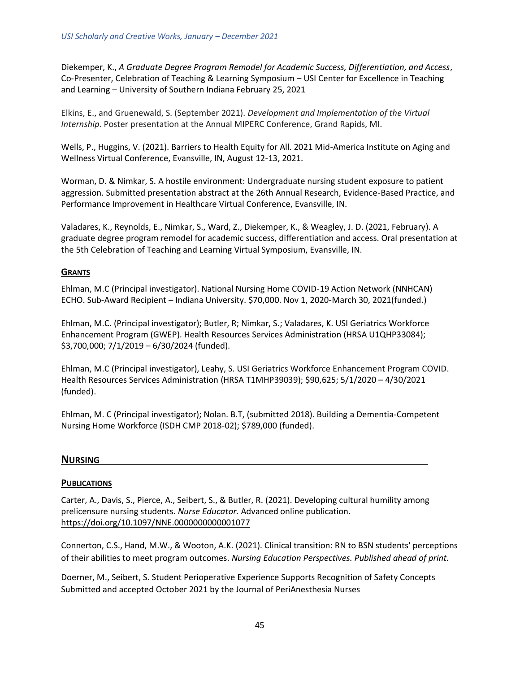Diekemper, K., *A Graduate Degree Program Remodel for Academic Success, Differentiation, and Access*, Co-Presenter, Celebration of Teaching & Learning Symposium – USI Center for Excellence in Teaching and Learning – University of Southern Indiana February 25, 2021

Elkins, E., and Gruenewald, S. (September 2021). *Development and Implementation of the Virtual Internship*. Poster presentation at the Annual MIPERC Conference, Grand Rapids, MI.

Wells, P., Huggins, V. (2021). Barriers to Health Equity for All. 2021 Mid-America Institute on Aging and Wellness Virtual Conference, Evansville, IN, August 12-13, 2021.

Worman, D. & Nimkar, S. A hostile environment: Undergraduate nursing student exposure to patient aggression. Submitted presentation abstract at the 26th Annual Research, Evidence-Based Practice, and Performance Improvement in Healthcare Virtual Conference, Evansville, IN.

Valadares, K., Reynolds, E., Nimkar, S., Ward, Z., Diekemper, K., & Weagley, J. D. (2021, February). A graduate degree program remodel for academic success, differentiation and access. Oral presentation at the 5th Celebration of Teaching and Learning Virtual Symposium, Evansville, IN.

#### **GRANTS**

Ehlman, M.C (Principal investigator). National Nursing Home COVID-19 Action Network (NNHCAN) ECHO. Sub-Award Recipient – Indiana University. \$70,000. Nov 1, 2020-March 30, 2021(funded.)

Ehlman, M.C. (Principal investigator); Butler, R; Nimkar, S.; Valadares, K. USI Geriatrics Workforce Enhancement Program (GWEP). Health Resources Services Administration (HRSA U1QHP33084); \$3,700,000; 7/1/2019 – 6/30/2024 (funded).

Ehlman, M.C (Principal investigator), Leahy, S. USI Geriatrics Workforce Enhancement Program COVID. Health Resources Services Administration (HRSA T1MHP39039); \$90,625; 5/1/2020 – 4/30/2021 (funded).

<span id="page-44-0"></span>Ehlman, M. C (Principal investigator); Nolan. B.T, (submitted 2018). Building a Dementia-Competent Nursing Home Workforce (ISDH CMP 2018-02); \$789,000 (funded).

#### **NURSING**

#### **PUBLICATIONS**

Carter, A., Davis, S., Pierce, A., Seibert, S., & Butler, R. (2021). Developing cultural humility among prelicensure nursing students. *Nurse Educator.* Advanced online publication. <https://doi.org/10.1097/NNE.0000000000001077>

Connerton, C.S., Hand, M.W., & Wooton, A.K. (2021). Clinical transition: RN to BSN students' perceptions of their abilities to meet program outcomes. *Nursing Education Perspectives. Published ahead of print.*

Doerner, M., Seibert, S. Student Perioperative Experience Supports Recognition of Safety Concepts Submitted and accepted October 2021 by the Journal of PeriAnesthesia Nurses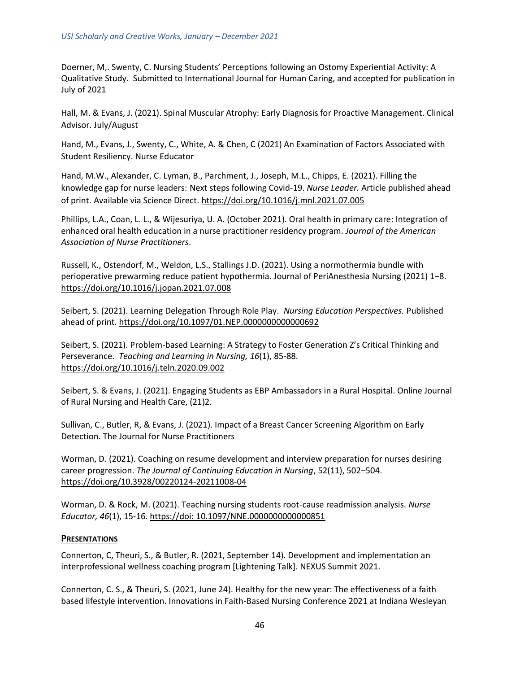Doerner, M,. Swenty, C. Nursing Students' Perceptions following an Ostomy Experiential Activity: A Qualitative Study. Submitted to International Journal for Human Caring, and accepted for publication in July of 2021

Hall, M. & Evans, J. (2021). Spinal Muscular Atrophy: Early Diagnosis for Proactive Management. Clinical Advisor. July/August

Hand, M., Evans, J., Swenty, C., White, A. & Chen, C (2021) An Examination of Factors Associated with Student Resiliency. Nurse Educator

Hand, M.W., Alexander, C. Lyman, B., Parchment, J., Joseph, M.L., Chipps, E. (2021). Filling the knowledge gap for nurse leaders: Next steps following Covid-19. *Nurse Leader.* Article published ahead of print. Available via Science Direct.<https://doi.org/10.1016/j.mnl.2021.07.005>

Phillips, L.A., Coan, L. L., & Wijesuriya, U. A. (October 2021). Oral health in primary care: Integration of enhanced oral health education in a nurse practitioner residency program. *Journal of the American Association of Nurse Practitioners*.

Russell, K., Ostendorf, M., Weldon, L.S., Stallings J.D. (2021). Using a normothermia bundle with perioperative prewarming reduce patient hypothermia. Journal of PeriAnesthesia Nursing (2021) 1−8. <https://doi.org/10.1016/j.jopan.2021.07.008>

Seibert, S. (2021). Learning Delegation Through Role Play. *Nursing Education Perspectives.* Published ahead of print*.* <https://doi.org/10.1097/01.NEP.0000000000000692>

Seibert, S. (2021). Problem-based Learning: A Strategy to Foster Generation Z's Critical Thinking and Perseverance. *Teaching and Learning in Nursing, 16*(1), 85-88. <https://doi.org/10.1016/j.teln.2020.09.002>

Seibert, S. & Evans, J. (2021). Engaging Students as EBP Ambassadors in a Rural Hospital. Online Journal of Rural Nursing and Health Care, (21)2.

Sullivan, C., Butler, R, & Evans, J. (2021). Impact of a Breast Cancer Screening Algorithm on Early Detection. The Journal for Nurse Practitioners

Worman, D. (2021). Coaching on resume development and interview preparation for nurses desiring career progression. *The Journal of Continuing Education in Nursing*, 52(11), 502–504. <https://doi.org/10.3928/00220124-20211008-04>

Worman, D. & Rock, M. (2021). Teaching nursing students root-cause readmission analysis. *Nurse Educator, 46*(1), 15-16. [https://doi: 10.1097/NNE.0000000000000851](https://doi.org/10.1097/nne.0000000000000851)

#### **PRESENTATIONS**

Connerton, C, Theuri, S., & Butler, R. (2021, September 14). Development and implementation an interprofessional wellness coaching program [Lightening Talk]. NEXUS Summit 2021.

Connerton, C. S., & Theuri, S. (2021, June 24). Healthy for the new year: The effectiveness of a faith based lifestyle intervention. Innovations in Faith-Based Nursing Conference 2021 at Indiana Wesleyan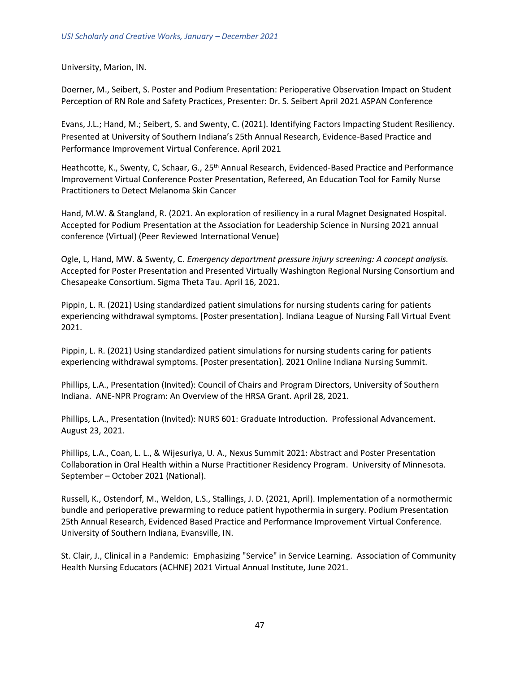University, Marion, IN.

Doerner, M., Seibert, S. Poster and Podium Presentation: Perioperative Observation Impact on Student Perception of RN Role and Safety Practices, Presenter: Dr. S. Seibert April 2021 ASPAN Conference

Evans, J.L.; Hand, M.; Seibert, S. and Swenty, C. (2021). Identifying Factors Impacting Student Resiliency. Presented at University of Southern Indiana's 25th Annual Research, Evidence-Based Practice and Performance Improvement Virtual Conference. April 2021

Heathcotte, K., Swenty, C, Schaar, G., 25<sup>th</sup> Annual Research, Evidenced-Based Practice and Performance Improvement Virtual Conference Poster Presentation, Refereed, An Education Tool for Family Nurse Practitioners to Detect Melanoma Skin Cancer

Hand, M.W. & Stangland, R. (2021. An exploration of resiliency in a rural Magnet Designated Hospital. Accepted for Podium Presentation at the Association for Leadership Science in Nursing 2021 annual conference (Virtual) (Peer Reviewed International Venue)

Ogle, L, Hand, MW. & Swenty, C. *Emergency department pressure injury screening: A concept analysis.*  Accepted for Poster Presentation and Presented Virtually Washington Regional Nursing Consortium and Chesapeake Consortium. Sigma Theta Tau*.* April 16, 2021.

Pippin, L. R. (2021) Using standardized patient simulations for nursing students caring for patients experiencing withdrawal symptoms. [Poster presentation]. Indiana League of Nursing Fall Virtual Event 2021.

Pippin, L. R. (2021) Using standardized patient simulations for nursing students caring for patients experiencing withdrawal symptoms. [Poster presentation]. 2021 Online Indiana Nursing Summit.

Phillips, L.A., Presentation (Invited): Council of Chairs and Program Directors, University of Southern Indiana. ANE-NPR Program: An Overview of the HRSA Grant. April 28, 2021.

Phillips, L.A., Presentation (Invited): NURS 601: Graduate Introduction. Professional Advancement. August 23, 2021.

Phillips, L.A., Coan, L. L., & Wijesuriya, U. A., Nexus Summit 2021: Abstract and Poster Presentation Collaboration in Oral Health within a Nurse Practitioner Residency Program. University of Minnesota. September – October 2021 (National).

Russell, K., Ostendorf, M., Weldon, L.S., Stallings, J. D. (2021, April). Implementation of a normothermic bundle and perioperative prewarming to reduce patient hypothermia in surgery. Podium Presentation 25th Annual Research, Evidenced Based Practice and Performance Improvement Virtual Conference. University of Southern Indiana, Evansville, IN.

St. Clair, J., Clinical in a Pandemic: Emphasizing "Service" in Service Learning. Association of Community Health Nursing Educators (ACHNE) 2021 Virtual Annual Institute, June 2021.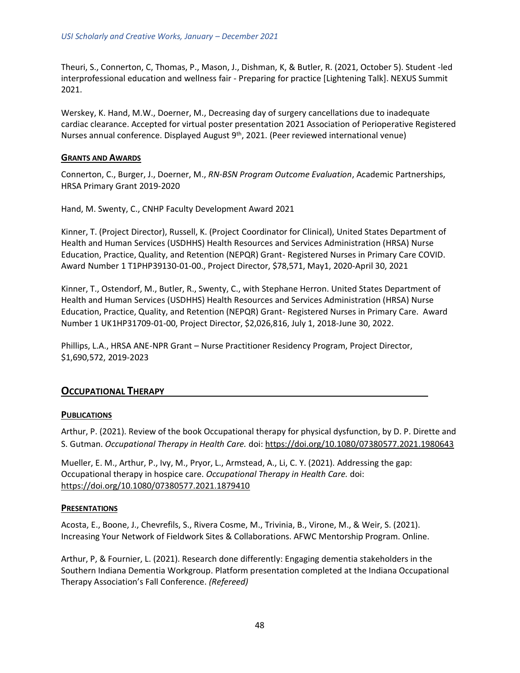Theuri, S., Connerton, C, Thomas, P., Mason, J., Dishman, K, & Butler, R. (2021, October 5). Student -led interprofessional education and wellness fair - Preparing for practice [Lightening Talk]. NEXUS Summit 2021.

Werskey, K. Hand, M.W., Doerner, M., Decreasing day of surgery cancellations due to inadequate cardiac clearance. Accepted for virtual poster presentation 2021 Association of Perioperative Registered Nurses annual conference. Displayed August 9<sup>th</sup>, 2021. (Peer reviewed international venue)

#### **GRANTS AND AWARDS**

Connerton, C., Burger, J., Doerner, M., *RN-BSN Program Outcome Evaluation*, Academic Partnerships, HRSA Primary Grant 2019-2020

Hand, M. Swenty, C., CNHP Faculty Development Award 2021

Kinner, T. (Project Director), Russell, K. (Project Coordinator for Clinical), United States Department of Health and Human Services (USDHHS) Health Resources and Services Administration (HRSA) Nurse Education, Practice, Quality, and Retention (NEPQR) Grant- Registered Nurses in Primary Care COVID. Award Number 1 T1PHP39130-01-00., Project Director, \$78,571, May1, 2020-April 30, 2021

Kinner, T., Ostendorf, M., Butler, R., Swenty, C., with Stephane Herron. United States Department of Health and Human Services (USDHHS) Health Resources and Services Administration (HRSA) Nurse Education, Practice, Quality, and Retention (NEPQR) Grant- Registered Nurses in Primary Care. Award Number 1 UK1HP31709-01-00, Project Director, \$2,026,816, July 1, 2018-June 30, 2022.

<span id="page-47-0"></span>Phillips, L.A., HRSA ANE-NPR Grant – Nurse Practitioner Residency Program, Project Director, \$1,690,572, 2019-2023

# **OCCUPATIONAL THERAPY**

#### **PUBLICATIONS**

Arthur, P. (2021). Review of the book Occupational therapy for physical dysfunction, by D. P. Dirette and S. Gutman. *Occupational Therapy in Health Care.* doi:<https://doi.org/10.1080/07380577.2021.1980643>

Mueller, E. M., Arthur, P., Ivy, M., Pryor, L., Armstead, A., Li, C. Y. (2021). Addressing the gap: Occupational therapy in hospice care. *Occupational Therapy in Health Care.* doi: <https://doi.org/10.1080/07380577.2021.1879410>

#### **PRESENTATIONS**

Acosta, E., Boone, J., Chevrefils, S., Rivera Cosme, M., Trivinia, B., Virone, M., & Weir, S. (2021). Increasing Your Network of Fieldwork Sites & Collaborations. AFWC Mentorship Program. Online.

Arthur, P, & Fournier, L. (2021). Research done differently: Engaging dementia stakeholders in the Southern Indiana Dementia Workgroup. Platform presentation completed at the Indiana Occupational Therapy Association's Fall Conference. *(Refereed)*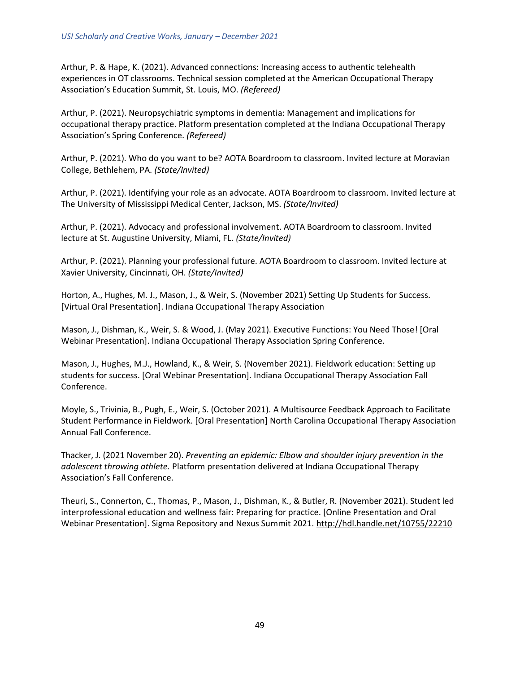Arthur, P. & Hape, K. (2021). Advanced connections: Increasing access to authentic telehealth experiences in OT classrooms. Technical session completed at the American Occupational Therapy Association's Education Summit, St. Louis, MO. *(Refereed)*

Arthur, P. (2021). Neuropsychiatric symptoms in dementia: Management and implications for occupational therapy practice. Platform presentation completed at the Indiana Occupational Therapy Association's Spring Conference. *(Refereed)*

Arthur, P. (2021). Who do you want to be? AOTA Boardroom to classroom. Invited lecture at Moravian College, Bethlehem, PA. *(State/Invited)*

Arthur, P. (2021). Identifying your role as an advocate. AOTA Boardroom to classroom. Invited lecture at The University of Mississippi Medical Center, Jackson, MS. *(State/Invited)*

Arthur, P. (2021). Advocacy and professional involvement. AOTA Boardroom to classroom. Invited lecture at St. Augustine University, Miami, FL. *(State/Invited)*

Arthur, P. (2021). Planning your professional future. AOTA Boardroom to classroom. Invited lecture at Xavier University, Cincinnati, OH. *(State/Invited)*

Horton, A., Hughes, M. J., Mason, J., & Weir, S. (November 2021) Setting Up Students for Success. [Virtual Oral Presentation]. Indiana Occupational Therapy Association

Mason, J., Dishman, K., Weir, S. & Wood, J. (May 2021). Executive Functions: You Need Those! [Oral Webinar Presentation]. Indiana Occupational Therapy Association Spring Conference.

Mason, J., Hughes, M.J., Howland, K., & Weir, S. (November 2021). Fieldwork education: Setting up students for success. [Oral Webinar Presentation]. Indiana Occupational Therapy Association Fall Conference.

Moyle, S., Trivinia, B., Pugh, E., Weir, S. (October 2021). A Multisource Feedback Approach to Facilitate Student Performance in Fieldwork. [Oral Presentation] North Carolina Occupational Therapy Association Annual Fall Conference.

Thacker, J. (2021 November 20). *Preventing an epidemic: Elbow and shoulder injury prevention in the adolescent throwing athlete.* Platform presentation delivered at Indiana Occupational Therapy Association's Fall Conference.

Theuri, S., Connerton, C., Thomas, P., Mason, J., Dishman, K., & Butler, R. (November 2021). Student led interprofessional education and wellness fair: Preparing for practice. [Online Presentation and Oral Webinar Presentation]. Sigma Repository and Nexus Summit 2021.<http://hdl.handle.net/10755/22210>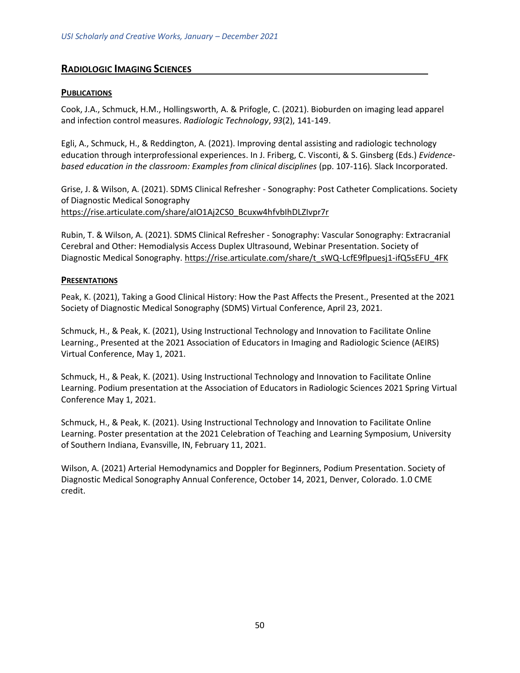# <span id="page-49-0"></span>**RADIOLOGIC IMAGING SCIENCES**

### **PUBLICATIONS**

Cook, J.A., Schmuck, H.M., Hollingsworth, A. & Prifogle, C. (2021). Bioburden on imaging lead apparel and infection control measures. *Radiologic Technology*, *93*(2), 141-149.

Egli, A., Schmuck, H., & Reddington, A. (2021). Improving dental assisting and radiologic technology education through interprofessional experiences. In J. Friberg, C. Visconti, & S. Ginsberg (Eds.) *Evidencebased education in the classroom: Examples from clinical disciplines* (pp. 107-116)*.* Slack Incorporated.

Grise, J. & Wilson, A. (2021). SDMS Clinical Refresher - Sonography: Post Catheter Complications. Society of Diagnostic Medical Sonography [https://rise.articulate.com/share/aIO1Aj2CS0\\_Bcuxw4hfvbIhDLZIvpr7r](https://rise.articulate.com/share/aIO1Aj2CS0_Bcuxw4hfvbIhDLZIvpr7r)

Rubin, T. & Wilson, A. (2021). SDMS Clinical Refresher - Sonography: Vascular Sonography: Extracranial Cerebral and Other: Hemodialysis Access Duplex Ultrasound, Webinar Presentation. Society of Diagnostic Medical Sonography. [https://rise.articulate.com/share/t\\_sWQ-LcfE9flpuesj1-ifQ5sEFU\\_4FK](https://nam11.safelinks.protection.outlook.com/?url=https%3A%2F%2Frise.articulate.com%2Fshare%2Ft_sWQ-LcfE9flpuesj1-ifQ5sEFU_4FK&data=04%7C01%7Calwilson2%40usi.edu%7C34779fb48bd64706694708d95b4b7b2c%7Cae1d882c786b492c90953d81d0a2f615%7C0%7C0%7C637641202015677761%7CUnknown%7CTWFpbGZsb3d8eyJWIjoiMC4wLjAwMDAiLCJQIjoiV2luMzIiLCJBTiI6Ik1haWwiLCJXVCI6Mn0%3D%7C1000&sdata=1xfxheoofRqRv00oZlTx9Im%2Fh3R%2F0h019RUPYmRY0n8%3D&reserved=0)

#### **PRESENTATIONS**

Peak, K. (2021), Taking a Good Clinical History: How the Past Affects the Present., Presented at the 2021 Society of Diagnostic Medical Sonography (SDMS) Virtual Conference, April 23, 2021.

Schmuck, H., & Peak, K. (2021), Using Instructional Technology and Innovation to Facilitate Online Learning., Presented at the 2021 Association of Educators in Imaging and Radiologic Science (AEIRS) Virtual Conference, May 1, 2021.

Schmuck, H., & Peak, K. (2021). Using Instructional Technology and Innovation to Facilitate Online Learning. Podium presentation at the Association of Educators in Radiologic Sciences 2021 Spring Virtual Conference May 1, 2021.

Schmuck, H., & Peak, K. (2021). Using Instructional Technology and Innovation to Facilitate Online Learning. Poster presentation at the 2021 Celebration of Teaching and Learning Symposium, University of Southern Indiana, Evansville, IN, February 11, 2021.

Wilson, A. (2021) Arterial Hemodynamics and Doppler for Beginners, Podium Presentation. Society of Diagnostic Medical Sonography Annual Conference, October 14, 2021, Denver, Colorado. 1.0 CME credit.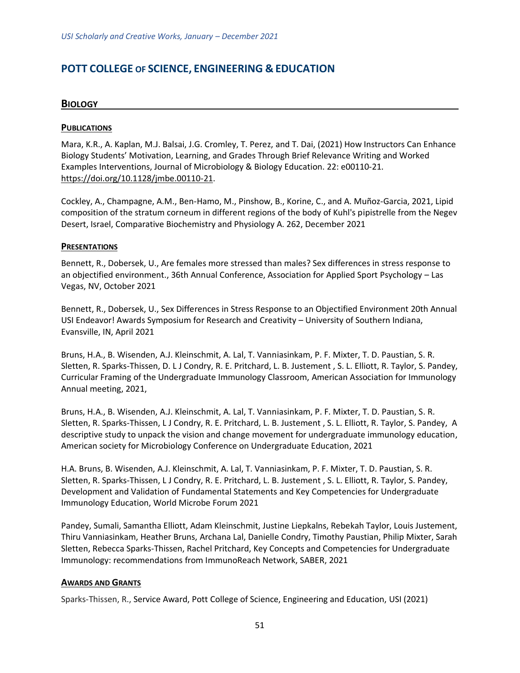# <span id="page-50-1"></span><span id="page-50-0"></span>**POTT COLLEGE OF SCIENCE, ENGINEERING & EDUCATION**

### **BIOLOGY**

#### **PUBLICATIONS**

Mara, K.R., A. Kaplan, M.J. Balsai, J.G. Cromley, T. Perez, and T. Dai, (2021) How Instructors Can Enhance Biology Students' Motivation, Learning, and Grades Through Brief Relevance Writing and Worked Examples Interventions, Journal of Microbiology & Biology Education. 22: e00110-21. [https://doi.org/10.1128/jmbe.00110-21.](https://doi.org/10.1128/jmbe.00110-21)

Cockley, A., Champagne, A.M., Ben-Hamo, M., Pinshow, B., Korine, C., and A. Muñoz-Garcia, 2021, Lipid composition of the stratum corneum in different regions of the body of Kuhl's pipistrelle from the Negev Desert, Israel, Comparative Biochemistry and Physiology A. 262, December 2021

#### **PRESENTATIONS**

Bennett, R., Dobersek, U., Are females more stressed than males? Sex differences in stress response to an objectified environment., 36th Annual Conference, Association for Applied Sport Psychology – Las Vegas, NV, October 2021

Bennett, R., Dobersek, U., Sex Differences in Stress Response to an Objectified Environment 20th Annual USI Endeavor! Awards Symposium for Research and Creativity – University of Southern Indiana, Evansville, IN, April 2021

Bruns, H.A., B. Wisenden, A.J. Kleinschmit, A. Lal, T. Vanniasinkam, P. F. Mixter, T. D. Paustian, S. R. Sletten, R. Sparks-Thissen, D. L J Condry, R. E. Pritchard, L. B. Justement , S. L. Elliott, R. Taylor, S. Pandey, Curricular Framing of the Undergraduate Immunology Classroom, American Association for Immunology Annual meeting, 2021,

Bruns, H.A., B. Wisenden, A.J. Kleinschmit, A. Lal, T. Vanniasinkam, P. F. Mixter, T. D. Paustian, S. R. Sletten, R. Sparks-Thissen, L J Condry, R. E. Pritchard, L. B. Justement , S. L. Elliott, R. Taylor, S. Pandey, A descriptive study to unpack the vision and change movement for undergraduate immunology education, American society for Microbiology Conference on Undergraduate Education, 2021

H.A. Bruns, B. Wisenden, A.J. Kleinschmit, A. Lal, T. Vanniasinkam, P. F. Mixter, T. D. Paustian, S. R. Sletten, R. Sparks-Thissen, L J Condry, R. E. Pritchard, L. B. Justement , S. L. Elliott, R. Taylor, S. Pandey, Development and Validation of Fundamental Statements and Key Competencies for Undergraduate Immunology Education, World Microbe Forum 2021

Pandey, Sumali, Samantha Elliott, Adam Kleinschmit, Justine Liepkalns, Rebekah Taylor, Louis Justement, Thiru Vanniasinkam, Heather Bruns, Archana Lal, Danielle Condry, Timothy Paustian, Philip Mixter, Sarah Sletten, Rebecca Sparks-Thissen, Rachel Pritchard, Key Concepts and Competencies for Undergraduate Immunology: recommendations from ImmunoReach Network, SABER, 2021

#### **AWARDS AND GRANTS**

Sparks-Thissen, R., Service Award, Pott College of Science, Engineering and Education, USI (2021)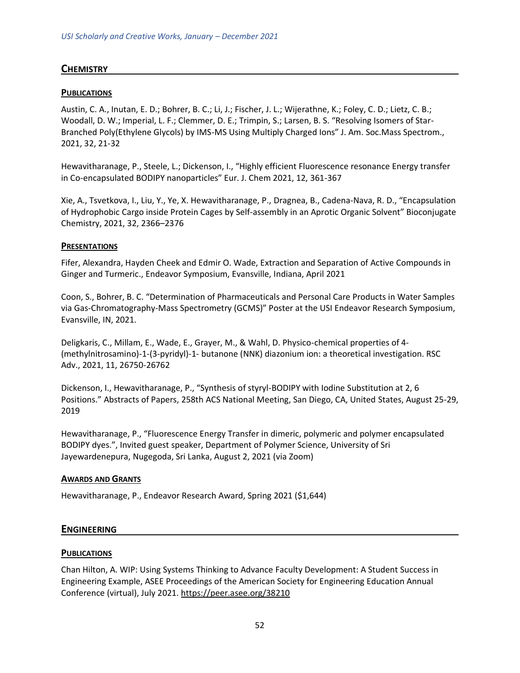# <span id="page-51-0"></span>**CHEMISTRY**

# **PUBLICATIONS**

Austin, C. A., Inutan, E. D.; Bohrer, B. C.; Li, J.; Fischer, J. L.; Wijerathne, K.; Foley, C. D.; Lietz, C. B.; Woodall, D. W.; Imperial, L. F.; Clemmer, D. E.; Trimpin, S.; Larsen, B. S. "Resolving Isomers of Star-Branched Poly(Ethylene Glycols) by IMS-MS Using Multiply Charged Ions" J. Am. Soc.Mass Spectrom., 2021, 32, 21-32

Hewavitharanage, P., Steele, L.; Dickenson, I., "Highly efficient Fluorescence resonance Energy transfer in Co-encapsulated BODIPY nanoparticles" Eur. J. Chem 2021, 12, 361-367

Xie, A., Tsvetkova, I., Liu, Y., Ye, X. Hewavitharanage, P., Dragnea, B., Cadena-Nava, R. D., "Encapsulation of Hydrophobic Cargo inside Protein Cages by Self-assembly in an Aprotic Organic Solvent" Bioconjugate Chemistry, 2021, 32, 2366–2376

#### **PRESENTATIONS**

Fifer, Alexandra, Hayden Cheek and Edmir O. Wade, Extraction and Separation of Active Compounds in Ginger and Turmeric., Endeavor Symposium, Evansville, Indiana, April 2021

Coon, S., Bohrer, B. C. "Determination of Pharmaceuticals and Personal Care Products in Water Samples via Gas-Chromatography-Mass Spectrometry (GCMS)" Poster at the USI Endeavor Research Symposium, Evansville, IN, 2021.

Deligkaris, C., Millam, E., Wade, E., Grayer, M., & Wahl, D. Physico-chemical properties of 4- (methylnitrosamino)-1-(3-pyridyl)-1- butanone (NNK) diazonium ion: a theoretical investigation. RSC Adv., 2021, 11, 26750-26762

Dickenson, I., Hewavitharanage, P., "Synthesis of styryl-BODIPY with Iodine Substitution at 2, 6 Positions." Abstracts of Papers, 258th ACS National Meeting, San Diego, CA, United States, August 25-29, 2019

Hewavitharanage, P., "Fluorescence Energy Transfer in dimeric, polymeric and polymer encapsulated BODIPY dyes.", Invited guest speaker, Department of Polymer Science, University of Sri Jayewardenepura, Nugegoda, Sri Lanka, August 2, 2021 (via Zoom)

#### **AWARDS AND GRANTS**

<span id="page-51-1"></span>Hewavitharanage, P., Endeavor Research Award, Spring 2021 (\$1,644)

#### **ENGINEERING**

#### **PUBLICATIONS**

Chan Hilton, A. WIP: Using Systems Thinking to Advance Faculty Development: A Student Success in Engineering Example, ASEE Proceedings of the American Society for Engineering Education Annual Conference (virtual), July 2021.<https://peer.asee.org/38210>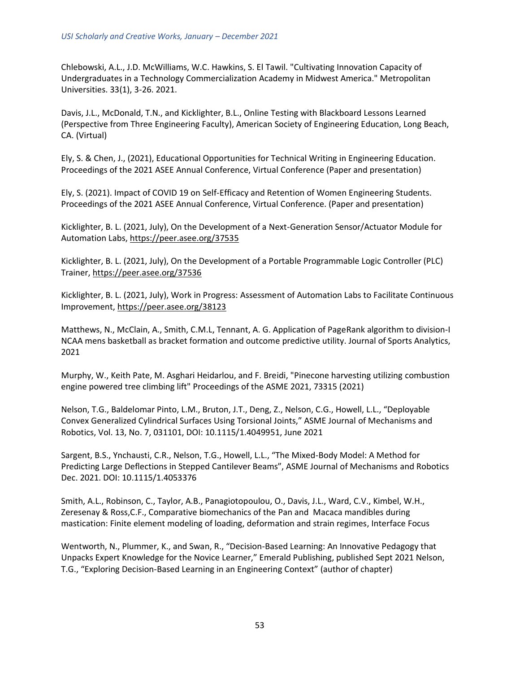Chlebowski, A.L., J.D. McWilliams, W.C. Hawkins, S. El Tawil. "Cultivating Innovation Capacity of Undergraduates in a Technology Commercialization Academy in Midwest America." Metropolitan Universities. 33(1), 3-26. 2021.

Davis, J.L., McDonald, T.N., and Kicklighter, B.L., Online Testing with Blackboard Lessons Learned (Perspective from Three Engineering Faculty), American Society of Engineering Education, Long Beach, CA. (Virtual)

Ely, S. & Chen, J., (2021), Educational Opportunities for Technical Writing in Engineering Education. Proceedings of the 2021 ASEE Annual Conference, Virtual Conference (Paper and presentation)

Ely, S. (2021). Impact of COVID 19 on Self-Efficacy and Retention of Women Engineering Students. Proceedings of the 2021 ASEE Annual Conference, Virtual Conference. (Paper and presentation)

Kicklighter, B. L. (2021, July), On the Development of a Next-Generation Sensor/Actuator Module for Automation Labs,<https://peer.asee.org/37535>

Kicklighter, B. L. (2021, July), On the Development of a Portable Programmable Logic Controller (PLC) Trainer,<https://peer.asee.org/37536>

Kicklighter, B. L. (2021, July), Work in Progress: Assessment of Automation Labs to Facilitate Continuous Improvement,<https://peer.asee.org/38123>

Matthews, N., McClain, A., Smith, C.M.L, Tennant, A. G. Application of PageRank algorithm to division-I NCAA mens basketball as bracket formation and outcome predictive utility. Journal of Sports Analytics, 2021

Murphy, W., Keith Pate, M. Asghari Heidarlou, and F. Breidi, "Pinecone harvesting utilizing combustion engine powered tree climbing lift" Proceedings of the ASME 2021, 73315 (2021)

Nelson, T.G., Baldelomar Pinto, L.M., Bruton, J.T., Deng, Z., Nelson, C.G., Howell, L.L., "Deployable Convex Generalized Cylindrical Surfaces Using Torsional Joints," ASME Journal of Mechanisms and Robotics, Vol. 13, No. 7, 031101, DOI: 10.1115/1.4049951, June 2021

Sargent, B.S., Ynchausti, C.R., Nelson, T.G., Howell, L.L., "The Mixed-Body Model: A Method for Predicting Large Deflections in Stepped Cantilever Beams", ASME Journal of Mechanisms and Robotics Dec. 2021. DOI: 10.1115/1.4053376

Smith, A.L., Robinson, C., Taylor, A.B., Panagiotopoulou, O., Davis, J.L., Ward, C.V., Kimbel, W.H., Zeresenay & Ross,C.F., Comparative biomechanics of the Pan and Macaca mandibles during mastication: Finite element modeling of loading, deformation and strain regimes, Interface Focus

Wentworth, N., Plummer, K., and Swan, R., "Decision-Based Learning: An Innovative Pedagogy that Unpacks Expert Knowledge for the Novice Learner," Emerald Publishing, published Sept 2021 Nelson, T.G., "Exploring Decision-Based Learning in an Engineering Context" (author of chapter)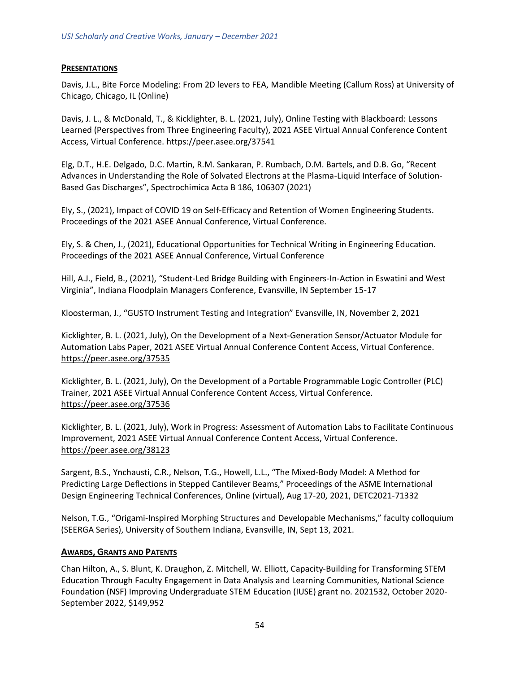#### **PRESENTATIONS**

Davis, J.L., Bite Force Modeling: From 2D levers to FEA, Mandible Meeting (Callum Ross) at University of Chicago, Chicago, IL (Online)

Davis, J. L., & McDonald, T., & Kicklighter, B. L. (2021, July), Online Testing with Blackboard: Lessons Learned (Perspectives from Three Engineering Faculty), 2021 ASEE Virtual Annual Conference Content Access, Virtual Conference.<https://peer.asee.org/37541>

Elg, D.T., H.E. Delgado, D.C. Martin, R.M. Sankaran, P. Rumbach, D.M. Bartels, and D.B. Go, "Recent Advances in Understanding the Role of Solvated Electrons at the Plasma-Liquid Interface of Solution-Based Gas Discharges", Spectrochimica Acta B 186, 106307 (2021)

Ely, S., (2021), Impact of COVID 19 on Self-Efficacy and Retention of Women Engineering Students. Proceedings of the 2021 ASEE Annual Conference, Virtual Conference.

Ely, S. & Chen, J., (2021), Educational Opportunities for Technical Writing in Engineering Education. Proceedings of the 2021 ASEE Annual Conference, Virtual Conference

Hill, A.J., Field, B., (2021), "Student-Led Bridge Building with Engineers-In-Action in Eswatini and West Virginia", Indiana Floodplain Managers Conference, Evansville, IN September 15-17

Kloosterman, J., "GUSTO Instrument Testing and Integration" Evansville, IN, November 2, 2021

Kicklighter, B. L. (2021, July), On the Development of a Next-Generation Sensor/Actuator Module for Automation Labs Paper, 2021 ASEE Virtual Annual Conference Content Access, Virtual Conference. <https://peer.asee.org/37535>

Kicklighter, B. L. (2021, July), On the Development of a Portable Programmable Logic Controller (PLC) Trainer, 2021 ASEE Virtual Annual Conference Content Access, Virtual Conference. <https://peer.asee.org/37536>

Kicklighter, B. L. (2021, July), Work in Progress: Assessment of Automation Labs to Facilitate Continuous Improvement, 2021 ASEE Virtual Annual Conference Content Access, Virtual Conference. <https://peer.asee.org/38123>

Sargent, B.S., Ynchausti, C.R., Nelson, T.G., Howell, L.L., "The Mixed-Body Model: A Method for Predicting Large Deflections in Stepped Cantilever Beams," Proceedings of the ASME International Design Engineering Technical Conferences, Online (virtual), Aug 17-20, 2021, DETC2021-71332

Nelson, T.G., "Origami-Inspired Morphing Structures and Developable Mechanisms," faculty colloquium (SEERGA Series), University of Southern Indiana, Evansville, IN, Sept 13, 2021.

#### **AWARDS, GRANTS AND PATENTS**

Chan Hilton, A., S. Blunt, K. Draughon, Z. Mitchell, W. Elliott, Capacity-Building for Transforming STEM Education Through Faculty Engagement in Data Analysis and Learning Communities, National Science Foundation (NSF) Improving Undergraduate STEM Education (IUSE) grant no. 2021532, October 2020- September 2022, \$149,952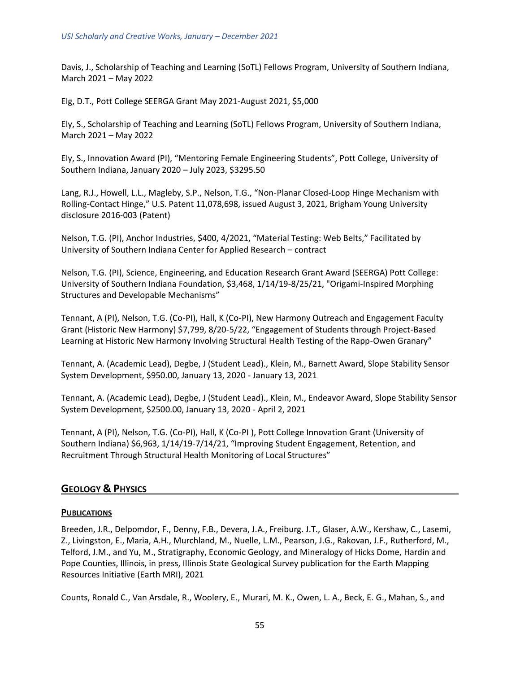Davis, J., Scholarship of Teaching and Learning (SoTL) Fellows Program, University of Southern Indiana, March 2021 – May 2022

Elg, D.T., Pott College SEERGA Grant May 2021-August 2021, \$5,000

Ely, S., Scholarship of Teaching and Learning (SoTL) Fellows Program, University of Southern Indiana, March 2021 – May 2022

Ely, S., Innovation Award (PI), "Mentoring Female Engineering Students", Pott College, University of Southern Indiana, January 2020 – July 2023, \$3295.50

Lang, R.J., Howell, L.L., Magleby, S.P., Nelson, T.G., "Non-Planar Closed-Loop Hinge Mechanism with Rolling-Contact Hinge," U.S. Patent 11,078,698, issued August 3, 2021, Brigham Young University disclosure 2016-003 (Patent)

Nelson, T.G. (PI), Anchor Industries, \$400, 4/2021, "Material Testing: Web Belts," Facilitated by University of Southern Indiana Center for Applied Research – contract

Nelson, T.G. (PI), Science, Engineering, and Education Research Grant Award (SEERGA) Pott College: University of Southern Indiana Foundation, \$3,468, 1/14/19-8/25/21, "Origami-Inspired Morphing Structures and Developable Mechanisms"

Tennant, A (PI), Nelson, T.G. (Co-PI), Hall, K (Co-PI), New Harmony Outreach and Engagement Faculty Grant (Historic New Harmony) \$7,799, 8/20-5/22, "Engagement of Students through Project-Based Learning at Historic New Harmony Involving Structural Health Testing of the Rapp-Owen Granary"

Tennant, A. (Academic Lead), Degbe, J (Student Lead)., Klein, M., Barnett Award, Slope Stability Sensor System Development, \$950.00, January 13, 2020 - January 13, 2021

Tennant, A. (Academic Lead), Degbe, J (Student Lead)., Klein, M., Endeavor Award, Slope Stability Sensor System Development, \$2500.00, January 13, 2020 - April 2, 2021

Tennant, A (PI), Nelson, T.G. (Co-PI), Hall, K (Co-PI ), Pott College Innovation Grant (University of Southern Indiana) \$6,963, 1/14/19-7/14/21, "Improving Student Engagement, Retention, and Recruitment Through Structural Health Monitoring of Local Structures"

# <span id="page-54-0"></span>**GEOLOGY & PHYSICS**

#### **PUBLICATIONS**

Breeden, J.R., Delpomdor, F., Denny, F.B., Devera, J.A., Freiburg. J.T., Glaser, A.W., Kershaw, C., Lasemi, Z., Livingston, E., Maria, A.H., Murchland, M., Nuelle, L.M., Pearson, J.G., Rakovan, J.F., Rutherford, M., Telford, J.M., and Yu, M., Stratigraphy, Economic Geology, and Mineralogy of Hicks Dome, Hardin and Pope Counties, Illinois, in press, Illinois State Geological Survey publication for the Earth Mapping Resources Initiative (Earth MRI), 2021

Counts, Ronald C., Van Arsdale, R., Woolery, E., Murari, M. K., Owen, L. A., Beck, E. G., Mahan, S., and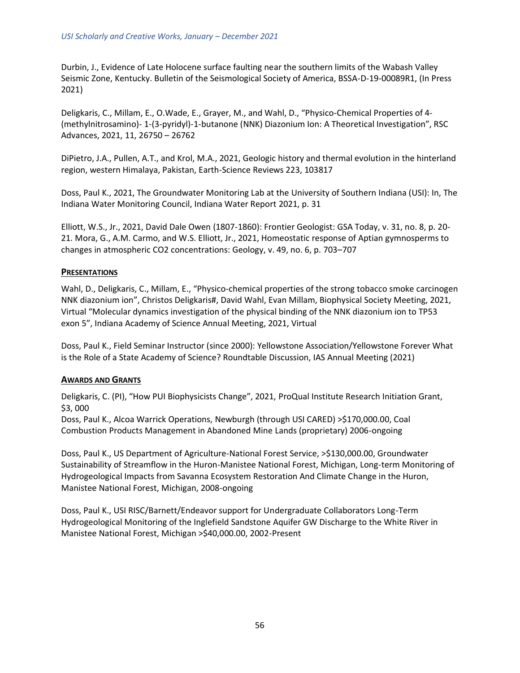Durbin, J., Evidence of Late Holocene surface faulting near the southern limits of the Wabash Valley Seismic Zone, Kentucky. Bulletin of the Seismological Society of America, BSSA-D-19-00089R1, (In Press 2021)

Deligkaris, C., Millam, E., O.Wade, E., Grayer, M., and Wahl, D., "Physico-Chemical Properties of 4- (methylnitrosamino)- 1-(3-pyridyl)-1-butanone (NNK) Diazonium Ion: A Theoretical Investigation", RSC Advances, 2021, 11, 26750 – 26762

DiPietro, J.A., Pullen, A.T., and Krol, M.A., 2021, Geologic history and thermal evolution in the hinterland region, western Himalaya, Pakistan, Earth-Science Reviews 223, 103817

Doss, Paul K., 2021, The Groundwater Monitoring Lab at the University of Southern Indiana (USI): In, The Indiana Water Monitoring Council, Indiana Water Report 2021, p. 31

Elliott, W.S., Jr., 2021, David Dale Owen (1807-1860): Frontier Geologist: GSA Today, v. 31, no. 8, p. 20- 21. Mora, G., A.M. Carmo, and W.S. Elliott, Jr., 2021, Homeostatic response of Aptian gymnosperms to changes in atmospheric CO2 concentrations: Geology, v. 49, no. 6, p. 703–707

#### **PRESENTATIONS**

Wahl, D., Deligkaris, C., Millam, E., "Physico-chemical properties of the strong tobacco smoke carcinogen NNK diazonium ion", Christos Deligkaris#, David Wahl, Evan Millam, Biophysical Society Meeting, 2021, Virtual "Molecular dynamics investigation of the physical binding of the NNK diazonium ion to TP53 exon 5", Indiana Academy of Science Annual Meeting, 2021, Virtual

Doss, Paul K., Field Seminar Instructor (since 2000): Yellowstone Association/Yellowstone Forever What is the Role of a State Academy of Science? Roundtable Discussion, IAS Annual Meeting (2021)

#### **AWARDS AND GRANTS**

Deligkaris, C. (PI), "How PUI Biophysicists Change", 2021, ProQual Institute Research Initiation Grant, \$3, 000

Doss, Paul K., Alcoa Warrick Operations, Newburgh (through USI CARED) >\$170,000.00, Coal Combustion Products Management in Abandoned Mine Lands (proprietary) 2006-ongoing

Doss, Paul K., US Department of Agriculture-National Forest Service, >\$130,000.00, Groundwater Sustainability of Streamflow in the Huron-Manistee National Forest, Michigan, Long-term Monitoring of Hydrogeological Impacts from Savanna Ecosystem Restoration And Climate Change in the Huron, Manistee National Forest, Michigan, 2008-ongoing

Doss, Paul K., USI RISC/Barnett/Endeavor support for Undergraduate Collaborators Long-Term Hydrogeological Monitoring of the Inglefield Sandstone Aquifer GW Discharge to the White River in Manistee National Forest, Michigan >\$40,000.00, 2002-Present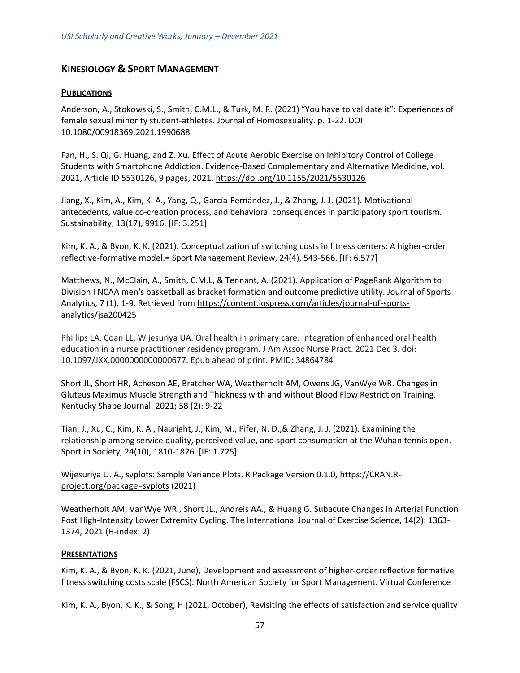# <span id="page-56-0"></span>**KINESIOLOGY & SPORT MANAGEMENT**

### **PUBLICATIONS**

Anderson, A., Stokowski, S., Smith, C.M.L., & Turk, M. R. (2021) "You have to validate it": Experiences of female sexual minority student-athletes. Journal of Homosexuality. p. 1-22. DOI: 10.1080/00918369.2021.1990688

Fan, H., S. Qi, G. Huang, and Z. Xu. Effect of Acute Aerobic Exercise on Inhibitory Control of College Students with Smartphone Addiction. Evidence-Based Complementary and Alternative Medicine, vol. 2021, Article ID 5530126, 9 pages, 2021.<https://doi.org/10.1155/2021/5530126>

Jiang, X., Kim, A., Kim, K. A., Yang, Q., García-Fernández, J., & Zhang, J. J. (2021). Motivational antecedents, value co-creation process, and behavioral consequences in participatory sport tourism. Sustainability, 13(17), 9916. [IF: 3.251]

Kim, K. A., & Byon, K. K. (2021). Conceptualization of switching costs in fitness centers: A higher-order reflective-formative model.= Sport Management Review, 24(4), 543-566. [IF: 6.577]

Matthews, N., McClain, A., Smith, C.M.L, & Tennant, A. (2021). Application of PageRank Algorithm to Division I NCAA men's basketball as bracket formation and outcome predictive utility. Journal of Sports Analytics, 7 (1), 1-9. Retrieved from [https://content.iospress.com/articles/journal-of-sports](https://content.iospress.com/articles/journal-of-sports-analytics/jsa200425)[analytics/jsa200425](https://content.iospress.com/articles/journal-of-sports-analytics/jsa200425)

Phillips LA, Coan LL, Wijesuriya UA. Oral health in primary care: Integration of enhanced oral health education in a nurse practitioner residency program. J Am Assoc Nurse Pract. 2021 Dec 3. doi: 10.1097/JXX.0000000000000677. Epub ahead of print. PMID: 34864784

Short JL, Short HR, Acheson AE, Bratcher WA, Weatherholt AM, Owens JG, VanWye WR. Changes in Gluteus Maximus Muscle Strength and Thickness with and without Blood Flow Restriction Training. Kentucky Shape Journal. 2021; 58 (2): 9-22

Tian, J., Xu, C., Kim, K. A., Nauright, J., Kim, M., Pifer, N. D.,& Zhang, J. J. (2021). Examining the relationship among service quality, perceived value, and sport consumption at the Wuhan tennis open. Sport in Society, 24(10), 1810-1826. [IF: 1.725]

Wijesuriya U. A., svplots: Sample Variance Plots. R Package Version 0.1.0, [https://CRAN.R](https://cran.r-project.org/package=svplots)[project.org/package=svplots](https://cran.r-project.org/package=svplots) (2021)

Weatherholt AM, VanWye WR., Short JL., Andreis AA., & Huang G. Subacute Changes in Arterial Function Post High-Intensity Lower Extremity Cycling. The International Journal of Exercise Science, 14(2): 1363- 1374, 2021 (H-index: 2)

#### **PRESENTATIONS**

Kim, K. A., & Byon, K. K. (2021, June), Development and assessment of higher-order reflective formative fitness switching costs scale (FSCS). North American Society for Sport Management. Virtual Conference

Kim, K. A., Byon, K. K., & Song, H (2021, October), Revisiting the effects of satisfaction and service quality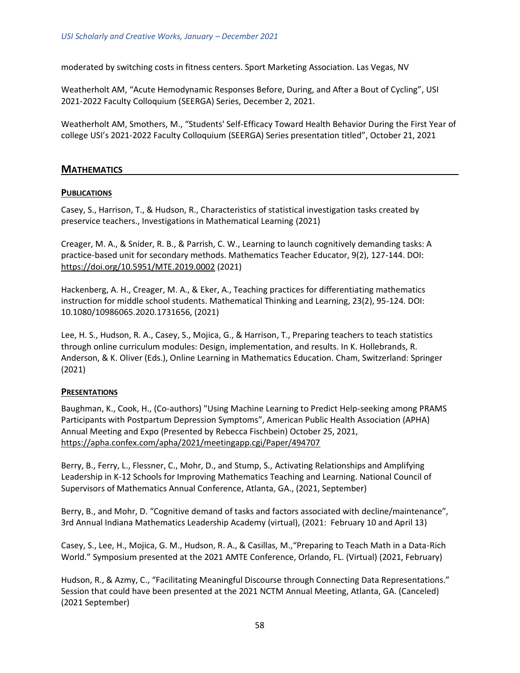moderated by switching costs in fitness centers. Sport Marketing Association. Las Vegas, NV

Weatherholt AM, "Acute Hemodynamic Responses Before, During, and After a Bout of Cycling", USI 2021-2022 Faculty Colloquium (SEERGA) Series, December 2, 2021.

<span id="page-57-0"></span>Weatherholt AM, Smothers, M., "Students' Self-Efficacy Toward Health Behavior During the First Year of college USI's 2021-2022 Faculty Colloquium (SEERGA) Series presentation titled", October 21, 2021

# **MATHEMATICS**

#### **PUBLICATIONS**

Casey, S., Harrison, T., & Hudson, R., Characteristics of statistical investigation tasks created by preservice teachers., Investigations in Mathematical Learning (2021)

Creager, M. A., & Snider, R. B., & Parrish, C. W., Learning to launch cognitively demanding tasks: A practice-based unit for secondary methods. Mathematics Teacher Educator, 9(2), 127-144. DOI: <https://doi.org/10.5951/MTE.2019.0002> (2021)

Hackenberg, A. H., Creager, M. A., & Eker, A., Teaching practices for differentiating mathematics instruction for middle school students. Mathematical Thinking and Learning, 23(2), 95-124. DOI: 10.1080/10986065.2020.1731656, (2021)

Lee, H. S., Hudson, R. A., Casey, S., Mojica, G., & Harrison, T., Preparing teachers to teach statistics through online curriculum modules: Design, implementation, and results. In K. Hollebrands, R. Anderson, & K. Oliver (Eds.), Online Learning in Mathematics Education. Cham, Switzerland: Springer (2021)

#### **PRESENTATIONS**

Baughman, K., Cook, H., (Co-authors) "Using Machine Learning to Predict Help-seeking among PRAMS Participants with Postpartum Depression Symptoms", American Public Health Association (APHA) Annual Meeting and Expo (Presented by Rebecca Fischbein) October 25, 2021, <https://apha.confex.com/apha/2021/meetingapp.cgi/Paper/494707>

Berry, B., Ferry, L., Flessner, C., Mohr, D., and Stump, S., Activating Relationships and Amplifying Leadership in K-12 Schools for Improving Mathematics Teaching and Learning. National Council of Supervisors of Mathematics Annual Conference, Atlanta, GA., (2021, September)

Berry, B., and Mohr, D. "Cognitive demand of tasks and factors associated with decline/maintenance", 3rd Annual Indiana Mathematics Leadership Academy (virtual), (2021: February 10 and April 13)

Casey, S., Lee, H., Mojica, G. M., Hudson, R. A., & Casillas, M.,"Preparing to Teach Math in a Data-Rich World." Symposium presented at the 2021 AMTE Conference, Orlando, FL. (Virtual) (2021, February)

Hudson, R., & Azmy, C., "Facilitating Meaningful Discourse through Connecting Data Representations." Session that could have been presented at the 2021 NCTM Annual Meeting, Atlanta, GA. (Canceled) (2021 September)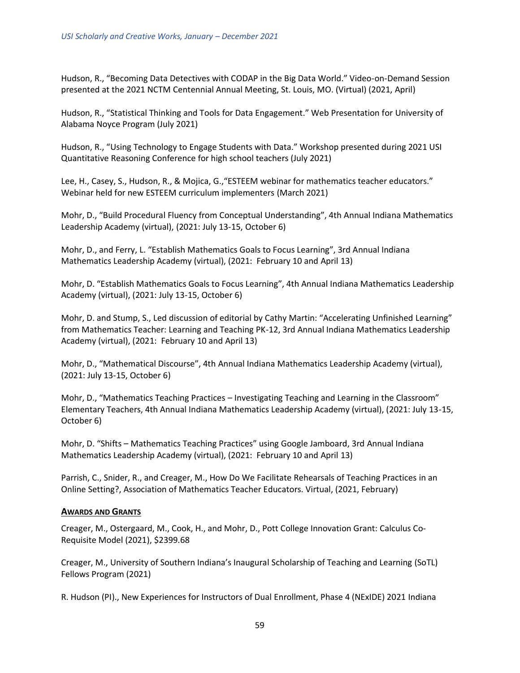Hudson, R., "Becoming Data Detectives with CODAP in the Big Data World." Video-on-Demand Session presented at the 2021 NCTM Centennial Annual Meeting, St. Louis, MO. (Virtual) (2021, April)

Hudson, R., "Statistical Thinking and Tools for Data Engagement." Web Presentation for University of Alabama Noyce Program (July 2021)

Hudson, R., "Using Technology to Engage Students with Data." Workshop presented during 2021 USI Quantitative Reasoning Conference for high school teachers (July 2021)

Lee, H., Casey, S., Hudson, R., & Mojica, G.,"ESTEEM webinar for mathematics teacher educators." Webinar held for new ESTEEM curriculum implementers (March 2021)

Mohr, D., "Build Procedural Fluency from Conceptual Understanding", 4th Annual Indiana Mathematics Leadership Academy (virtual), (2021: July 13-15, October 6)

Mohr, D., and Ferry, L. "Establish Mathematics Goals to Focus Learning", 3rd Annual Indiana Mathematics Leadership Academy (virtual), (2021: February 10 and April 13)

Mohr, D. "Establish Mathematics Goals to Focus Learning", 4th Annual Indiana Mathematics Leadership Academy (virtual), (2021: July 13-15, October 6)

Mohr, D. and Stump, S., Led discussion of editorial by Cathy Martin: "Accelerating Unfinished Learning" from Mathematics Teacher: Learning and Teaching PK-12, 3rd Annual Indiana Mathematics Leadership Academy (virtual), (2021: February 10 and April 13)

Mohr, D., "Mathematical Discourse", 4th Annual Indiana Mathematics Leadership Academy (virtual), (2021: July 13-15, October 6)

Mohr, D., "Mathematics Teaching Practices – Investigating Teaching and Learning in the Classroom" Elementary Teachers, 4th Annual Indiana Mathematics Leadership Academy (virtual), (2021: July 13-15, October 6)

Mohr, D. "Shifts – Mathematics Teaching Practices" using Google Jamboard, 3rd Annual Indiana Mathematics Leadership Academy (virtual), (2021: February 10 and April 13)

Parrish, C., Snider, R., and Creager, M., How Do We Facilitate Rehearsals of Teaching Practices in an Online Setting?, Association of Mathematics Teacher Educators. Virtual, (2021, February)

#### **AWARDS AND GRANTS**

Creager, M., Ostergaard, M., Cook, H., and Mohr, D., Pott College Innovation Grant: Calculus Co-Requisite Model (2021), \$2399.68

Creager, M., University of Southern Indiana's Inaugural Scholarship of Teaching and Learning (SoTL) Fellows Program (2021)

R. Hudson (PI)., New Experiences for Instructors of Dual Enrollment, Phase 4 (NExIDE) 2021 Indiana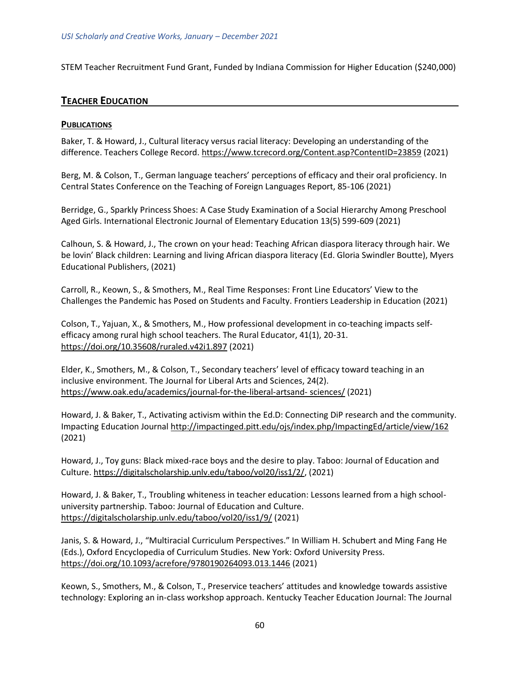<span id="page-59-0"></span>STEM Teacher Recruitment Fund Grant, Funded by Indiana Commission for Higher Education (\$240,000)

# **TEACHER EDUCATION**

#### **PUBLICATIONS**

Baker, T. & Howard, J., Cultural literacy versus racial literacy: Developing an understanding of the difference. Teachers College Record[. https://www.tcrecord.org/Content.asp?ContentID=23859](https://www.tcrecord.org/Content.asp?ContentID=23859) (2021)

Berg, M. & Colson, T., German language teachers' perceptions of efficacy and their oral proficiency. In Central States Conference on the Teaching of Foreign Languages Report, 85-106 (2021)

Berridge, G., Sparkly Princess Shoes: A Case Study Examination of a Social Hierarchy Among Preschool Aged Girls. International Electronic Journal of Elementary Education 13(5) 599-609 (2021)

Calhoun, S. & Howard, J., The crown on your head: Teaching African diaspora literacy through hair. We be lovin' Black children: Learning and living African diaspora literacy (Ed. Gloria Swindler Boutte), Myers Educational Publishers, (2021)

Carroll, R., Keown, S., & Smothers, M., Real Time Responses: Front Line Educators' View to the Challenges the Pandemic has Posed on Students and Faculty. Frontiers Leadership in Education (2021)

Colson, T., Yajuan, X., & Smothers, M., How professional development in co-teaching impacts selfefficacy among rural high school teachers. The Rural Educator, 41(1), 20-31. <https://doi.org/10.35608/ruraled.v42i1.897> (2021)

Elder, K., Smothers, M., & Colson, T., Secondary teachers' level of efficacy toward teaching in an inclusive environment. The Journal for Liberal Arts and Sciences, 24(2). [https://www.oak.edu/academics/journal-for-the-liberal-artsand-](https://www.oak.edu/academics/journal-for-the-liberal-artsand-%20sciences/) sciences/ (2021)

Howard, J. & Baker, T., Activating activism within the Ed.D: Connecting DiP research and the community. Impacting Education Journal <http://impactinged.pitt.edu/ojs/index.php/ImpactingEd/article/view/162> (2021)

Howard, J., Toy guns: Black mixed-race boys and the desire to play. Taboo: Journal of Education and Culture. [https://digitalscholarship.unlv.edu/taboo/vol20/iss1/2/,](https://digitalscholarship.unlv.edu/taboo/vol20/iss1/2/) (2021)

Howard, J. & Baker, T., Troubling whiteness in teacher education: Lessons learned from a high schooluniversity partnership. Taboo: Journal of Education and Culture. <https://digitalscholarship.unlv.edu/taboo/vol20/iss1/9/> (2021)

Janis, S. & Howard, J., "Multiracial Curriculum Perspectives." In William H. Schubert and Ming Fang He (Eds.), Oxford Encyclopedia of Curriculum Studies. New York: Oxford University Press. <https://doi.org/10.1093/acrefore/9780190264093.013.1446> (2021)

Keown, S., Smothers, M., & Colson, T., Preservice teachers' attitudes and knowledge towards assistive technology: Exploring an in-class workshop approach. Kentucky Teacher Education Journal: The Journal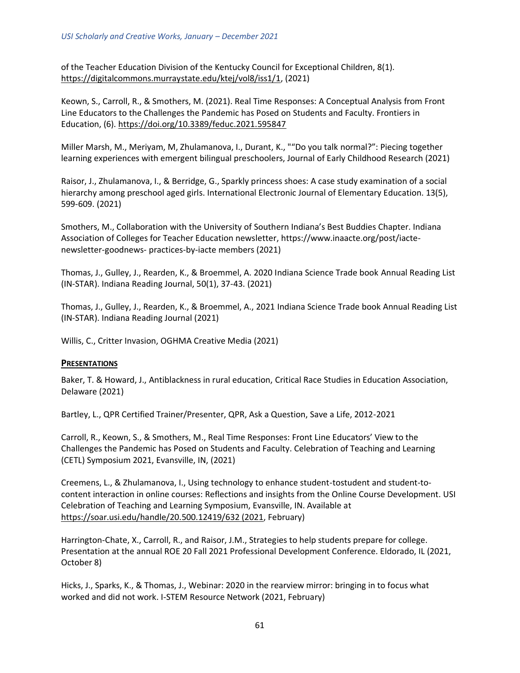of the Teacher Education Division of the Kentucky Council for Exceptional Children, 8(1). [https://digitalcommons.murraystate.edu/ktej/vol8/iss1/1,](https://digitalcommons.murraystate.edu/ktej/vol8/iss1/1) (2021)

Keown, S., Carroll, R., & Smothers, M. (2021). Real Time Responses: A Conceptual Analysis from Front Line Educators to the Challenges the Pandemic has Posed on Students and Faculty. Frontiers in Education, (6).<https://doi.org/10.3389/feduc.2021.595847>

Miller Marsh, M., Meriyam, M, Zhulamanova, I., Durant, K., ""Do you talk normal?": Piecing together learning experiences with emergent bilingual preschoolers, Journal of Early Childhood Research (2021)

Raisor, J., Zhulamanova, I., & Berridge, G., Sparkly princess shoes: A case study examination of a social hierarchy among preschool aged girls. International Electronic Journal of Elementary Education. 13(5), 599-609. (2021)

Smothers, M., Collaboration with the University of Southern Indiana's Best Buddies Chapter. Indiana Association of Colleges for Teacher Education newsletter, https://www.inaacte.org/post/iactenewsletter-goodnews- practices-by-iacte members (2021)

Thomas, J., Gulley, J., Rearden, K., & Broemmel, A. 2020 Indiana Science Trade book Annual Reading List (IN-STAR). Indiana Reading Journal, 50(1), 37-43. (2021)

Thomas, J., Gulley, J., Rearden, K., & Broemmel, A., 2021 Indiana Science Trade book Annual Reading List (IN-STAR). Indiana Reading Journal (2021)

Willis, C., Critter Invasion, OGHMA Creative Media (2021)

#### **PRESENTATIONS**

Baker, T. & Howard, J., Antiblackness in rural education, Critical Race Studies in Education Association, Delaware (2021)

Bartley, L., QPR Certified Trainer/Presenter, QPR, Ask a Question, Save a Life, 2012-2021

Carroll, R., Keown, S., & Smothers, M., Real Time Responses: Front Line Educators' View to the Challenges the Pandemic has Posed on Students and Faculty. Celebration of Teaching and Learning (CETL) Symposium 2021, Evansville, IN, (2021)

Creemens, L., & Zhulamanova, I., Using technology to enhance student-tostudent and student-tocontent interaction in online courses: Reflections and insights from the Online Course Development. USI Celebration of Teaching and Learning Symposium, Evansville, IN. Available at [https://soar.usi.edu/handle/20.500.12419/632 \(2021,](https://soar.usi.edu/handle/20.500.12419/632%20(2021) February)

Harrington-Chate, X., Carroll, R., and Raisor, J.M., Strategies to help students prepare for college. Presentation at the annual ROE 20 Fall 2021 Professional Development Conference. Eldorado, IL (2021, October 8)

Hicks, J., Sparks, K., & Thomas, J., Webinar: 2020 in the rearview mirror: bringing in to focus what worked and did not work. I-STEM Resource Network (2021, February)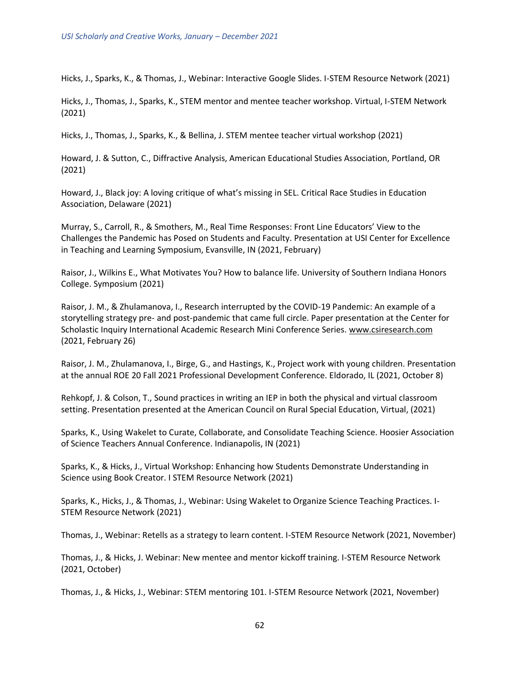Hicks, J., Sparks, K., & Thomas, J., Webinar: Interactive Google Slides. I-STEM Resource Network (2021)

Hicks, J., Thomas, J., Sparks, K., STEM mentor and mentee teacher workshop. Virtual, I-STEM Network (2021)

Hicks, J., Thomas, J., Sparks, K., & Bellina, J. STEM mentee teacher virtual workshop (2021)

Howard, J. & Sutton, C., Diffractive Analysis, American Educational Studies Association, Portland, OR (2021)

Howard, J., Black joy: A loving critique of what's missing in SEL. Critical Race Studies in Education Association, Delaware (2021)

Murray, S., Carroll, R., & Smothers, M., Real Time Responses: Front Line Educators' View to the Challenges the Pandemic has Posed on Students and Faculty. Presentation at USI Center for Excellence in Teaching and Learning Symposium, Evansville, IN (2021, February)

Raisor, J., Wilkins E., What Motivates You? How to balance life. University of Southern Indiana Honors College. Symposium (2021)

Raisor, J. M., & Zhulamanova, I., Research interrupted by the COVID-19 Pandemic: An example of a storytelling strategy pre- and post-pandemic that came full circle. Paper presentation at the Center for Scholastic Inquiry International Academic Research Mini Conference Series. [www.csiresearch.com](http://www.csiresearch.com/) (2021, February 26)

Raisor, J. M., Zhulamanova, I., Birge, G., and Hastings, K., Project work with young children. Presentation at the annual ROE 20 Fall 2021 Professional Development Conference. Eldorado, IL (2021, October 8)

Rehkopf, J. & Colson, T., Sound practices in writing an IEP in both the physical and virtual classroom setting. Presentation presented at the American Council on Rural Special Education, Virtual, (2021)

Sparks, K., Using Wakelet to Curate, Collaborate, and Consolidate Teaching Science. Hoosier Association of Science Teachers Annual Conference. Indianapolis, IN (2021)

Sparks, K., & Hicks, J., Virtual Workshop: Enhancing how Students Demonstrate Understanding in Science using Book Creator. I STEM Resource Network (2021)

Sparks, K., Hicks, J., & Thomas, J., Webinar: Using Wakelet to Organize Science Teaching Practices. I-STEM Resource Network (2021)

Thomas, J., Webinar: Retells as a strategy to learn content. I-STEM Resource Network (2021, November)

Thomas, J., & Hicks, J. Webinar: New mentee and mentor kickoff training. I-STEM Resource Network (2021, October)

Thomas, J., & Hicks, J., Webinar: STEM mentoring 101. I-STEM Resource Network (2021, November)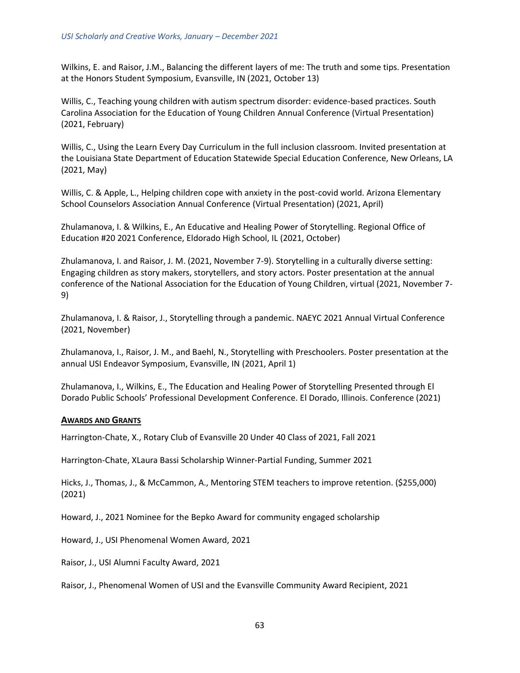Wilkins, E. and Raisor, J.M., Balancing the different layers of me: The truth and some tips. Presentation at the Honors Student Symposium, Evansville, IN (2021, October 13)

Willis, C., Teaching young children with autism spectrum disorder: evidence-based practices. South Carolina Association for the Education of Young Children Annual Conference (Virtual Presentation) (2021, February)

Willis, C., Using the Learn Every Day Curriculum in the full inclusion classroom. Invited presentation at the Louisiana State Department of Education Statewide Special Education Conference, New Orleans, LA (2021, May)

Willis, C. & Apple, L., Helping children cope with anxiety in the post-covid world. Arizona Elementary School Counselors Association Annual Conference (Virtual Presentation) (2021, April)

Zhulamanova, I. & Wilkins, E., An Educative and Healing Power of Storytelling. Regional Office of Education #20 2021 Conference, Eldorado High School, IL (2021, October)

Zhulamanova, I. and Raisor, J. M. (2021, November 7-9). Storytelling in a culturally diverse setting: Engaging children as story makers, storytellers, and story actors. Poster presentation at the annual conference of the National Association for the Education of Young Children, virtual (2021, November 7- 9)

Zhulamanova, I. & Raisor, J., Storytelling through a pandemic. NAEYC 2021 Annual Virtual Conference (2021, November)

Zhulamanova, I., Raisor, J. M., and Baehl, N., Storytelling with Preschoolers. Poster presentation at the annual USI Endeavor Symposium, Evansville, IN (2021, April 1)

Zhulamanova, I., Wilkins, E., The Education and Healing Power of Storytelling Presented through El Dorado Public Schools' Professional Development Conference. El Dorado, Illinois. Conference (2021)

#### **AWARDS AND GRANTS**

Harrington-Chate, X., Rotary Club of Evansville 20 Under 40 Class of 2021, Fall 2021

Harrington-Chate, XLaura Bassi Scholarship Winner-Partial Funding, Summer 2021

Hicks, J., Thomas, J., & McCammon, A., Mentoring STEM teachers to improve retention. (\$255,000) (2021)

Howard, J., 2021 Nominee for the Bepko Award for community engaged scholarship

Howard, J., USI Phenomenal Women Award, 2021

Raisor, J., USI Alumni Faculty Award, 2021

Raisor, J., Phenomenal Women of USI and the Evansville Community Award Recipient, 2021